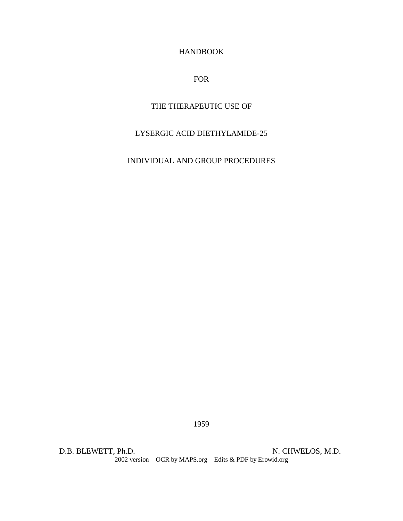# HANDBOOK

# FOR

# THE THERAPEUTIC USE OF

# LYSERGIC ACID DIETHYLAMIDE-25

# INDIVIDUAL AND GROUP PROCEDURES

1959

D.B. BLEWETT, Ph.D. N. CHWELOS, M.D. 2002 version – OCR by MAPS.org – Edits & PDF by Erowid.org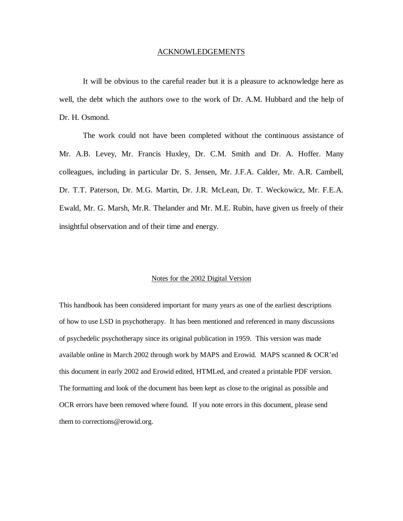#### ACKNOWLEDGEMENTS

It will be obvious to the careful reader but it is a pleasure to acknowledge here as well, the debt which the authors owe to the work of Dr. A.M. Hubbard and the help of Dr. H. Osmond.

The work could not have been completed without the continuous assistance of Mr. A.B. Levey, Mr. Francis Huxley, Dr. C.M. Smith and Dr. A. Hoffer. Many colleagues, including in particular Dr. S. Jensen, Mr. J.F.A. Calder, Mr. A.R. Cambell, Dr. T.T. Paterson, Dr. M.G. Martin, Dr. J.R. McLean, Dr. T. Weckowicz, Mr. F.E.A. Ewald, Mr. G. Marsh, Mr.R. Thelander and Mr. M.E. Rubin, have given us freely of their insightful observation and of their time and energy.

#### Notes for the 2002 Digital Version

This handbook has been considered important for many years as one of the earliest descriptions of how to use LSD in psychotherapy. It has been mentioned and referenced in many discussions of psychedelic psychotherapy since its original publication in 1959. This version was made available online in March 2002 through work by MAPS and Erowid. MAPS scanned & OCR'ed this document in early 2002 and Erowid edited, HTMLed, and created a printable PDF version. The formatting and look of the document has been kept as close to the original as possible and OCR errors have been removed where found. If you note errors in this document, please send them to corrections@erowid.org.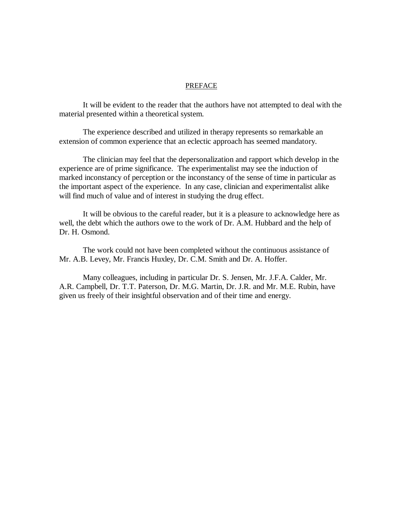#### PREFACE

 It will be evident to the reader that the authors have not attempted to deal with the material presented within a theoretical system.

 The experience described and utilized in therapy represents so remarkable an extension of common experience that an eclectic approach has seemed mandatory.

The clinician may feel that the depersonalization and rapport which develop in the experience are of prime significance. The experimentalist may see the induction of marked inconstancy of perception or the inconstancy of the sense of time in particular as the important aspect of the experience. In any case, clinician and experimentalist alike will find much of value and of interest in studying the drug effect.

 It will be obvious to the careful reader, but it is a pleasure to acknowledge here as well, the debt which the authors owe to the work of Dr. A.M. Hubbard and the help of Dr. H. Osmond.

 The work could not have been completed without the continuous assistance of Mr. A.B. Levey, Mr. Francis Huxley, Dr. C.M. Smith and Dr. A. Hoffer.

 Many colleagues, including in particular Dr. S. Jensen, Mr. J.F.A. Calder, Mr. A.R. Campbell, Dr. T.T. Paterson, Dr. M.G. Martin, Dr. J.R. and Mr. M.E. Rubin, have given us freely of their insightful observation and of their time and energy.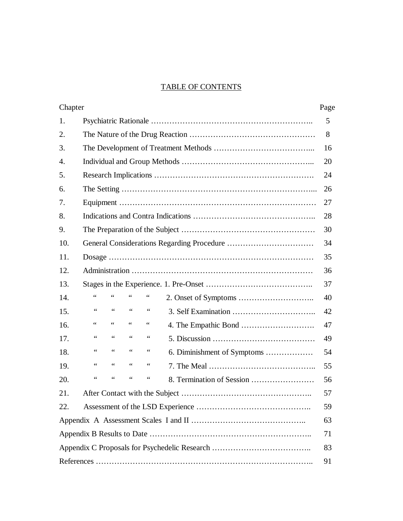# TABLE OF CONTENTS

| Chapter |                 |                 |                 |                 |                             | Page |
|---------|-----------------|-----------------|-----------------|-----------------|-----------------------------|------|
| 1.      |                 |                 |                 |                 |                             | 5    |
| 2.      |                 |                 |                 |                 |                             | 8    |
| 3.      |                 |                 |                 |                 |                             | 16   |
| 4.      |                 |                 |                 |                 |                             | 20   |
| 5.      |                 |                 |                 |                 |                             | 24   |
| 6.      |                 |                 |                 |                 |                             | 26   |
| 7.      |                 |                 |                 |                 |                             | 27   |
| 8.      |                 |                 |                 |                 |                             | 28   |
| 9.      |                 |                 |                 |                 |                             | 30   |
| 10.     |                 |                 |                 |                 |                             | 34   |
| 11.     |                 |                 |                 |                 |                             | 35   |
| 12.     |                 |                 |                 |                 |                             | 36   |
| 13.     |                 |                 |                 |                 |                             | 37   |
| 14.     | $\zeta$ $\zeta$ | $\zeta$ $\zeta$ | $\zeta \zeta$   | "               |                             | 40   |
| 15.     | $\zeta$ $\zeta$ | $\zeta$ $\zeta$ | $\zeta$ $\zeta$ | $\zeta$ $\zeta$ |                             | 42   |
| 16.     | $\zeta$ $\zeta$ | $\zeta$ $\zeta$ | $66 -$          | $\zeta$ $\zeta$ |                             | 47   |
| 17.     | $\zeta$ $\zeta$ | $\zeta$ $\zeta$ | $\zeta$ $\zeta$ | $\zeta$ $\zeta$ |                             | 49   |
| 18.     | $\zeta$ $\zeta$ | $\zeta$ $\zeta$ | $\zeta$ $\zeta$ | $\zeta$ $\zeta$ | 6. Diminishment of Symptoms | 54   |
| 19.     | $\zeta$ $\zeta$ | $\zeta$ $\zeta$ | $\zeta$ $\zeta$ | $\zeta$ $\zeta$ |                             | 55   |
| 20.     | $\zeta$ $\zeta$ | $\zeta$ $\zeta$ | $\zeta$ $\zeta$ | $\zeta$ $\zeta$ |                             | 56   |
| 21.     |                 |                 |                 |                 |                             | 57   |
| 22.     |                 |                 |                 |                 |                             | 59   |
|         |                 |                 |                 |                 |                             |      |
|         |                 |                 |                 |                 |                             |      |
|         |                 |                 |                 |                 |                             | 83   |
|         |                 |                 |                 |                 |                             | 91   |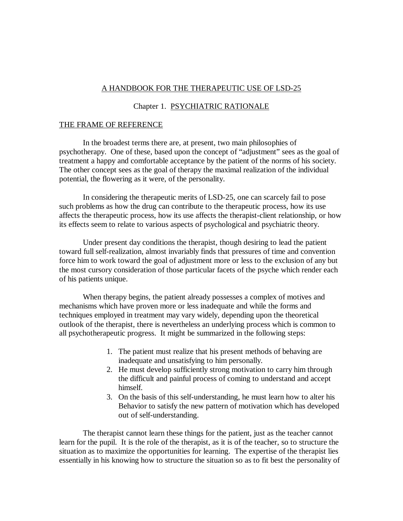# A HANDBOOK FOR THE THERAPEUTIC USE OF LSD-25

# Chapter 1. PSYCHIATRIC RATIONALE

## THE FRAME OF REFERENCE

 In the broadest terms there are, at present, two main philosophies of psychotherapy. One of these, based upon the concept of "adjustment" sees as the goal of treatment a happy and comfortable acceptance by the patient of the norms of his society. The other concept sees as the goal of therapy the maximal realization of the individual potential, the flowering as it were, of the personality.

 In considering the therapeutic merits of LSD-25, one can scarcely fail to pose such problems as how the drug can contribute to the therapeutic process, how its use affects the therapeutic process, how its use affects the therapist-client relationship, or how its effects seem to relate to various aspects of psychological and psychiatric theory.

 Under present day conditions the therapist, though desiring to lead the patient toward full self-realization, almost invariably finds that pressures of time and convention force him to work toward the goal of adjustment more or less to the exclusion of any but the most cursory consideration of those particular facets of the psyche which render each of his patients unique.

 When therapy begins, the patient already possesses a complex of motives and mechanisms which have proven more or less inadequate and while the forms and techniques employed in treatment may vary widely, depending upon the theoretical outlook of the therapist, there is nevertheless an underlying process which is common to all psychotherapeutic progress. It might be summarized in the following steps:

- 1. The patient must realize that his present methods of behaving are inadequate and unsatisfying to him personally.
- 2. He must develop sufficiently strong motivation to carry him through the difficult and painful process of coming to understand and accept himself.
- 3. On the basis of this self-understanding, he must learn how to alter his Behavior to satisfy the new pattern of motivation which has developed out of self-understanding.

 The therapist cannot learn these things for the patient, just as the teacher cannot learn for the pupil. It is the role of the therapist, as it is of the teacher, so to structure the situation as to maximize the opportunities for learning. The expertise of the therapist lies essentially in his knowing how to structure the situation so as to fit best the personality of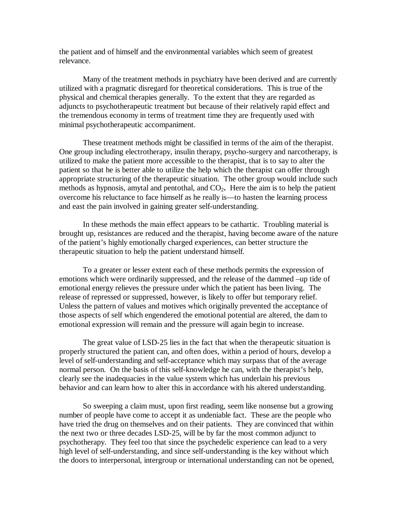the patient and of himself and the environmental variables which seem of greatest relevance.

 Many of the treatment methods in psychiatry have been derived and are currently utilized with a pragmatic disregard for theoretical considerations. This is true of the physical and chemical therapies generally. To the extent that they are regarded as adjuncts to psychotherapeutic treatment but because of their relatively rapid effect and the tremendous economy in terms of treatment time they are frequently used with minimal psychotherapeutic accompaniment.

These treatment methods might be classified in terms of the aim of the therapist. One group including electrotherapy, insulin therapy, psycho-surgery and narcotherapy, is utilized to make the patient more accessible to the therapist, that is to say to alter the patient so that he is better able to utilize the help which the therapist can offer through appropriate structuring of the therapeutic situation. The other group would include such methods as hypnosis, amytal and pentothal, and CO2**.** Here the aim is to help the patient overcome his reluctance to face himself as he really is—to hasten the learning process and east the pain involved in gaining greater self-understanding.

In these methods the main effect appears to be cathartic. Troubling material is brought up, resistances are reduced and the therapist, having become aware of the nature of the patient's highly emotionally charged experiences, can better structure the therapeutic situation to help the patient understand himself.

To a greater or lesser extent each of these methods permits the expression of emotions which were ordinarily suppressed, and the release of the dammed –up tide of emotional energy relieves the pressure under which the patient has been living. The release of repressed or suppressed, however, is likely to offer but temporary relief. Unless the pattern of values and motives which originally prevented the acceptance of those aspects of self which engendered the emotional potential are altered, the dam to emotional expression will remain and the pressure will again begin to increase.

The great value of LSD-25 lies in the fact that when the therapeutic situation is properly structured the patient can, and often does, within a period of hours, develop a level of self-understanding and self-acceptance which may surpass that of the average normal person. On the basis of this self-knowledge he can, with the therapist's help, clearly see the inadequacies in the value system which has underlain his previous behavior and can learn how to alter this in accordance with his altered understanding.

So sweeping a claim must, upon first reading, seem like nonsense but a growing number of people have come to accept it as undeniable fact. These are the people who have tried the drug on themselves and on their patients. They are convinced that within the next two or three decades LSD-25, will be by far the most common adjunct to psychotherapy. They feel too that since the psychedelic experience can lead to a very high level of self-understanding, and since self-understanding is the key without which the doors to interpersonal, intergroup or international understanding can not be opened,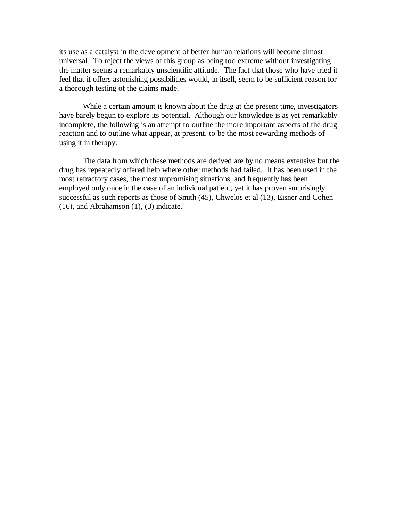its use as a catalyst in the development of better human relations will become almost universal. To reject the views of this group as being too extreme without investigating the matter seems a remarkably unscientific attitude. The fact that those who have tried it feel that it offers astonishing possibilities would, in itself, seem to be sufficient reason for a thorough testing of the claims made.

While a certain amount is known about the drug at the present time, investigators have barely begun to explore its potential. Although our knowledge is as yet remarkably incomplete, the following is an attempt to outline the more important aspects of the drug reaction and to outline what appear, at present, to be the most rewarding methods of using it in therapy.

The data from which these methods are derived are by no means extensive but the drug has repeatedly offered help where other methods had failed. It has been used in the most refractory cases, the most unpromising situations, and frequently has been employed only once in the case of an individual patient, yet it has proven surprisingly successful as such reports as those of Smith (45), Chwelos et al (13), Eisner and Cohen (16), and Abrahamson (1), (3) indicate.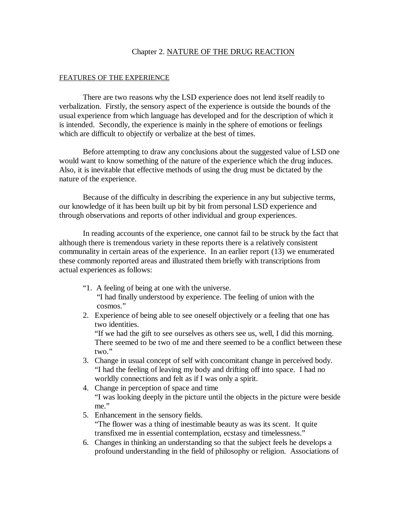# Chapter 2. NATURE OF THE DRUG REACTION

# FEATURES OF THE EXPERIENCE

 There are two reasons why the LSD experience does not lend itself readily to verbalization. Firstly, the sensory aspect of the experience is outside the bounds of the usual experience from which language has developed and for the description of which it is intended. Secondly, the experience is mainly in the sphere of emotions or feelings which are difficult to objectify or verbalize at the best of times.

 Before attempting to draw any conclusions about the suggested value of LSD one would want to know something of the nature of the experience which the drug induces. Also, it is inevitable that effective methods of using the drug must be dictated by the nature of the experience.

 Because of the difficulty in describing the experience in any but subjective terms, our knowledge of it has been built up bit by bit from personal LSD experience and through observations and reports of other individual and group experiences.

 In reading accounts of the experience, one cannot fail to be struck by the fact that although there is tremendous variety in these reports there is a relatively consistent communality in certain areas of the experience. In an earlier report (13) we enumerated these commonly reported areas and illustrated them briefly with transcriptions from actual experiences as follows:

"1. A feeling of being at one with the universe.

"I had finally understood by experience. The feeling of union with the cosmos."

2. Experience of being able to see oneself objectively or a feeling that one has two identities.

"If we had the gift to see ourselves as others see us, well, I did this morning. There seemed to be two of me and there seemed to be a conflict between these two."

- 3. Change in usual concept of self with concomitant change in perceived body. "I had the feeling of leaving my body and drifting off into space. I had no worldly connections and felt as if I was only a spirit.
- 4. Change in perception of space and time "I was looking deeply in the picture until the objects in the picture were beside me."
- 5. Enhancement in the sensory fields. "The flower was a thing of inestimable beauty as was its scent. It quite transfixed me in essential contemplation, ecstasy and timelessness."
- 6. Changes in thinking an understanding so that the subject feels he develops a profound understanding in the field of philosophy or religion. Associations of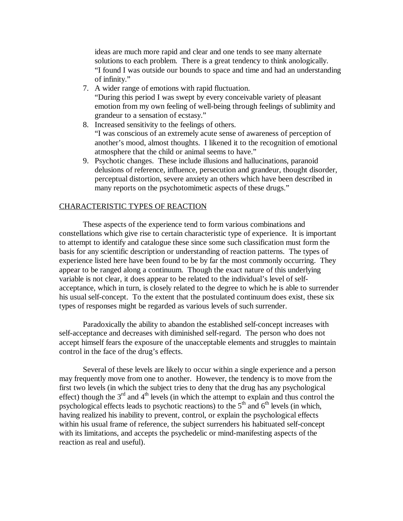ideas are much more rapid and clear and one tends to see many alternate solutions to each problem. There is a great tendency to think anologically. "I found I was outside our bounds to space and time and had an understanding of infinity."

- 7. A wider range of emotions with rapid fluctuation. "During this period I was swept by every conceivable variety of pleasant emotion from my own feeling of well-being through feelings of sublimity and grandeur to a sensation of ecstasy."
- 8. Increased sensitivity to the feelings of others. "I was conscious of an extremely acute sense of awareness of perception of another's mood, almost thoughts. I likened it to the recognition of emotional atmosphere that the child or animal seems to have."
- 9. Psychotic changes. These include illusions and hallucinations, paranoid delusions of reference, influence, persecution and grandeur, thought disorder, perceptual distortion, severe anxiety an others which have been described in many reports on the psychotomimetic aspects of these drugs."

# CHARACTERISTIC TYPES OF REACTION

 These aspects of the experience tend to form various combinations and constellations which give rise to certain characteristic type of experience. It is important to attempt to identify and catalogue these since some such classification must form the basis for any scientific description or understanding of reaction patterns. The types of experience listed here have been found to be by far the most commonly occurring. They appear to be ranged along a continuum. Though the exact nature of this underlying variable is not clear, it does appear to be related to the individual's level of selfacceptance, which in turn, is closely related to the degree to which he is able to surrender his usual self-concept. To the extent that the postulated continuum does exist, these six types of responses might be regarded as various levels of such surrender.

 Paradoxically the ability to abandon the established self-concept increases with self-acceptance and decreases with diminished self-regard. The person who does not accept himself fears the exposure of the unacceptable elements and struggles to maintain control in the face of the drug's effects.

 Several of these levels are likely to occur within a single experience and a person may frequently move from one to another. However, the tendency is to move from the first two levels (in which the subject tries to deny that the drug has any psychological effect) though the  $3<sup>rd</sup>$  and  $4<sup>th</sup>$  levels (in which the attempt to explain and thus control the psychological effects leads to psychotic reactions) to the  $5<sup>th</sup>$  and  $6<sup>th</sup>$  levels (in which, having realized his inability to prevent, control, or explain the psychological effects within his usual frame of reference, the subject surrenders his habituated self-concept with its limitations, and accepts the psychedelic or mind-manifesting aspects of the reaction as real and useful).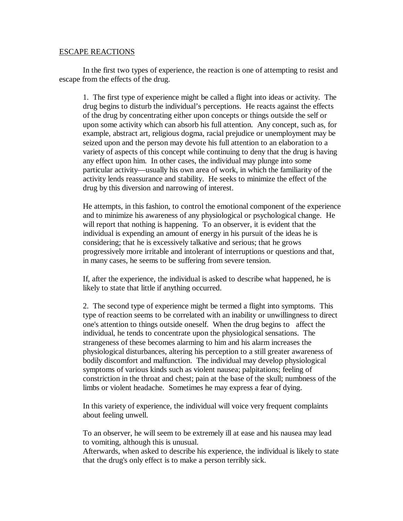## ESCAPE REACTIONS

 In the first two types of experience, the reaction is one of attempting to resist and escape from the effects of the drug.

1. The first type of experience might be called a flight into ideas or activity. The drug begins to disturb the individual's perceptions. He reacts against the effects of the drug by concentrating either upon concepts or things outside the self or upon some activity which can absorb his full attention. Any concept, such as, for example, abstract art, religious dogma, racial prejudice or unemployment may be seized upon and the person may devote his full attention to an elaboration to a variety of aspects of this concept while continuing to deny that the drug is having any effect upon him. In other cases, the individual may plunge into some particular activity—usually his own area of work, in which the familiarity of the activity lends reassurance and stability. He seeks to minimize the effect of the drug by this diversion and narrowing of interest.

He attempts, in this fashion, to control the emotional component of the experience and to minimize his awareness of any physiological or psychological change. He will report that nothing is happening. To an observer, it is evident that the individual is expending an amount of energy in his pursuit of the ideas he is considering; that he is excessively talkative and serious; that he grows progressively more irritable and intolerant of interruptions or questions and that, in many cases, he seems to be suffering from severe tension.

If, after the experience, the individual is asked to describe what happened, he is likely to state that little if anything occurred.

2. The second type of experience might be termed a flight into symptoms. This type of reaction seems to be correlated with an inability or unwillingness to direct one's attention to things outside oneself. When the drug begins to affect the individual, he tends to concentrate upon the physiological sensations. The strangeness of these becomes alarming to him and his alarm increases the physiological disturbances, altering his perception to a still greater awareness of bodily discomfort and malfunction. The individual may develop physiological symptoms of various kinds such as violent nausea; palpitations; feeling of constriction in the throat and chest; pain at the base of the skull; numbness of the limbs or violent headache. Sometimes he may express a fear of dying.

In this variety of experience, the individual will voice very frequent complaints about feeling unwell.

To an observer, he will seem to be extremely ill at ease and his nausea may lead to vomiting, although this is unusual.

Afterwards, when asked to describe his experience, the individual is likely to state that the drug's only effect is to make a person terribly sick.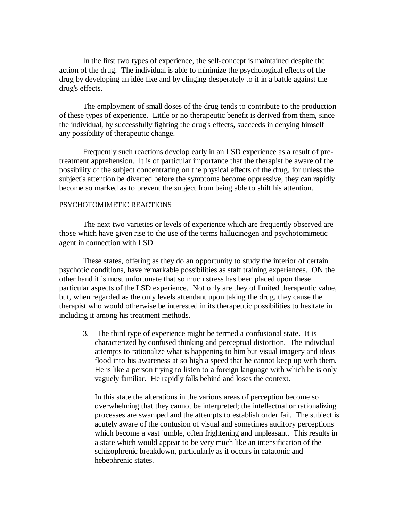In the first two types of experience, the self-concept is maintained despite the action of the drug. The individual is able to minimize the psychological effects of the drug by developing an idée fixe and by clinging desperately to it in a battle against the drug's effects.

 The employment of small doses of the drug tends to contribute to the production of these types of experience. Little or no therapeutic benefit is derived from them, since the individual, by successfully fighting the drug's effects, succeeds in denying himself any possibility of therapeutic change.

Frequently such reactions develop early in an LSD experience as a result of pretreatment apprehension. It is of particular importance that the therapist be aware of the possibility of the subject concentrating on the physical effects of the drug, for unless the subject's attention be diverted before the symptoms become oppressive, they can rapidly become so marked as to prevent the subject from being able to shift his attention.

#### PSYCHOTOMIMETIC REACTIONS

The next two varieties or levels of experience which are frequently observed are those which have given rise to the use of the terms hallucinogen and psychotomimetic agent in connection with LSD.

These states, offering as they do an opportunity to study the interior of certain psychotic conditions, have remarkable possibilities as staff training experiences. ON the other hand it is most unfortunate that so much stress has been placed upon these particular aspects of the LSD experience. Not only are they of limited therapeutic value, but, when regarded as the only levels attendant upon taking the drug, they cause the therapist who would otherwise be interested in its therapeutic possibilities to hesitate in including it among his treatment methods.

3. The third type of experience might be termed a confusional state. It is characterized by confused thinking and perceptual distortion. The individual attempts to rationalize what is happening to him but visual imagery and ideas flood into his awareness at so high a speed that he cannot keep up with them. He is like a person trying to listen to a foreign language with which he is only vaguely familiar. He rapidly falls behind and loses the context.

In this state the alterations in the various areas of perception become so overwhelming that they cannot be interpreted; the intellectual or rationalizing processes are swamped and the attempts to establish order fail. The subject is acutely aware of the confusion of visual and sometimes auditory perceptions which become a vast jumble, often frightening and unpleasant. This results in a state which would appear to be very much like an intensification of the schizophrenic breakdown, particularly as it occurs in catatonic and hebephrenic states.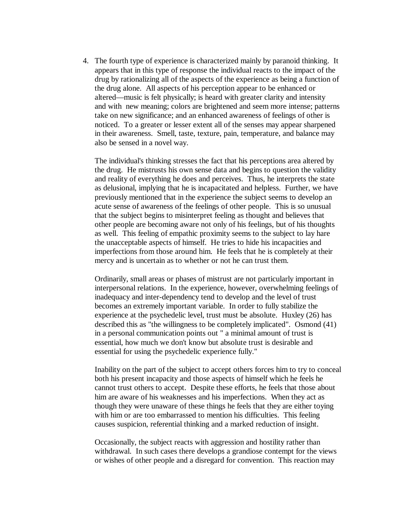4. The fourth type of experience is characterized mainly by paranoid thinking. It appears that in this type of response the individual reacts to the impact of the drug by rationalizing all of the aspects of the experience as being a function of the drug alone. All aspects of his perception appear to be enhanced or altered—music is felt physically; is heard with greater clarity and intensity and with new meaning; colors are brightened and seem more intense; patterns take on new significance; and an enhanced awareness of feelings of other is noticed. To a greater or lesser extent all of the senses may appear sharpened in their awareness. Smell, taste, texture, pain, temperature, and balance may also be sensed in a novel way.

The individual's thinking stresses the fact that his perceptions area altered by the drug. He mistrusts his own sense data and begins to question the validity and reality of everything he does and perceives. Thus, he interprets the state as delusional, implying that he is incapacitated and helpless. Further, we have previously mentioned that in the experience the subject seems to develop an acute sense of awareness of the feelings of other people. This is so unusual that the subject begins to misinterpret feeling as thought and believes that other people are becoming aware not only of his feelings, but of his thoughts as well. This feeling of empathic proximity seems to the subject to lay hare the unacceptable aspects of himself. He tries to hide his incapacities and imperfections from those around him. He feels that he is completely at their mercy and is uncertain as to whether or not he can trust them.

Ordinarily, small areas or phases of mistrust are not particularly important in interpersonal relations. In the experience, however, overwhelming feelings of inadequacy and inter-dependency tend to develop and the level of trust becomes an extremely important variable. In order to fully stabilize the experience at the psychedelic level, trust must be absolute. Huxley (26) has described this as "the willingness to be completely implicated". Osmond (41) in a personal communication points out " a minimal amount of trust is essential, how much we don't know but absolute trust is desirable and essential for using the psychedelic experience fully."

Inability on the part of the subject to accept others forces him to try to conceal both his present incapacity and those aspects of himself which he feels he cannot trust others to accept. Despite these efforts, he feels that those about him are aware of his weaknesses and his imperfections. When they act as though they were unaware of these things he feels that they are either toying with him or are too embarrassed to mention his difficulties. This feeling causes suspicion, referential thinking and a marked reduction of insight.

Occasionally, the subject reacts with aggression and hostility rather than withdrawal. In such cases there develops a grandiose contempt for the views or wishes of other people and a disregard for convention. This reaction may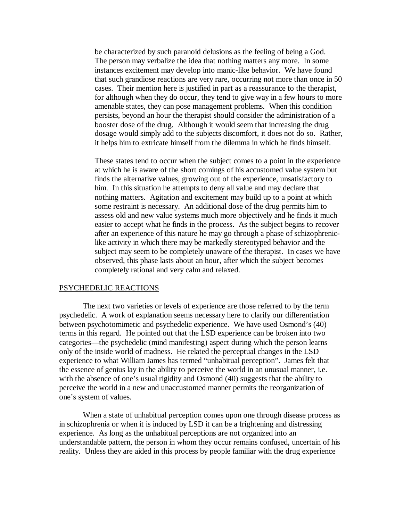be characterized by such paranoid delusions as the feeling of being a God. The person may verbalize the idea that nothing matters any more. In some instances excitement may develop into manic-like behavior. We have found that such grandiose reactions are very rare, occurring not more than once in 50 cases. Their mention here is justified in part as a reassurance to the therapist, for although when they do occur, they tend to give way in a few hours to more amenable states, they can pose management problems. When this condition persists, beyond an hour the therapist should consider the administration of a booster dose of the drug. Although it would seem that increasing the drug dosage would simply add to the subjects discomfort, it does not do so. Rather, it helps him to extricate himself from the dilemma in which he finds himself.

These states tend to occur when the subject comes to a point in the experience at which he is aware of the short comings of his accustomed value system but finds the alternative values, growing out of the experience, unsatisfactory to him. In this situation he attempts to deny all value and may declare that nothing matters. Agitation and excitement may build up to a point at which some restraint is necessary. An additional dose of the drug permits him to assess old and new value systems much more objectively and he finds it much easier to accept what he finds in the process. As the subject begins to recover after an experience of this nature he may go through a phase of schizophreniclike activity in which there may be markedly stereotyped behavior and the subject may seem to be completely unaware of the therapist. In cases we have observed, this phase lasts about an hour, after which the subject becomes completely rational and very calm and relaxed.

### PSYCHEDELIC REACTIONS

 The next two varieties or levels of experience are those referred to by the term psychedelic. A work of explanation seems necessary here to clarify our differentiation between psychotomimetic and psychedelic experience. We have used Osmond's (40) terms in this regard. He pointed out that the LSD experience can be broken into two categories—the psychedelic (mind manifesting) aspect during which the person learns only of the inside world of madness. He related the perceptual changes in the LSD experience to what William James has termed "unhabitual perception". James felt that the essence of genius lay in the ability to perceive the world in an unusual manner, i.e. with the absence of one's usual rigidity and Osmond (40) suggests that the ability to perceive the world in a new and unaccustomed manner permits the reorganization of one's system of values.

 When a state of unhabitual perception comes upon one through disease process as in schizophrenia or when it is induced by LSD it can be a frightening and distressing experience. As long as the unhabitual perceptions are not organized into an understandable pattern, the person in whom they occur remains confused, uncertain of his reality. Unless they are aided in this process by people familiar with the drug experience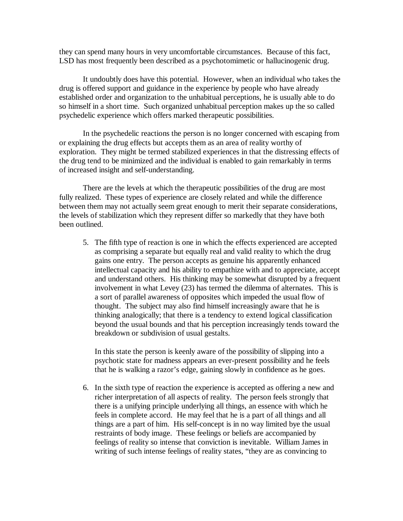they can spend many hours in very uncomfortable circumstances. Because of this fact, LSD has most frequently been described as a psychotomimetic or hallucinogenic drug.

 It undoubtly does have this potential. However, when an individual who takes the drug is offered support and guidance in the experience by people who have already established order and organization to the unhabitual perceptions, he is usually able to do so himself in a short time. Such organized unhabitual perception makes up the so called psychedelic experience which offers marked therapeutic possibilities.

 In the psychedelic reactions the person is no longer concerned with escaping from or explaining the drug effects but accepts them as an area of reality worthy of exploration. They might be termed stabilized experiences in that the distressing effects of the drug tend to be minimized and the individual is enabled to gain remarkably in terms of increased insight and self-understanding.

 There are the levels at which the therapeutic possibilities of the drug are most fully realized. These types of experience are closely related and while the difference between them may not actually seem great enough to merit their separate considerations, the levels of stabilization which they represent differ so markedly that they have both been outlined.

5. The fifth type of reaction is one in which the effects experienced are accepted as comprising a separate but equally real and valid reality to which the drug gains one entry. The person accepts as genuine his apparently enhanced intellectual capacity and his ability to empathize with and to appreciate, accept and understand others. His thinking may be somewhat disrupted by a frequent involvement in what Levey (23) has termed the dilemma of alternates. This is a sort of parallel awareness of opposites which impeded the usual flow of thought. The subject may also find himself increasingly aware that he is thinking analogically; that there is a tendency to extend logical classification beyond the usual bounds and that his perception increasingly tends toward the breakdown or subdivision of usual gestalts.

In this state the person is keenly aware of the possibility of slipping into a psychotic state for madness appears an ever-present possibility and he feels that he is walking a razor's edge, gaining slowly in confidence as he goes.

6. In the sixth type of reaction the experience is accepted as offering a new and richer interpretation of all aspects of reality. The person feels strongly that there is a unifying principle underlying all things, an essence with which he feels in complete accord. He may feel that he is a part of all things and all things are a part of him. His self-concept is in no way limited bye the usual restraints of body image. These feelings or beliefs are accompanied by feelings of reality so intense that conviction is inevitable. William James in writing of such intense feelings of reality states, "they are as convincing to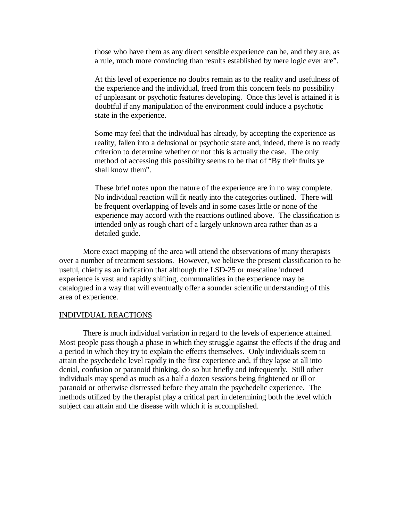those who have them as any direct sensible experience can be, and they are, as a rule, much more convincing than results established by mere logic ever are".

At this level of experience no doubts remain as to the reality and usefulness of the experience and the individual, freed from this concern feels no possibility of unpleasant or psychotic features developing. Once this level is attained it is doubtful if any manipulation of the environment could induce a psychotic state in the experience.

Some may feel that the individual has already, by accepting the experience as reality, fallen into a delusional or psychotic state and, indeed, there is no ready criterion to determine whether or not this is actually the case. The only method of accessing this possibility seems to be that of "By their fruits ye shall know them".

These brief notes upon the nature of the experience are in no way complete. No individual reaction will fit neatly into the categories outlined. There will be frequent overlapping of levels and in some cases little or none of the experience may accord with the reactions outlined above. The classification is intended only as rough chart of a largely unknown area rather than as a detailed guide.

 More exact mapping of the area will attend the observations of many therapists over a number of treatment sessions. However, we believe the present classification to be useful, chiefly as an indication that although the LSD-25 or mescaline induced experience is vast and rapidly shifting, communalities in the experience may be catalogued in a way that will eventually offer a sounder scientific understanding of this area of experience.

## INDIVIDUAL REACTIONS

 There is much individual variation in regard to the levels of experience attained. Most people pass though a phase in which they struggle against the effects if the drug and a period in which they try to explain the effects themselves. Only individuals seem to attain the psychedelic level rapidly in the first experience and, if they lapse at all into denial, confusion or paranoid thinking, do so but briefly and infrequently. Still other individuals may spend as much as a half a dozen sessions being frightened or ill or paranoid or otherwise distressed before they attain the psychedelic experience. The methods utilized by the therapist play a critical part in determining both the level which subject can attain and the disease with which it is accomplished.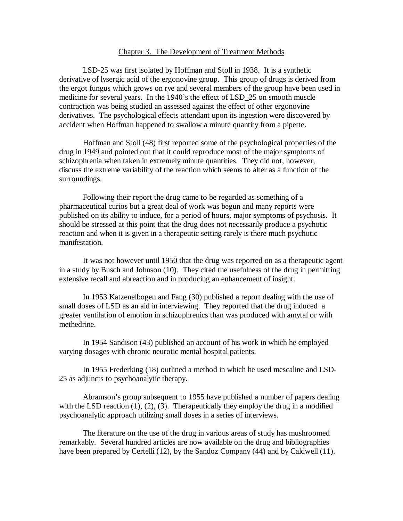## Chapter 3. The Development of Treatment Methods

 LSD-25 was first isolated by Hoffman and Stoll in 1938. It is a synthetic derivative of lysergic acid of the ergonovine group. This group of drugs is derived from the ergot fungus which grows on rye and several members of the group have been used in medicine for several years. In the 1940's the effect of LSD\_25 on smooth muscle contraction was being studied an assessed against the effect of other ergonovine derivatives. The psychological effects attendant upon its ingestion were discovered by accident when Hoffman happened to swallow a minute quantity from a pipette.

 Hoffman and Stoll (48) first reported some of the psychological properties of the drug in 1949 and pointed out that it could reproduce most of the major symptoms of schizophrenia when taken in extremely minute quantities. They did not, however, discuss the extreme variability of the reaction which seems to alter as a function of the surroundings.

 Following their report the drug came to be regarded as something of a pharmaceutical curios but a great deal of work was begun and many reports were published on its ability to induce, for a period of hours, major symptoms of psychosis. It should be stressed at this point that the drug does not necessarily produce a psychotic reaction and when it is given in a therapeutic setting rarely is there much psychotic manifestation.

 It was not however until 1950 that the drug was reported on as a therapeutic agent in a study by Busch and Johnson (10). They cited the usefulness of the drug in permitting extensive recall and abreaction and in producing an enhancement of insight.

 In 1953 Katzenelbogen and Fang (30) published a report dealing with the use of small doses of LSD as an aid in interviewing. They reported that the drug induced a greater ventilation of emotion in schizophrenics than was produced with amytal or with methedrine.

 In 1954 Sandison (43) published an account of his work in which he employed varying dosages with chronic neurotic mental hospital patients.

 In 1955 Frederking (18) outlined a method in which he used mescaline and LSD-25 as adjuncts to psychoanalytic therapy.

 Abramson's group subsequent to 1955 have published a number of papers dealing with the LSD reaction  $(1)$ ,  $(2)$ ,  $(3)$ . Therapeutically they employ the drug in a modified psychoanalytic approach utilizing small doses in a series of interviews.

 The literature on the use of the drug in various areas of study has mushroomed remarkably. Several hundred articles are now available on the drug and bibliographies have been prepared by Certelli (12), by the Sandoz Company (44) and by Caldwell (11).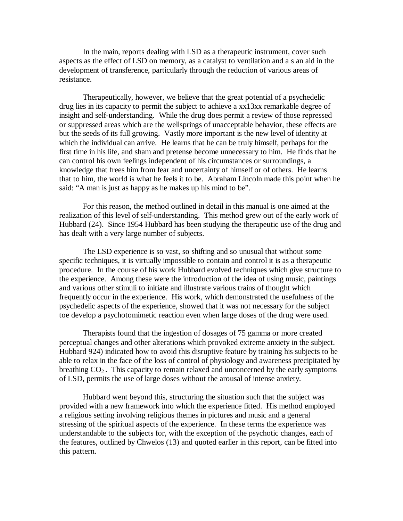In the main, reports dealing with LSD as a therapeutic instrument, cover such aspects as the effect of LSD on memory, as a catalyst to ventilation and a s an aid in the development of transference, particularly through the reduction of various areas of resistance.

 Therapeutically, however, we believe that the great potential of a psychedelic drug lies in its capacity to permit the subject to achieve a xx13xx remarkable degree of insight and self-understanding. While the drug does permit a review of those repressed or suppressed areas which are the wellsprings of unacceptable behavior, these effects are but the seeds of its full growing. Vastly more important is the new level of identity at which the individual can arrive. He learns that he can be truly himself, perhaps for the first time in his life, and sham and pretense become unnecessary to him. He finds that he can control his own feelings independent of his circumstances or surroundings, a knowledge that frees him from fear and uncertainty of himself or of others. He learns that to him, the world is what he feels it to be. Abraham Lincoln made this point when he said: "A man is just as happy as he makes up his mind to be".

 For this reason, the method outlined in detail in this manual is one aimed at the realization of this level of self-understanding. This method grew out of the early work of Hubbard (24). Since 1954 Hubbard has been studying the therapeutic use of the drug and has dealt with a very large number of subjects.

 The LSD experience is so vast, so shifting and so unusual that without some specific techniques, it is virtually impossible to contain and control it is as a therapeutic procedure. In the course of his work Hubbard evolved techniques which give structure to the experience. Among these were the introduction of the idea of using music, paintings and various other stimuli to initiate and illustrate various trains of thought which frequently occur in the experience. His work, which demonstrated the usefulness of the psychedelic aspects of the experience, showed that it was not necessary for the subject toe develop a psychotomimetic reaction even when large doses of the drug were used.

 Therapists found that the ingestion of dosages of 75 gamma or more created perceptual changes and other alterations which provoked extreme anxiety in the subject. Hubbard 924) indicated how to avoid this disruptive feature by training his subjects to be able to relax in the face of the loss of control of physiology and awareness precipitated by breathing  $CO<sub>2</sub>$ . This capacity to remain relaxed and unconcerned by the early symptoms of LSD, permits the use of large doses without the arousal of intense anxiety.

 Hubbard went beyond this, structuring the situation such that the subject was provided with a new framework into which the experience fitted. His method employed a religious setting involving religious themes in pictures and music and a general stressing of the spiritual aspects of the experience. In these terms the experience was understandable to the subjects for, with the exception of the psychotic changes, each of the features, outlined by Chwelos (13) and quoted earlier in this report, can be fitted into this pattern.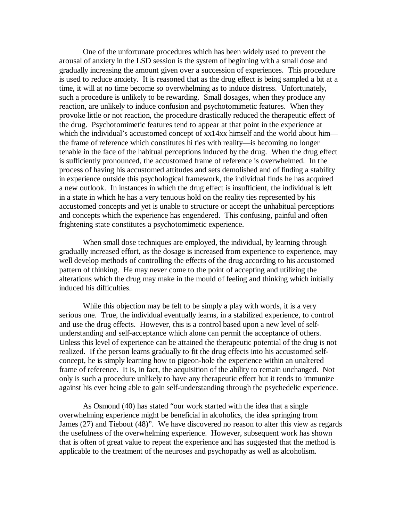One of the unfortunate procedures which has been widely used to prevent the arousal of anxiety in the LSD session is the system of beginning with a small dose and gradually increasing the amount given over a succession of experiences. This procedure is used to reduce anxiety. It is reasoned that as the drug effect is being sampled a bit at a time, it will at no time become so overwhelming as to induce distress. Unfortunately, such a procedure is unlikely to be rewarding. Small dosages, when they produce any reaction, are unlikely to induce confusion and psychotomimetic features. When they provoke little or not reaction, the procedure drastically reduced the therapeutic effect of the drug. Psychotomimetic features tend to appear at that point in the experience at which the individual's accustomed concept of xx14xx himself and the world about him the frame of reference which constitutes hi ties with reality—is becoming no longer tenable in the face of the habitual perceptions induced by the drug. When the drug effect is sufficiently pronounced, the accustomed frame of reference is overwhelmed. In the process of having his accustomed attitudes and sets demolished and of finding a stability in experience outside this psychological framework, the individual finds he has acquired a new outlook. In instances in which the drug effect is insufficient, the individual is left in a state in which he has a very tenuous hold on the reality ties represented by his accustomed concepts and yet is unable to structure or accept the unhabitual perceptions and concepts which the experience has engendered. This confusing, painful and often frightening state constitutes a psychotomimetic experience.

 When small dose techniques are employed, the individual, by learning through gradually increased effort, as the dosage is increased from experience to experience, may well develop methods of controlling the effects of the drug according to his accustomed pattern of thinking. He may never come to the point of accepting and utilizing the alterations which the drug may make in the mould of feeling and thinking which initially induced his difficulties.

 While this objection may be felt to be simply a play with words, it is a very serious one. True, the individual eventually learns, in a stabilized experience, to control and use the drug effects. However, this is a control based upon a new level of selfunderstanding and self-acceptance which alone can permit the acceptance of others. Unless this level of experience can be attained the therapeutic potential of the drug is not realized. If the person learns gradually to fit the drug effects into his accustomed selfconcept, he is simply learning how to pigeon-hole the experience within an unaltered frame of reference. It is, in fact, the acquisition of the ability to remain unchanged. Not only is such a procedure unlikely to have any therapeutic effect but it tends to immunize against his ever being able to gain self-understanding through the psychedelic experience.

 As Osmond (40) has stated "our work started with the idea that a single overwhelming experience might be beneficial in alcoholics, the idea springing from James (27) and Tiebout (48)". We have discovered no reason to alter this view as regards the usefulness of the overwhelming experience. However, subsequent work has shown that is often of great value to repeat the experience and has suggested that the method is applicable to the treatment of the neuroses and psychopathy as well as alcoholism.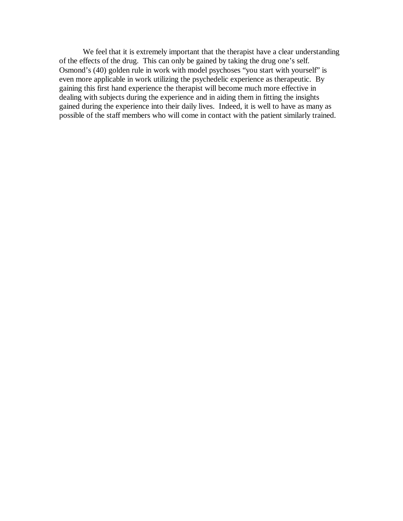We feel that it is extremely important that the therapist have a clear understanding of the effects of the drug. This can only be gained by taking the drug one's self. Osmond's (40) golden rule in work with model psychoses "you start with yourself" is even more applicable in work utilizing the psychedelic experience as therapeutic. By gaining this first hand experience the therapist will become much more effective in dealing with subjects during the experience and in aiding them in fitting the insights gained during the experience into their daily lives. Indeed, it is well to have as many as possible of the staff members who will come in contact with the patient similarly trained.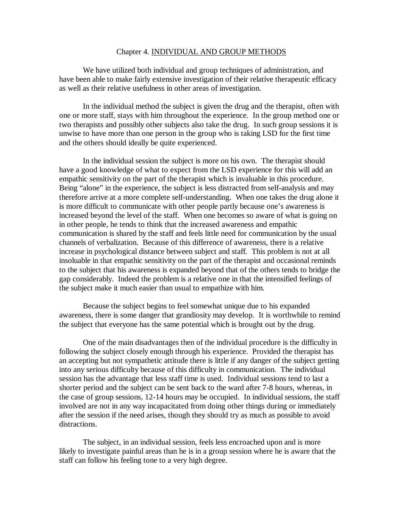# Chapter 4. INDIVIDUAL AND GROUP METHODS

 We have utilized both individual and group techniques of administration, and have been able to make fairly extensive investigation of their relative therapeutic efficacy as well as their relative usefulness in other areas of investigation.

 In the individual method the subject is given the drug and the therapist, often with one or more staff, stays with him throughout the experience. In the group method one or two therapists and possibly other subjects also take the drug. In such group sessions it is unwise to have more than one person in the group who is taking LSD for the first time and the others should ideally be quite experienced.

 In the individual session the subject is more on his own. The therapist should have a good knowledge of what to expect from the LSD experience for this will add an empathic sensitivity on the part of the therapist which is invaluable in this procedure. Being "alone" in the experience, the subject is less distracted from self-analysis and may therefore arrive at a more complete self-understanding. When one takes the drug alone it is more difficult to communicate with other people partly because one's awareness is increased beyond the level of the staff. When one becomes so aware of what is going on in other people, he tends to think that the increased awareness and empathic communication is shared by the staff and feels little need for communication by the usual channels of verbalization. Because of this difference of awareness, there is a relative increase in psychological distance between subject and staff. This problem is not at all insoluable in that empathic sensitivity on the part of the therapist and occasional reminds to the subject that his awareness is expanded beyond that of the others tends to bridge the gap considerably. Indeed the problem is a relative one in that the intensified feelings of the subject make it much easier than usual to empathize with him.

 Because the subject begins to feel somewhat unique due to his expanded awareness, there is some danger that grandiosity may develop. It is worthwhile to remind the subject that everyone has the same potential which is brought out by the drug.

 One of the main disadvantages then of the individual procedure is the difficulty in following the subject closely enough through his experience. Provided the therapist has an accepting but not sympathetic attitude there is little if any danger of the subject getting into any serious difficulty because of this difficulty in communication. The individual session has the advantage that less staff time is used. Individual sessions tend to last a shorter period and the subject can be sent back to the ward after 7-8 hours, whereas, in the case of group sessions, 12-14 hours may be occupied. In individual sessions, the staff involved are not in any way incapacitated from doing other things during or immediately after the session if the need arises, though they should try as much as possible to avoid distractions.

 The subject, in an individual session, feels less encroached upon and is more likely to investigate painful areas than he is in a group session where he is aware that the staff can follow his feeling tone to a very high degree.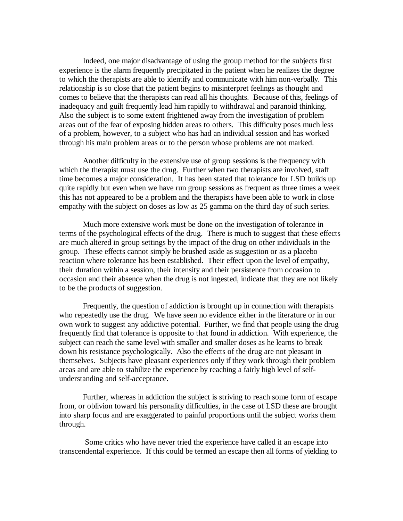Indeed, one major disadvantage of using the group method for the subjects first experience is the alarm frequently precipitated in the patient when he realizes the degree to which the therapists are able to identify and communicate with him non-verbally. This relationship is so close that the patient begins to misinterpret feelings as thought and comes to believe that the therapists can read all his thoughts. Because of this, feelings of inadequacy and guilt frequently lead him rapidly to withdrawal and paranoid thinking. Also the subject is to some extent frightened away from the investigation of problem areas out of the fear of exposing hidden areas to others. This difficulty poses much less of a problem, however, to a subject who has had an individual session and has worked through his main problem areas or to the person whose problems are not marked.

 Another difficulty in the extensive use of group sessions is the frequency with which the therapist must use the drug. Further when two therapists are involved, staff time becomes a major consideration. It has been stated that tolerance for LSD builds up quite rapidly but even when we have run group sessions as frequent as three times a week this has not appeared to be a problem and the therapists have been able to work in close empathy with the subject on doses as low as 25 gamma on the third day of such series.

 Much more extensive work must be done on the investigation of tolerance in terms of the psychological effects of the drug. There is much to suggest that these effects are much altered in group settings by the impact of the drug on other individuals in the group. These effects cannot simply be brushed aside as suggestion or as a placebo reaction where tolerance has been established. Their effect upon the level of empathy, their duration within a session, their intensity and their persistence from occasion to occasion and their absence when the drug is not ingested, indicate that they are not likely to be the products of suggestion.

 Frequently, the question of addiction is brought up in connection with therapists who repeatedly use the drug. We have seen no evidence either in the literature or in our own work to suggest any addictive potential. Further, we find that people using the drug frequently find that tolerance is opposite to that found in addiction. With experience, the subject can reach the same level with smaller and smaller doses as he learns to break down his resistance psychologically. Also the effects of the drug are not pleasant in themselves. Subjects have pleasant experiences only if they work through their problem areas and are able to stabilize the experience by reaching a fairly high level of selfunderstanding and self-acceptance.

 Further, whereas in addiction the subject is striving to reach some form of escape from, or oblivion toward his personality difficulties, in the case of LSD these are brought into sharp focus and are exaggerated to painful proportions until the subject works them through.

 Some critics who have never tried the experience have called it an escape into transcendental experience. If this could be termed an escape then all forms of yielding to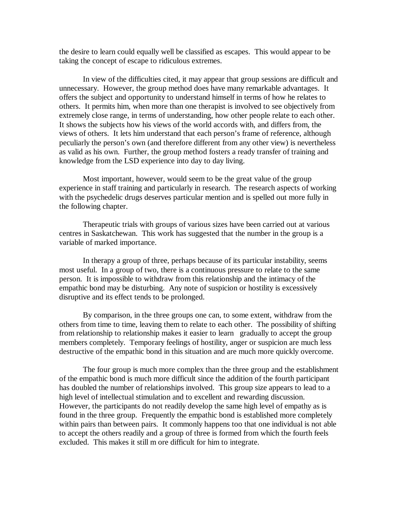the desire to learn could equally well be classified as escapes. This would appear to be taking the concept of escape to ridiculous extremes.

 In view of the difficulties cited, it may appear that group sessions are difficult and unnecessary. However, the group method does have many remarkable advantages. It offers the subject and opportunity to understand himself in terms of how he relates to others. It permits him, when more than one therapist is involved to see objectively from extremely close range, in terms of understanding, how other people relate to each other. It shows the subjects how his views of the world accords with, and differs from, the views of others. It lets him understand that each person's frame of reference, although peculiarly the person's own (and therefore different from any other view) is nevertheless as valid as his own. Further, the group method fosters a ready transfer of training and knowledge from the LSD experience into day to day living.

 Most important, however, would seem to be the great value of the group experience in staff training and particularly in research. The research aspects of working with the psychedelic drugs deserves particular mention and is spelled out more fully in the following chapter.

 Therapeutic trials with groups of various sizes have been carried out at various centres in Saskatchewan. This work has suggested that the number in the group is a variable of marked importance.

 In therapy a group of three, perhaps because of its particular instability, seems most useful. In a group of two, there is a continuous pressure to relate to the same person. It is impossible to withdraw from this relationship and the intimacy of the empathic bond may be disturbing. Any note of suspicion or hostility is excessively disruptive and its effect tends to be prolonged.

 By comparison, in the three groups one can, to some extent, withdraw from the others from time to time, leaving them to relate to each other. The possibility of shifting from relationship to relationship makes it easier to learn gradually to accept the group members completely. Temporary feelings of hostility, anger or suspicion are much less destructive of the empathic bond in this situation and are much more quickly overcome.

 The four group is much more complex than the three group and the establishment of the empathic bond is much more difficult since the addition of the fourth participant has doubled the number of relationships involved. This group size appears to lead to a high level of intellectual stimulation and to excellent and rewarding discussion. However, the participants do not readily develop the same high level of empathy as is found in the three group. Frequently the empathic bond is established more completely within pairs than between pairs. It commonly happens too that one individual is not able to accept the others readily and a group of three is formed from which the fourth feels excluded. This makes it still m ore difficult for him to integrate.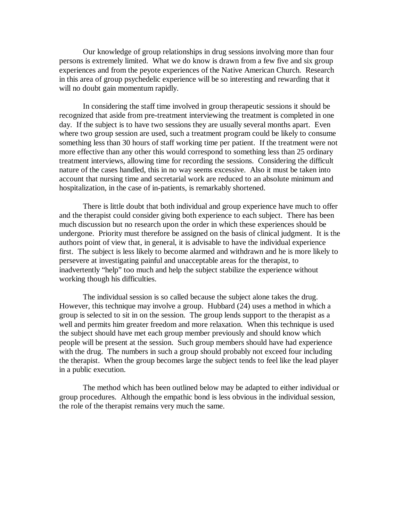Our knowledge of group relationships in drug sessions involving more than four persons is extremely limited. What we do know is drawn from a few five and six group experiences and from the peyote experiences of the Native American Church. Research in this area of group psychedelic experience will be so interesting and rewarding that it will no doubt gain momentum rapidly.

 In considering the staff time involved in group therapeutic sessions it should be recognized that aside from pre-treatment interviewing the treatment is completed in one day. If the subject is to have two sessions they are usually several months apart. Even where two group session are used, such a treatment program could be likely to consume something less than 30 hours of staff working time per patient. If the treatment were not more effective than any other this would correspond to something less than 25 ordinary treatment interviews, allowing time for recording the sessions. Considering the difficult nature of the cases handled, this in no way seems excessive. Also it must be taken into account that nursing time and secretarial work are reduced to an absolute minimum and hospitalization, in the case of in-patients, is remarkably shortened.

 There is little doubt that both individual and group experience have much to offer and the therapist could consider giving both experience to each subject. There has been much discussion but no research upon the order in which these experiences should be undergone. Priority must therefore be assigned on the basis of clinical judgment. It is the authors point of view that, in general, it is advisable to have the individual experience first. The subject is less likely to become alarmed and withdrawn and he is more likely to persevere at investigating painful and unacceptable areas for the therapist, to inadvertently "help" too much and help the subject stabilize the experience without working though his difficulties.

 The individual session is so called because the subject alone takes the drug. However, this technique may involve a group. Hubbard (24) uses a method in which a group is selected to sit in on the session. The group lends support to the therapist as a well and permits him greater freedom and more relaxation. When this technique is used the subject should have met each group member previously and should know which people will be present at the session. Such group members should have had experience with the drug. The numbers in such a group should probably not exceed four including the therapist. When the group becomes large the subject tends to feel like the lead player in a public execution.

 The method which has been outlined below may be adapted to either individual or group procedures. Although the empathic bond is less obvious in the individual session, the role of the therapist remains very much the same.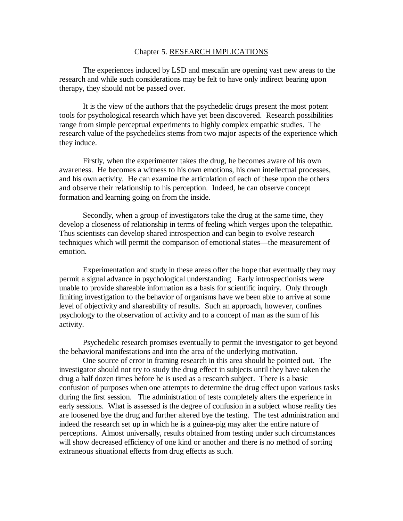#### Chapter 5. RESEARCH IMPLICATIONS

 The experiences induced by LSD and mescalin are opening vast new areas to the research and while such considerations may be felt to have only indirect bearing upon therapy, they should not be passed over.

 It is the view of the authors that the psychedelic drugs present the most potent tools for psychological research which have yet been discovered. Research possibilities range from simple perceptual experiments to highly complex empathic studies. The research value of the psychedelics stems from two major aspects of the experience which they induce.

 Firstly, when the experimenter takes the drug, he becomes aware of his own awareness. He becomes a witness to his own emotions, his own intellectual processes, and his own activity. He can examine the articulation of each of these upon the others and observe their relationship to his perception. Indeed, he can observe concept formation and learning going on from the inside.

 Secondly, when a group of investigators take the drug at the same time, they develop a closeness of relationship in terms of feeling which verges upon the telepathic. Thus scientists can develop shared introspection and can begin to evolve research techniques which will permit the comparison of emotional states—the measurement of emotion.

 Experimentation and study in these areas offer the hope that eventually they may permit a signal advance in psychological understanding. Early introspectionists were unable to provide shareable information as a basis for scientific inquiry. Only through limiting investigation to the behavior of organisms have we been able to arrive at some level of objectivity and shareability of results. Such an approach, however, confines psychology to the observation of activity and to a concept of man as the sum of his activity.

 Psychedelic research promises eventually to permit the investigator to get beyond the behavioral manifestations and into the area of the underlying motivation.

 One source of error in framing research in this area should be pointed out. The investigator should not try to study the drug effect in subjects until they have taken the drug a half dozen times before he is used as a research subject. There is a basic confusion of purposes when one attempts to determine the drug effect upon various tasks during the first session. The administration of tests completely alters the experience in early sessions. What is assessed is the degree of confusion in a subject whose reality ties are loosened bye the drug and further altered bye the testing. The test administration and indeed the research set up in which he is a guinea-pig may alter the entire nature of perceptions. Almost universally, results obtained from testing under such circumstances will show decreased efficiency of one kind or another and there is no method of sorting extraneous situational effects from drug effects as such.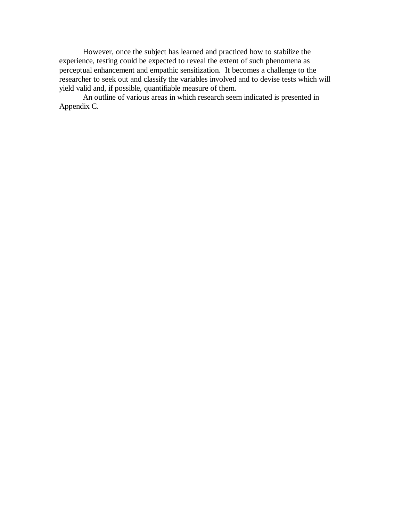However, once the subject has learned and practiced how to stabilize the experience, testing could be expected to reveal the extent of such phenomena as perceptual enhancement and empathic sensitization. It becomes a challenge to the researcher to seek out and classify the variables involved and to devise tests which will yield valid and, if possible, quantifiable measure of them.

 An outline of various areas in which research seem indicated is presented in Appendix C.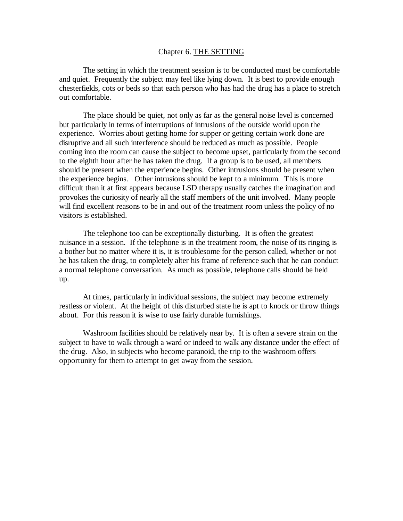#### Chapter 6. THE SETTING

 The setting in which the treatment session is to be conducted must be comfortable and quiet. Frequently the subject may feel like lying down. It is best to provide enough chesterfields, cots or beds so that each person who has had the drug has a place to stretch out comfortable.

 The place should be quiet, not only as far as the general noise level is concerned but particularly in terms of interruptions of intrusions of the outside world upon the experience. Worries about getting home for supper or getting certain work done are disruptive and all such interference should be reduced as much as possible. People coming into the room can cause the subject to become upset, particularly from the second to the eighth hour after he has taken the drug. If a group is to be used, all members should be present when the experience begins. Other intrusions should be present when the experience begins. Other intrusions should be kept to a minimum. This is more difficult than it at first appears because LSD therapy usually catches the imagination and provokes the curiosity of nearly all the staff members of the unit involved. Many people will find excellent reasons to be in and out of the treatment room unless the policy of no visitors is established.

 The telephone too can be exceptionally disturbing. It is often the greatest nuisance in a session. If the telephone is in the treatment room, the noise of its ringing is a bother but no matter where it is, it is troublesome for the person called, whether or not he has taken the drug, to completely alter his frame of reference such that he can conduct a normal telephone conversation. As much as possible, telephone calls should be held up.

 At times, particularly in individual sessions, the subject may become extremely restless or violent. At the height of this disturbed state he is apt to knock or throw things about. For this reason it is wise to use fairly durable furnishings.

 Washroom facilities should be relatively near by. It is often a severe strain on the subject to have to walk through a ward or indeed to walk any distance under the effect of the drug. Also, in subjects who become paranoid, the trip to the washroom offers opportunity for them to attempt to get away from the session.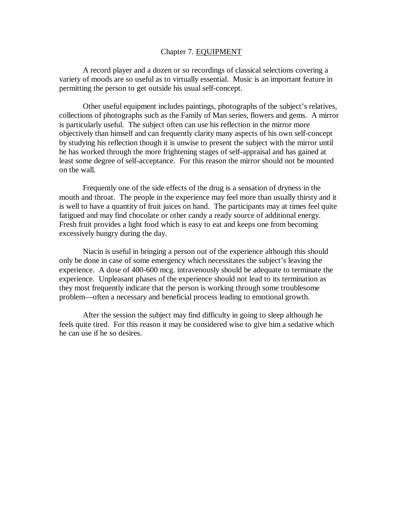### Chapter 7. EQUIPMENT

 A record player and a dozen or so recordings of classical selections covering a variety of moods are so useful as to virtually essential. Music is an important feature in permitting the person to get outside his usual self-concept.

 Other useful equipment includes paintings, photographs of the subject's relatives, collections of photographs such as the Family of Man series, flowers and gems. A mirror is particularly useful. The subject often can use his reflection in the mirror more objectively than himself and can frequently clarity many aspects of his own self-concept by studying his reflection though it is unwise to present the subject with the mirror until he has worked through the more frightening stages of self-appraisal and has gained at least some degree of self-acceptance. For this reason the mirror should not be mounted on the wall.

 Frequently one of the side effects of the drug is a sensation of dryness in the mouth and throat. The people in the experience may feel more than usually thirsty and it is well to have a quantity of fruit juices on hand. The participants may at times feel quite fatigued and may find chocolate or other candy a ready source of additional energy. Fresh fruit provides a light food which is easy to eat and keeps one from becoming excessively hungry during the day.

 Niacin is useful in bringing a person out of the experience although this should only be done in case of some emergency which necessitates the subject's leaving the experience. A dose of 400-600 mcg. intravenously should be adequate to terminate the experience. Unpleasant phases of the experience should not lead to its termination as they most frequently indicate that the person is working through some troublesome problem—often a necessary and beneficial process leading to emotional growth.

 After the session the subject may find difficulty in going to sleep although he feels quite tired. For this reason it may be considered wise to give him a sedative which he can use if he so desires.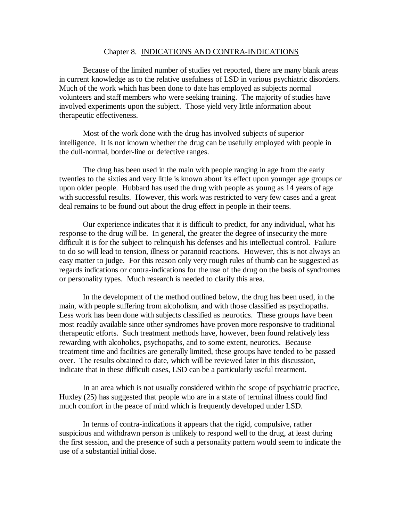## Chapter 8. INDICATIONS AND CONTRA-INDICATIONS

 Because of the limited number of studies yet reported, there are many blank areas in current knowledge as to the relative usefulness of LSD in various psychiatric disorders. Much of the work which has been done to date has employed as subjects normal volunteers and staff members who were seeking training. The majority of studies have involved experiments upon the subject. Those yield very little information about therapeutic effectiveness.

 Most of the work done with the drug has involved subjects of superior intelligence. It is not known whether the drug can be usefully employed with people in the dull-normal, border-line or defective ranges.

 The drug has been used in the main with people ranging in age from the early twenties to the sixties and very little is known about its effect upon younger age groups or upon older people. Hubbard has used the drug with people as young as 14 years of age with successful results. However, this work was restricted to very few cases and a great deal remains to be found out about the drug effect in people in their teens.

 Our experience indicates that it is difficult to predict, for any individual, what his response to the drug will be. In general, the greater the degree of insecurity the more difficult it is for the subject to relinquish his defenses and his intellectual control. Failure to do so will lead to tension, illness or paranoid reactions. However, this is not always an easy matter to judge. For this reason only very rough rules of thumb can be suggested as regards indications or contra-indications for the use of the drug on the basis of syndromes or personality types. Much research is needed to clarify this area.

 In the development of the method outlined below, the drug has been used, in the main, with people suffering from alcoholism, and with those classified as psychopaths. Less work has been done with subjects classified as neurotics. These groups have been most readily available since other syndromes have proven more responsive to traditional therapeutic efforts. Such treatment methods have, however, been found relatively less rewarding with alcoholics, psychopaths, and to some extent, neurotics. Because treatment time and facilities are generally limited, these groups have tended to be passed over. The results obtained to date, which will be reviewed later in this discussion, indicate that in these difficult cases, LSD can be a particularly useful treatment.

 In an area which is not usually considered within the scope of psychiatric practice, Huxley (25) has suggested that people who are in a state of terminal illness could find much comfort in the peace of mind which is frequently developed under LSD.

 In terms of contra-indications it appears that the rigid, compulsive, rather suspicious and withdrawn person is unlikely to respond well to the drug, at least during the first session, and the presence of such a personality pattern would seem to indicate the use of a substantial initial dose.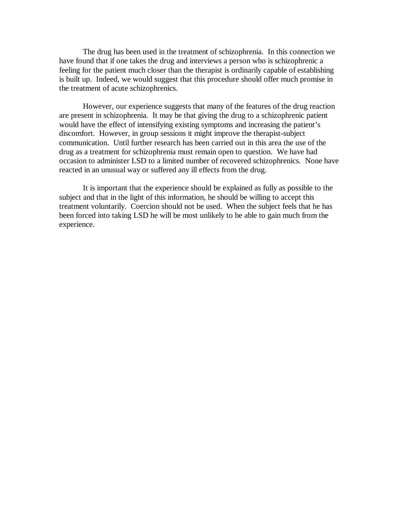The drug has been used in the treatment of schizophrenia. In this connection we have found that if one takes the drug and interviews a person who is schizophrenic a feeling for the patient much closer than the therapist is ordinarily capable of establishing is built up. Indeed, we would suggest that this procedure should offer much promise in the treatment of acute schizophrenics.

 However, our experience suggests that many of the features of the drug reaction are present in schizophrenia. It may be that giving the drug to a schizophrenic patient would have the effect of intensifying existing symptoms and increasing the patient's discomfort. However, in group sessions it might improve the therapist-subject communication. Until further research has been carried out in this area the use of the drug as a treatment for schizophrenia must remain open to question. We have had occasion to administer LSD to a limited number of recovered schizophrenics. None have reacted in an unusual way or suffered any ill effects from the drug.

 It is important that the experience should be explained as fully as possible to the subject and that in the light of this information, he should be willing to accept this treatment voluntarily. Coercion should not be used. When the subject feels that he has been forced into taking LSD he will be most unlikely to be able to gain much from the experience.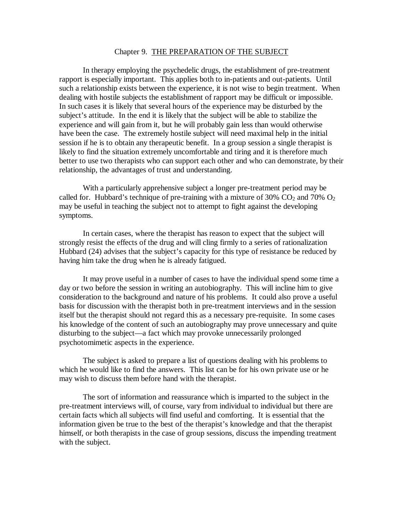## Chapter 9. THE PREPARATION OF THE SUBJECT

 In therapy employing the psychedelic drugs, the establishment of pre-treatment rapport is especially important. This applies both to in-patients and out-patients. Until such a relationship exists between the experience, it is not wise to begin treatment. When dealing with hostile subjects the establishment of rapport may be difficult or impossible. In such cases it is likely that several hours of the experience may be disturbed by the subject's attitude. In the end it is likely that the subject will be able to stabilize the experience and will gain from it, but he will probably gain less than would otherwise have been the case. The extremely hostile subject will need maximal help in the initial session if he is to obtain any therapeutic benefit. In a group session a single therapist is likely to find the situation extremely uncomfortable and tiring and it is therefore much better to use two therapists who can support each other and who can demonstrate, by their relationship, the advantages of trust and understanding.

 With a particularly apprehensive subject a longer pre-treatment period may be called for. Hubbard's technique of pre-training with a mixture of 30%  $CO_2$  and 70%  $O_2$ may be useful in teaching the subject not to attempt to fight against the developing symptoms.

 In certain cases, where the therapist has reason to expect that the subject will strongly resist the effects of the drug and will cling firmly to a series of rationalization Hubbard (24) advises that the subject's capacity for this type of resistance be reduced by having him take the drug when he is already fatigued.

 It may prove useful in a number of cases to have the individual spend some time a day or two before the session in writing an autobiography. This will incline him to give consideration to the background and nature of his problems. It could also prove a useful basis for discussion with the therapist both in pre-treatment interviews and in the session itself but the therapist should not regard this as a necessary pre-requisite. In some cases his knowledge of the content of such an autobiography may prove unnecessary and quite disturbing to the subject—a fact which may provoke unnecessarily prolonged psychotomimetic aspects in the experience.

 The subject is asked to prepare a list of questions dealing with his problems to which he would like to find the answers. This list can be for his own private use or he may wish to discuss them before hand with the therapist.

 The sort of information and reassurance which is imparted to the subject in the pre-treatment interviews will, of course, vary from individual to individual but there are certain facts which all subjects will find useful and comforting. It is essential that the information given be true to the best of the therapist's knowledge and that the therapist himself, or both therapists in the case of group sessions, discuss the impending treatment with the subject.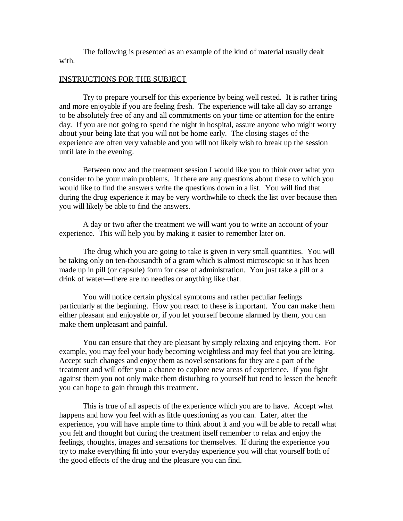The following is presented as an example of the kind of material usually dealt with.

# INSTRUCTIONS FOR THE SUBJECT

 Try to prepare yourself for this experience by being well rested. It is rather tiring and more enjoyable if you are feeling fresh. The experience will take all day so arrange to be absolutely free of any and all commitments on your time or attention for the entire day. If you are not going to spend the night in hospital, assure anyone who might worry about your being late that you will not be home early. The closing stages of the experience are often very valuable and you will not likely wish to break up the session until late in the evening.

 Between now and the treatment session I would like you to think over what you consider to be your main problems. If there are any questions about these to which you would like to find the answers write the questions down in a list. You will find that during the drug experience it may be very worthwhile to check the list over because then you will likely be able to find the answers.

 A day or two after the treatment we will want you to write an account of your experience. This will help you by making it easier to remember later on.

 The drug which you are going to take is given in very small quantities. You will be taking only on ten-thousandth of a gram which is almost microscopic so it has been made up in pill (or capsule) form for case of administration. You just take a pill or a drink of water—there are no needles or anything like that.

 You will notice certain physical symptoms and rather peculiar feelings particularly at the beginning. How you react to these is important. You can make them either pleasant and enjoyable or, if you let yourself become alarmed by them, you can make them unpleasant and painful.

 You can ensure that they are pleasant by simply relaxing and enjoying them. For example, you may feel your body becoming weightless and may feel that you are letting. Accept such changes and enjoy them as novel sensations for they are a part of the treatment and will offer you a chance to explore new areas of experience. If you fight against them you not only make them disturbing to yourself but tend to lessen the benefit you can hope to gain through this treatment.

 This is true of all aspects of the experience which you are to have. Accept what happens and how you feel with as little questioning as you can. Later, after the experience, you will have ample time to think about it and you will be able to recall what you felt and thought but during the treatment itself remember to relax and enjoy the feelings, thoughts, images and sensations for themselves. If during the experience you try to make everything fit into your everyday experience you will chat yourself both of the good effects of the drug and the pleasure you can find.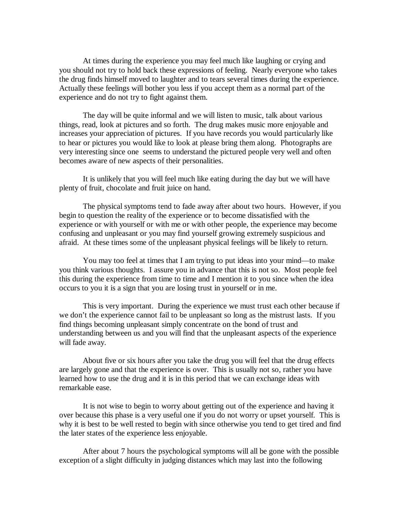At times during the experience you may feel much like laughing or crying and you should not try to hold back these expressions of feeling. Nearly everyone who takes the drug finds himself moved to laughter and to tears several times during the experience. Actually these feelings will bother you less if you accept them as a normal part of the experience and do not try to fight against them.

 The day will be quite informal and we will listen to music, talk about various things, read, look at pictures and so forth. The drug makes music more enjoyable and increases your appreciation of pictures. If you have records you would particularly like to hear or pictures you would like to look at please bring them along. Photographs are very interesting since one seems to understand the pictured people very well and often becomes aware of new aspects of their personalities.

 It is unlikely that you will feel much like eating during the day but we will have plenty of fruit, chocolate and fruit juice on hand.

 The physical symptoms tend to fade away after about two hours. However, if you begin to question the reality of the experience or to become dissatisfied with the experience or with yourself or with me or with other people, the experience may become confusing and unpleasant or you may find yourself growing extremely suspicious and afraid. At these times some of the unpleasant physical feelings will be likely to return.

 You may too feel at times that I am trying to put ideas into your mind—to make you think various thoughts. I assure you in advance that this is not so. Most people feel this during the experience from time to time and I mention it to you since when the idea occurs to you it is a sign that you are losing trust in yourself or in me.

 This is very important. During the experience we must trust each other because if we don't the experience cannot fail to be unpleasant so long as the mistrust lasts. If you find things becoming unpleasant simply concentrate on the bond of trust and understanding between us and you will find that the unpleasant aspects of the experience will fade away.

 About five or six hours after you take the drug you will feel that the drug effects are largely gone and that the experience is over. This is usually not so, rather you have learned how to use the drug and it is in this period that we can exchange ideas with remarkable ease.

 It is not wise to begin to worry about getting out of the experience and having it over because this phase is a very useful one if you do not worry or upset yourself. This is why it is best to be well rested to begin with since otherwise you tend to get tired and find the later states of the experience less enjoyable.

 After about 7 hours the psychological symptoms will all be gone with the possible exception of a slight difficulty in judging distances which may last into the following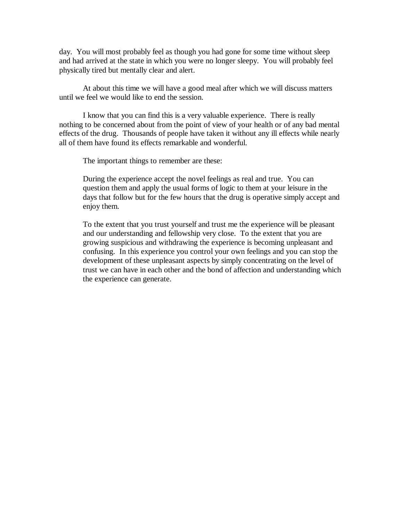day. You will most probably feel as though you had gone for some time without sleep and had arrived at the state in which you were no longer sleepy. You will probably feel physically tired but mentally clear and alert.

 At about this time we will have a good meal after which we will discuss matters until we feel we would like to end the session.

 I know that you can find this is a very valuable experience. There is really nothing to be concerned about from the point of view of your health or of any bad mental effects of the drug. Thousands of people have taken it without any ill effects while nearly all of them have found its effects remarkable and wonderful.

The important things to remember are these:

During the experience accept the novel feelings as real and true. You can question them and apply the usual forms of logic to them at your leisure in the days that follow but for the few hours that the drug is operative simply accept and enjoy them.

To the extent that you trust yourself and trust me the experience will be pleasant and our understanding and fellowship very close. To the extent that you are growing suspicious and withdrawing the experience is becoming unpleasant and confusing. In this experience you control your own feelings and you can stop the development of these unpleasant aspects by simply concentrating on the level of trust we can have in each other and the bond of affection and understanding which the experience can generate.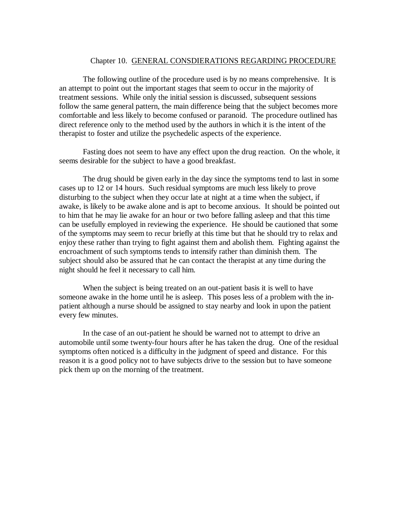## Chapter 10. GENERAL CONSDIERATIONS REGARDING PROCEDURE

 The following outline of the procedure used is by no means comprehensive. It is an attempt to point out the important stages that seem to occur in the majority of treatment sessions. While only the initial session is discussed, subsequent sessions follow the same general pattern, the main difference being that the subject becomes more comfortable and less likely to become confused or paranoid. The procedure outlined has direct reference only to the method used by the authors in which it is the intent of the therapist to foster and utilize the psychedelic aspects of the experience.

 Fasting does not seem to have any effect upon the drug reaction. On the whole, it seems desirable for the subject to have a good breakfast.

 The drug should be given early in the day since the symptoms tend to last in some cases up to 12 or 14 hours. Such residual symptoms are much less likely to prove disturbing to the subject when they occur late at night at a time when the subject, if awake, is likely to be awake alone and is apt to become anxious. It should be pointed out to him that he may lie awake for an hour or two before falling asleep and that this time can be usefully employed in reviewing the experience. He should be cautioned that some of the symptoms may seem to recur briefly at this time but that he should try to relax and enjoy these rather than trying to fight against them and abolish them. Fighting against the encroachment of such symptoms tends to intensify rather than diminish them. The subject should also be assured that he can contact the therapist at any time during the night should he feel it necessary to call him.

 When the subject is being treated on an out-patient basis it is well to have someone awake in the home until he is asleep. This poses less of a problem with the inpatient although a nurse should be assigned to stay nearby and look in upon the patient every few minutes.

 In the case of an out-patient he should be warned not to attempt to drive an automobile until some twenty-four hours after he has taken the drug. One of the residual symptoms often noticed is a difficulty in the judgment of speed and distance. For this reason it is a good policy not to have subjects drive to the session but to have someone pick them up on the morning of the treatment.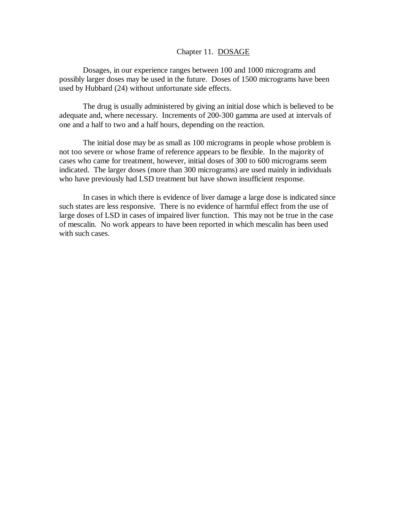# Chapter 11. DOSAGE

 Dosages, in our experience ranges between 100 and 1000 micrograms and possibly larger doses may be used in the future. Doses of 1500 micrograms have been used by Hubbard (24) without unfortunate side effects.

 The drug is usually administered by giving an initial dose which is believed to be adequate and, where necessary. Increments of 200-300 gamma are used at intervals of one and a half to two and a half hours, depending on the reaction.

 The initial dose may be as small as 100 micrograms in people whose problem is not too severe or whose frame of reference appears to be flexible. In the majority of cases who came for treatment, however, initial doses of 300 to 600 micrograms seem indicated. The larger doses (more than 300 micrograms) are used mainly in individuals who have previously had LSD treatment but have shown insufficient response.

 In cases in which there is evidence of liver damage a large dose is indicated since such states are less responsive. There is no evidence of harmful effect from the use of large doses of LSD in cases of impaired liver function. This may not be true in the case of mescalin. No work appears to have been reported in which mescalin has been used with such cases.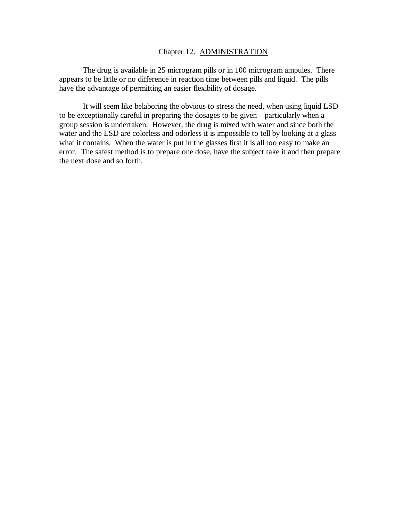# Chapter 12. ADMINISTRATION

 The drug is available in 25 microgram pills or in 100 microgram ampules. There appears to be little or no difference in reaction time between pills and liquid. The pills have the advantage of permitting an easier flexibility of dosage.

 It will seem like belaboring the obvious to stress the need, when using liquid LSD to be exceptionally careful in preparing the dosages to be given—particularly when a group session is undertaken. However, the drug is mixed with water and since both the water and the LSD are colorless and odorless it is impossible to tell by looking at a glass what it contains. When the water is put in the glasses first it is all too easy to make an error. The safest method is to prepare one dose, have the subject take it and then prepare the next dose and so forth.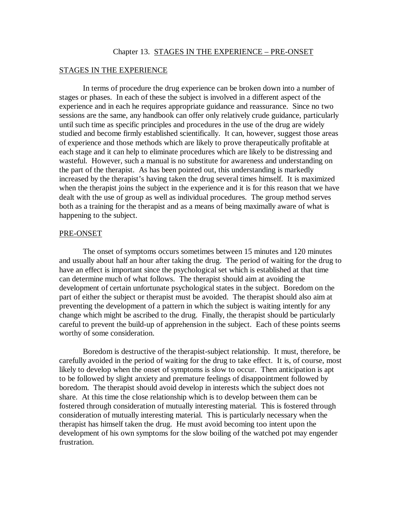### STAGES IN THE EXPERIENCE

 In terms of procedure the drug experience can be broken down into a number of stages or phases. In each of these the subject is involved in a different aspect of the experience and in each he requires appropriate guidance and reassurance. Since no two sessions are the same, any handbook can offer only relatively crude guidance, particularly until such time as specific principles and procedures in the use of the drug are widely studied and become firmly established scientifically. It can, however, suggest those areas of experience and those methods which are likely to prove therapeutically profitable at each stage and it can help to eliminate procedures which are likely to be distressing and wasteful. However, such a manual is no substitute for awareness and understanding on the part of the therapist. As has been pointed out, this understanding is markedly increased by the therapist's having taken the drug several times himself. It is maximized when the therapist joins the subject in the experience and it is for this reason that we have dealt with the use of group as well as individual procedures. The group method serves both as a training for the therapist and as a means of being maximally aware of what is happening to the subject.

#### PRE-ONSET

 The onset of symptoms occurs sometimes between 15 minutes and 120 minutes and usually about half an hour after taking the drug. The period of waiting for the drug to have an effect is important since the psychological set which is established at that time can determine much of what follows. The therapist should aim at avoiding the development of certain unfortunate psychological states in the subject. Boredom on the part of either the subject or therapist must be avoided. The therapist should also aim at preventing the development of a pattern in which the subject is waiting intently for any change which might be ascribed to the drug. Finally, the therapist should be particularly careful to prevent the build-up of apprehension in the subject. Each of these points seems worthy of some consideration.

 Boredom is destructive of the therapist-subject relationship. It must, therefore, be carefully avoided in the period of waiting for the drug to take effect. It is, of course, most likely to develop when the onset of symptoms is slow to occur. Then anticipation is apt to be followed by slight anxiety and premature feelings of disappointment followed by boredom. The therapist should avoid develop in interests which the subject does not share. At this time the close relationship which is to develop between them can be fostered through consideration of mutually interesting material. This is fostered through consideration of mutually interesting material. This is particularly necessary when the therapist has himself taken the drug. He must avoid becoming too intent upon the development of his own symptoms for the slow boiling of the watched pot may engender frustration.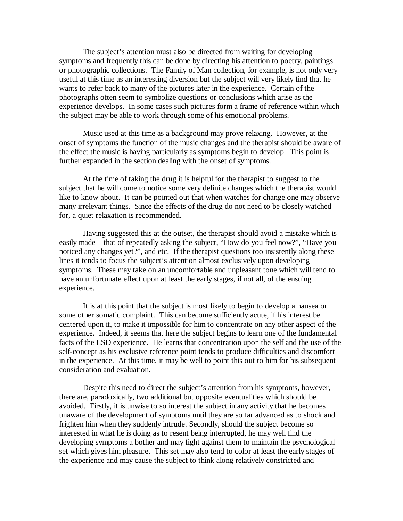The subject's attention must also be directed from waiting for developing symptoms and frequently this can be done by directing his attention to poetry, paintings or photographic collections. The Family of Man collection, for example, is not only very useful at this time as an interesting diversion but the subject will very likely find that he wants to refer back to many of the pictures later in the experience. Certain of the photographs often seem to symbolize questions or conclusions which arise as the experience develops. In some cases such pictures form a frame of reference within which the subject may be able to work through some of his emotional problems.

 Music used at this time as a background may prove relaxing. However, at the onset of symptoms the function of the music changes and the therapist should be aware of the effect the music is having particularly as symptoms begin to develop. This point is further expanded in the section dealing with the onset of symptoms.

 At the time of taking the drug it is helpful for the therapist to suggest to the subject that he will come to notice some very definite changes which the therapist would like to know about. It can be pointed out that when watches for change one may observe many irrelevant things. Since the effects of the drug do not need to be closely watched for, a quiet relaxation is recommended.

 Having suggested this at the outset, the therapist should avoid a mistake which is easily made – that of repeatedly asking the subject, "How do you feel now?", "Have you noticed any changes yet?", and etc. If the therapist questions too insistently along these lines it tends to focus the subject's attention almost exclusively upon developing symptoms. These may take on an uncomfortable and unpleasant tone which will tend to have an unfortunate effect upon at least the early stages, if not all, of the ensuing experience.

 It is at this point that the subject is most likely to begin to develop a nausea or some other somatic complaint. This can become sufficiently acute, if his interest be centered upon it, to make it impossible for him to concentrate on any other aspect of the experience. Indeed, it seems that here the subject begins to learn one of the fundamental facts of the LSD experience. He learns that concentration upon the self and the use of the self-concept as his exclusive reference point tends to produce difficulties and discomfort in the experience. At this time, it may be well to point this out to him for his subsequent consideration and evaluation.

 Despite this need to direct the subject's attention from his symptoms, however, there are, paradoxically, two additional but opposite eventualities which should be avoided. Firstly, it is unwise to so interest the subject in any activity that he becomes unaware of the development of symptoms until they are so far advanced as to shock and frighten him when they suddenly intrude. Secondly, should the subject become so interested in what he is doing as to resent being interrupted, he may well find the developing symptoms a bother and may fight against them to maintain the psychological set which gives him pleasure. This set may also tend to color at least the early stages of the experience and may cause the subject to think along relatively constricted and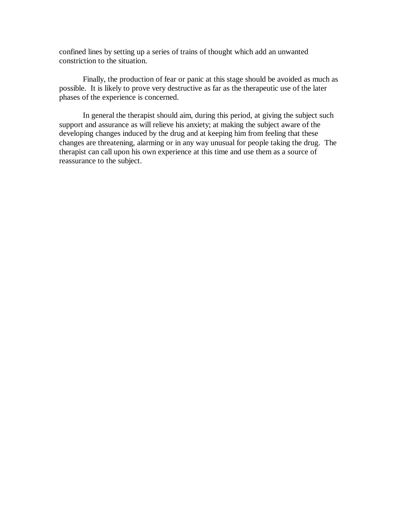confined lines by setting up a series of trains of thought which add an unwanted constriction to the situation.

 Finally, the production of fear or panic at this stage should be avoided as much as possible. It is likely to prove very destructive as far as the therapeutic use of the later phases of the experience is concerned.

 In general the therapist should aim, during this period, at giving the subject such support and assurance as will relieve his anxiety; at making the subject aware of the developing changes induced by the drug and at keeping him from feeling that these changes are threatening, alarming or in any way unusual for people taking the drug. The therapist can call upon his own experience at this time and use them as a source of reassurance to the subject.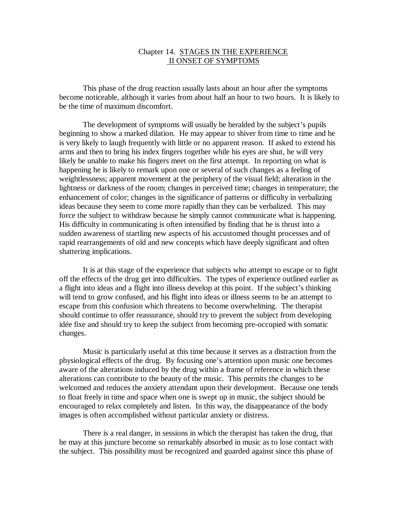# Chapter 14. STAGES IN THE EXPERIENCE II ONSET OF SYMPTOMS

 This phase of the drug reaction usually lasts about an hour after the symptoms become noticeable, although it varies from about half an hour to two hours. It is likely to be the time of maximum discomfort.

 The development of symptoms will usually be heralded by the subject's pupils beginning to show a marked dilation. He may appear to shiver from time to time and he is very likely to laugh frequently with little or no apparent reason. If asked to extend his arms and then to bring his index fingers together while his eyes are shut, he will very likely be unable to make his fingers meet on the first attempt. In reporting on what is happening he is likely to remark upon one or several of such changes as a feeling of weightlessness; apparent movement at the periphery of the visual field; alteration in the lightness or darkness of the room; changes in perceived time; changes in temperature; the enhancement of color; changes in the significance of patterns or difficulty in verbalizing ideas because they seem to come more rapidly than they can be verbalized. This may force the subject to withdraw because he simply cannot communicate what is happening. His difficulty in communicating is often intensified by finding that he is thrust into a sudden awareness of startling new aspects of his accustomed thought processes and of rapid rearrangements of old and new concepts which have deeply significant and often shattering implications.

 It is at this stage of the experience that subjects who attempt to escape or to fight off the effects of the drug get into difficulties. The types of experience outlined earlier as a flight into ideas and a flight into illness develop at this point. If the subject's thinking will tend to grow confused, and his flight into ideas or illness seems to be an attempt to escape from this confusion which threatens to become overwhelming. The therapist should continue to offer reassurance, should try to prevent the subject from developing idée fixe and should try to keep the subject from becoming pre-occupied with somatic changes.

 Music is particularly useful at this time because it serves as a distraction from the physiological effects of the drug. By focusing one's attention upon music one becomes aware of the alterations induced by the drug within a frame of reference in which these alterations can contribute to the beauty of the music. This permits the changes to be welcomed and reduces the anxiety attendant upon their development. Because one tends to float freely in time and space when one is swept up in music, the subject should be encouraged to relax completely and listen. In this way, the disappearance of the body images is often accomplished without particular anxiety or distress.

 There is a real danger, in sessions in which the therapist has taken the drug, that he may at this juncture become so remarkably absorbed in music as to lose contact with the subject. This possibility must be recognized and guarded against since this phase of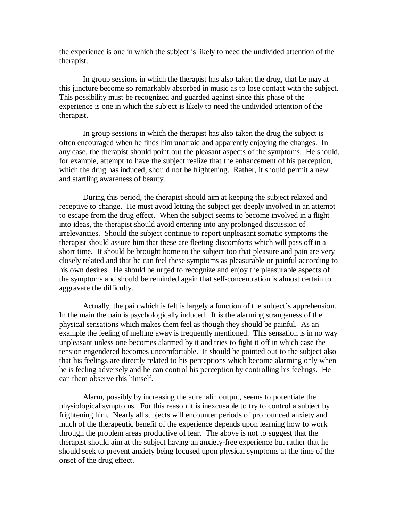the experience is one in which the subject is likely to need the undivided attention of the therapist.

 In group sessions in which the therapist has also taken the drug, that he may at this juncture become so remarkably absorbed in music as to lose contact with the subject. This possibility must be recognized and guarded against since this phase of the experience is one in which the subject is likely to need the undivided attention of the therapist.

 In group sessions in which the therapist has also taken the drug the subject is often encouraged when he finds him unafraid and apparently enjoying the changes. In any case, the therapist should point out the pleasant aspects of the symptoms. He should, for example, attempt to have the subject realize that the enhancement of his perception, which the drug has induced, should not be frightening. Rather, it should permit a new and startling awareness of beauty.

 During this period, the therapist should aim at keeping the subject relaxed and receptive to change. He must avoid letting the subject get deeply involved in an attempt to escape from the drug effect. When the subject seems to become involved in a flight into ideas, the therapist should avoid entering into any prolonged discussion of irrelevancies. Should the subject continue to report unpleasant somatic symptoms the therapist should assure him that these are fleeting discomforts which will pass off in a short time. It should be brought home to the subject too that pleasure and pain are very closely related and that he can feel these symptoms as pleasurable or painful according to his own desires. He should be urged to recognize and enjoy the pleasurable aspects of the symptoms and should be reminded again that self-concentration is almost certain to aggravate the difficulty.

 Actually, the pain which is felt is largely a function of the subject's apprehension. In the main the pain is psychologically induced. It is the alarming strangeness of the physical sensations which makes them feel as though they should be painful. As an example the feeling of melting away is frequently mentioned. This sensation is in no way unpleasant unless one becomes alarmed by it and tries to fight it off in which case the tension engendered becomes uncomfortable. It should be pointed out to the subject also that his feelings are directly related to his perceptions which become alarming only when he is feeling adversely and he can control his perception by controlling his feelings. He can them observe this himself.

 Alarm, possibly by increasing the adrenalin output, seems to potentiate the physiological symptoms. For this reason it is inexcusable to try to control a subject by frightening him. Nearly all subjects will encounter periods of pronounced anxiety and much of the therapeutic benefit of the experience depends upon learning how to work through the problem areas productive of fear. The above is not to suggest that the therapist should aim at the subject having an anxiety-free experience but rather that he should seek to prevent anxiety being focused upon physical symptoms at the time of the onset of the drug effect.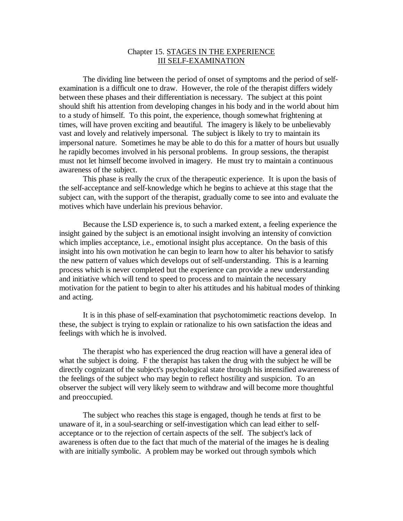# Chapter 15. STAGES IN THE EXPERIENCE III SELF-EXAMINATION

 The dividing line between the period of onset of symptoms and the period of selfexamination is a difficult one to draw. However, the role of the therapist differs widely between these phases and their differentiation is necessary. The subject at this point should shift his attention from developing changes in his body and in the world about him to a study of himself. To this point, the experience, though somewhat frightening at times, will have proven exciting and beautiful. The imagery is likely to be unbelievably vast and lovely and relatively impersonal. The subject is likely to try to maintain its impersonal nature. Sometimes he may be able to do this for a matter of hours but usually he rapidly becomes involved in his personal problems. In group sessions, the therapist must not let himself become involved in imagery. He must try to maintain a continuous awareness of the subject.

 This phase is really the crux of the therapeutic experience. It is upon the basis of the self-acceptance and self-knowledge which he begins to achieve at this stage that the subject can, with the support of the therapist, gradually come to see into and evaluate the motives which have underlain his previous behavior.

 Because the LSD experience is, to such a marked extent, a feeling experience the insight gained by the subject is an emotional insight involving an intensity of conviction which implies acceptance, i.e., emotional insight plus acceptance. On the basis of this insight into his own motivation he can begin to learn how to alter his behavior to satisfy the new pattern of values which develops out of self-understanding. This is a learning process which is never completed but the experience can provide a new understanding and initiative which will tend to speed to process and to maintain the necessary motivation for the patient to begin to alter his attitudes and his habitual modes of thinking and acting.

 It is in this phase of self-examination that psychotomimetic reactions develop. In these, the subject is trying to explain or rationalize to his own satisfaction the ideas and feelings with which he is involved.

 The therapist who has experienced the drug reaction will have a general idea of what the subject is doing. F the therapist has taken the drug with the subject he will be directly cognizant of the subject's psychological state through his intensified awareness of the feelings of the subject who may begin to reflect hostility and suspicion. To an observer the subject will very likely seem to withdraw and will become more thoughtful and preoccupied.

 The subject who reaches this stage is engaged, though he tends at first to be unaware of it, in a soul-searching or self-investigation which can lead either to selfacceptance or to the rejection of certain aspects of the self. The subject's lack of awareness is often due to the fact that much of the material of the images he is dealing with are initially symbolic. A problem may be worked out through symbols which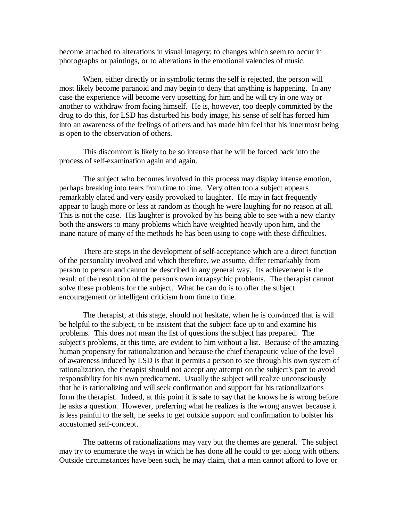become attached to alterations in visual imagery; to changes which seem to occur in photographs or paintings, or to alterations in the emotional valencies of music.

 When, either directly or in symbolic terms the self is rejected, the person will most likely become paranoid and may begin to deny that anything is happening. In any case the experience will become very upsetting for him and he will try in one way or another to withdraw from facing himself. He is, however, too deeply committed by the drug to do this, for LSD has disturbed his body image, his sense of self has forced him into an awareness of the feelings of others and has made him feel that his innermost being is open to the observation of others.

 This discomfort is likely to be so intense that he will be forced back into the process of self-examination again and again.

 The subject who becomes involved in this process may display intense emotion, perhaps breaking into tears from time to time. Very often too a subject appears remarkably elated and very easily provoked to laughter. He may in fact frequently appear to laugh more or less at random as though he were laughing for no reason at all. This is not the case. His laughter is provoked by his being able to see with a new clarity both the answers to many problems which have weighted heavily upon him, and the inane nature of many of the methods he has been using to cope with these difficulties.

 There are steps in the development of self-acceptance which are a direct function of the personality involved and which therefore, we assume, differ remarkably from person to person and cannot be described in any general way. Its achievement is the result of the resolution of the person's own intrapsychic problems. The therapist cannot solve these problems for the subject. What he can do is to offer the subject encouragement or intelligent criticism from time to time.

 The therapist, at this stage, should not hesitate, when he is convinced that is will be helpful to the subject, to be insistent that the subject face up to and examine his problems. This does not mean the list of questions the subject has prepared. The subject's problems, at this time, are evident to him without a list. Because of the amazing human propensity for rationalization and because the chief therapeutic value of the level of awareness induced by LSD is that it permits a person to see through his own system of rationalization, the therapist should not accept any attempt on the subject's part to avoid responsibility for his own predicament. Usually the subject will realize unconsciously that he is rationalizing and will seek confirmation and support for his rationalizations form the therapist. Indeed, at this point it is safe to say that he knows he is wrong before he asks a question. However, preferring what he realizes is the wrong answer because it is less painful to the self, he seeks to get outside support and confirmation to bolster his accustomed self-concept.

 The patterns of rationalizations may vary but the themes are general. The subject may try to enumerate the ways in which he has done all he could to get along with others. Outside circumstances have been such, he may claim, that a man cannot afford to love or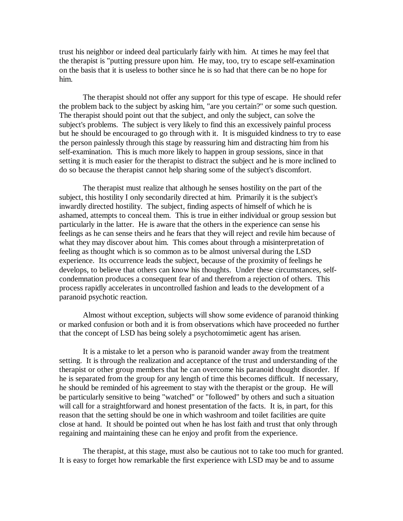trust his neighbor or indeed deal particularly fairly with him. At times he may feel that the therapist is "putting pressure upon him. He may, too, try to escape self-examination on the basis that it is useless to bother since he is so had that there can be no hope for him.

 The therapist should not offer any support for this type of escape. He should refer the problem back to the subject by asking him, "are you certain?" or some such question. The therapist should point out that the subject, and only the subject, can solve the subject's problems. The subject is very likely to find this an excessively painful process but he should be encouraged to go through with it. It is misguided kindness to try to ease the person painlessly through this stage by reassuring him and distracting him from his self-examination. This is much more likely to happen in group sessions, since in that setting it is much easier for the therapist to distract the subject and he is more inclined to do so because the therapist cannot help sharing some of the subject's discomfort.

 The therapist must realize that although he senses hostility on the part of the subject, this hostility I only secondarily directed at him. Primarily it is the subject's inwardly directed hostility. The subject, finding aspects of himself of which he is ashamed, attempts to conceal them. This is true in either individual or group session but particularly in the latter. He is aware that the others in the experience can sense his feelings as he can sense theirs and he fears that they will reject and revile him because of what they may discover about him. This comes about through a misinterpretation of feeling as thought which is so common as to be almost universal during the LSD experience. Its occurrence leads the subject, because of the proximity of feelings he develops, to believe that others can know his thoughts. Under these circumstances, selfcondemnation produces a consequent fear of and therefrom a rejection of others. This process rapidly accelerates in uncontrolled fashion and leads to the development of a paranoid psychotic reaction.

 Almost without exception, subjects will show some evidence of paranoid thinking or marked confusion or both and it is from observations which have proceeded no further that the concept of LSD has being solely a psychotomimetic agent has arisen.

 It is a mistake to let a person who is paranoid wander away from the treatment setting. It is through the realization and acceptance of the trust and understanding of the therapist or other group members that he can overcome his paranoid thought disorder. If he is separated from the group for any length of time this becomes difficult. If necessary, he should be reminded of his agreement to stay with the therapist or the group. He will be particularly sensitive to being "watched" or "followed" by others and such a situation will call for a straightforward and honest presentation of the facts. It is, in part, for this reason that the setting should be one in which washroom and toilet facilities are quite close at hand. It should be pointed out when he has lost faith and trust that only through regaining and maintaining these can he enjoy and profit from the experience.

 The therapist, at this stage, must also be cautious not to take too much for granted. It is easy to forget how remarkable the first experience with LSD may be and to assume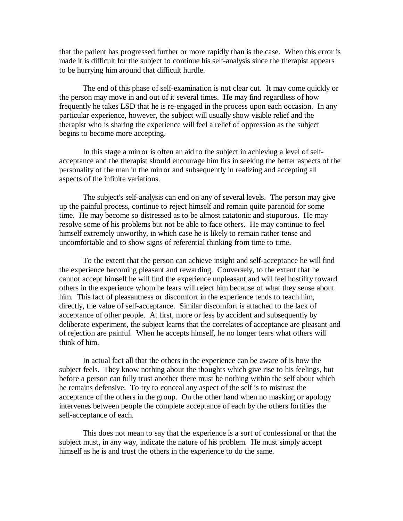that the patient has progressed further or more rapidly than is the case. When this error is made it is difficult for the subject to continue his self-analysis since the therapist appears to be hurrying him around that difficult hurdle.

 The end of this phase of self-examination is not clear cut. It may come quickly or the person may move in and out of it several times. He may find regardless of how frequently he takes LSD that he is re-engaged in the process upon each occasion. In any particular experience, however, the subject will usually show visible relief and the therapist who is sharing the experience will feel a relief of oppression as the subject begins to become more accepting.

 In this stage a mirror is often an aid to the subject in achieving a level of selfacceptance and the therapist should encourage him firs in seeking the better aspects of the personality of the man in the mirror and subsequently in realizing and accepting all aspects of the infinite variations.

The subject's self-analysis can end on any of several levels. The person may give up the painful process, continue to reject himself and remain quite paranoid for some time. He may become so distressed as to be almost catatonic and stuporous. He may resolve some of his problems but not be able to face others. He may continue to feel himself extremely unworthy, in which case he is likely to remain rather tense and uncomfortable and to show signs of referential thinking from time to time.

 To the extent that the person can achieve insight and self-acceptance he will find the experience becoming pleasant and rewarding. Conversely, to the extent that he cannot accept himself he will find the experience unpleasant and will feel hostility toward others in the experience whom he fears will reject him because of what they sense about him. This fact of pleasantness or discomfort in the experience tends to teach him, directly, the value of self-acceptance. Similar discomfort is attached to the lack of acceptance of other people. At first, more or less by accident and subsequently by deliberate experiment, the subject learns that the correlates of acceptance are pleasant and of rejection are painful. When he accepts himself, he no longer fears what others will think of him.

 In actual fact all that the others in the experience can be aware of is how the subject feels. They know nothing about the thoughts which give rise to his feelings, but before a person can fully trust another there must be nothing within the self about which he remains defensive. To try to conceal any aspect of the self is to mistrust the acceptance of the others in the group. On the other hand when no masking or apology intervenes between people the complete acceptance of each by the others fortifies the self-acceptance of each.

 This does not mean to say that the experience is a sort of confessional or that the subject must, in any way, indicate the nature of his problem. He must simply accept himself as he is and trust the others in the experience to do the same.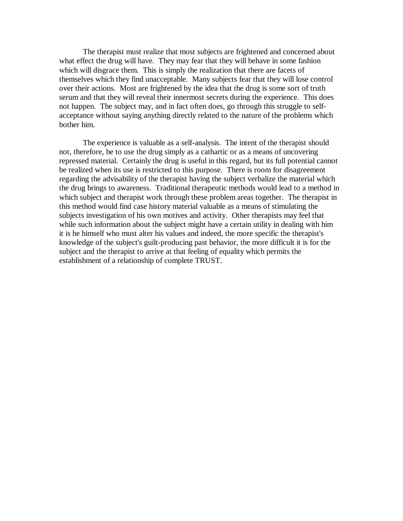The therapist must realize that most subjects are frightened and concerned about what effect the drug will have. They may fear that they will behave in some fashion which will disgrace them. This is simply the realization that there are facets of themselves which they find unacceptable. Many subjects fear that they will lose control over their actions. Most are frightened by the idea that the drug is some sort of truth serum and that they will reveal their innermost secrets during the experience. This does not happen. The subject may, and in fact often does, go through this struggle to selfacceptance without saying anything directly related to the nature of the problems which bother him.

 The experience is valuable as a self-analysis. The intent of the therapist should not, therefore, be to use the drug simply as a cathartic or as a means of uncovering repressed material. Certainly the drug is useful in this regard, but its full potential cannot be realized when its use is restricted to this purpose. There is room for disagreement regarding the advisability of the therapist having the subject verbalize the material which the drug brings to awareness. Traditional therapeutic methods would lead to a method in which subject and therapist work through these problem areas together. The therapist in this method would find case history material valuable as a means of stimulating the subjects investigation of his own motives and activity. Other therapists may feel that while such information about the subject might have a certain utility in dealing with him it is he himself who must alter his values and indeed, the more specific the therapist's knowledge of the subject's guilt-producing past behavior, the more difficult it is for the subject and the therapist to arrive at that feeling of equality which permits the establishment of a relationship of complete TRUST.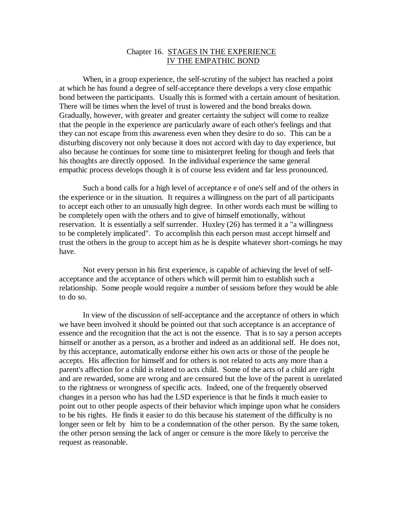# Chapter 16. STAGES IN THE EXPERIENCE IV THE EMPATHIC BOND

 When, in a group experience, the self-scrutiny of the subject has reached a point at which he has found a degree of self-acceptance there develops a very close empathic bond between the participants. Usually this is formed with a certain amount of hesitation. There will be times when the level of trust is lowered and the bond breaks down. Gradually, however, with greater and greater certainty the subject will come to realize that the people in the experience are particularly aware of each other's feelings and that they can not escape from this awareness even when they desire to do so. This can be a disturbing discovery not only because it does not accord with day to day experience, but also because he continues for some time to misinterpret feeling for though and feels that his thoughts are directly opposed. In the individual experience the same general empathic process develops though it is of course less evident and far less pronounced.

 Such a bond calls for a high level of acceptance e of one's self and of the others in the experience or in the situation. It requires a willingness on the part of all participants to accept each other to an unusually high degree. In other words each must be willing to be completely open with the others and to give of himself emotionally, without reservation. It is essentially a self surrender. Huxley (26) has termed it a "a willingness to be completely implicated". To accomplish this each person must accept himself and trust the others in the group to accept him as he is despite whatever short-comings he may have.

 Not every person in his first experience, is capable of achieving the level of selfacceptance and the acceptance of others which will permit him to establish such a relationship. Some people would require a number of sessions before they would be able to do so.

 In view of the discussion of self-acceptance and the acceptance of others in which we have been involved it should be pointed out that such acceptance is an acceptance of essence and the recognition that the act is not the essence. That is to say a person accepts himself or another as a person, as a brother and indeed as an additional self. He does not, by this acceptance, automatically endorse either his own acts or those of the people he accepts. His affection for himself and for others is not related to acts any more than a parent's affection for a child is related to acts child. Some of the acts of a child are right and are rewarded, some are wrong and are censured but the love of the parent is unrelated to the rightness or wrongness of specific acts. Indeed, one of the frequently observed changes in a person who has had the LSD experience is that he finds it much easier to point out to other people aspects of their behavior which impinge upon what he considers to be his rights. He finds it easier to do this because his statement of the difficulty is no longer seen or felt by him to be a condemnation of the other person. By the same token, the other person sensing the lack of anger or censure is the more likely to perceive the request as reasonable.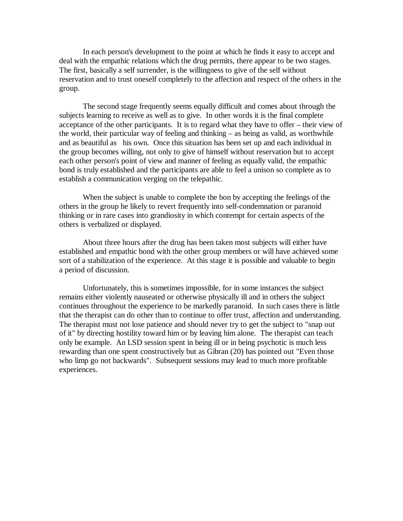In each person's development to the point at which he finds it easy to accept and deal with the empathic relations which the drug permits, there appear to be two stages. The first, basically a self surrender, is the willingness to give of the self without reservation and to trust oneself completely to the affection and respect of the others in the group.

 The second stage frequently seems equally difficult and comes about through the subjects learning to receive as well as to give. In other words it is the final complete acceptance of the other participants. It is to regard what they have to offer – their view of the world, their particular way of feeling and thinking – as being as valid, as worthwhile and as beautiful as his own. Once this situation has been set up and each individual in the group becomes willing, not only to give of himself without reservation but to accept each other person's point of view and manner of feeling as equally valid, the empathic bond is truly established and the participants are able to feel a unison so complete as to establish a communication verging on the telepathic.

 When the subject is unable to complete the bon by accepting the feelings of the others in the group he likely to revert frequently into self-condemnation or paranoid thinking or in rare cases into grandiosity in which contempt for certain aspects of the others is verbalized or displayed.

 About three hours after the drug has been taken most subjects will either have established and empathic bond with the other group members or will have achieved some sort of a stabilization of the experience. At this stage it is possible and valuable to begin a period of discussion.

 Unfortunately, this is sometimes impossible, for in some instances the subject remains either violently nauseated or otherwise physically ill and in others the subject continues throughout the experience to be markedly paranoid. In such cases there is little that the therapist can do other than to continue to offer trust, affection and understanding. The therapist must not lose patience and should never try to get the subject to "snap out of it" by directing hostility toward him or by leaving him alone. The therapist can teach only be example. An LSD session spent in being ill or in being psychotic is much less rewarding than one spent constructively but as Gibran (20) has pointed out "Even those who limp go not backwards". Subsequent sessions may lead to much more profitable experiences.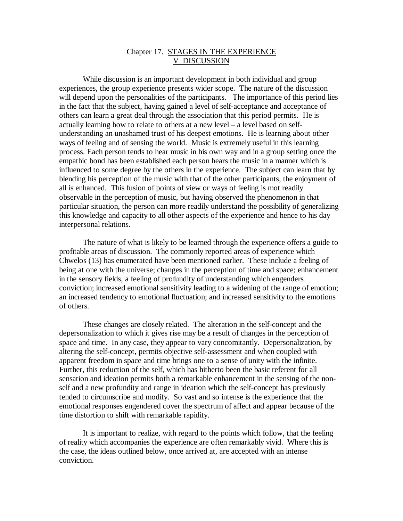# Chapter 17. STAGES IN THE EXPERIENCE V DISCUSSION

While discussion is an important development in both individual and group experiences, the group experience presents wider scope. The nature of the discussion will depend upon the personalities of the participants. The importance of this period lies in the fact that the subject, having gained a level of self-acceptance and acceptance of others can learn a great deal through the association that this period permits. He is actually learning how to relate to others at a new level – a level based on selfunderstanding an unashamed trust of his deepest emotions. He is learning about other ways of feeling and of sensing the world. Music is extremely useful in this learning process. Each person tends to hear music in his own way and in a group setting once the empathic bond has been established each person hears the music in a manner which is influenced to some degree by the others in the experience. The subject can learn that by blending his perception of the music with that of the other participants, the enjoyment of all is enhanced. This fusion of points of view or ways of feeling is mot readily observable in the perception of music, but having observed the phenomenon in that particular situation, the person can more readily understand the possibility of generalizing this knowledge and capacity to all other aspects of the experience and hence to his day interpersonal relations.

The nature of what is likely to be learned through the experience offers a guide to profitable areas of discussion. The commonly reported areas of experience which Chwelos (13) has enumerated have been mentioned earlier. These include a feeling of being at one with the universe; changes in the perception of time and space; enhancement in the sensory fields, a feeling of profundity of understanding which engenders conviction; increased emotional sensitivity leading to a widening of the range of emotion; an increased tendency to emotional fluctuation; and increased sensitivity to the emotions of others.

These changes are closely related. The alteration in the self-concept and the depersonalization to which it gives rise may be a result of changes in the perception of space and time. In any case, they appear to vary concomitantly. Depersonalization, by altering the self-concept, permits objective self-assessment and when coupled with apparent freedom in space and time brings one to a sense of unity with the infinite. Further, this reduction of the self, which has hitherto been the basic referent for all sensation and ideation permits both a remarkable enhancement in the sensing of the nonself and a new profundity and range in ideation which the self-concept has previously tended to circumscribe and modify. So vast and so intense is the experience that the emotional responses engendered cover the spectrum of affect and appear because of the time distortion to shift with remarkable rapidity.

It is important to realize, with regard to the points which follow, that the feeling of reality which accompanies the experience are often remarkably vivid. Where this is the case, the ideas outlined below, once arrived at, are accepted with an intense conviction.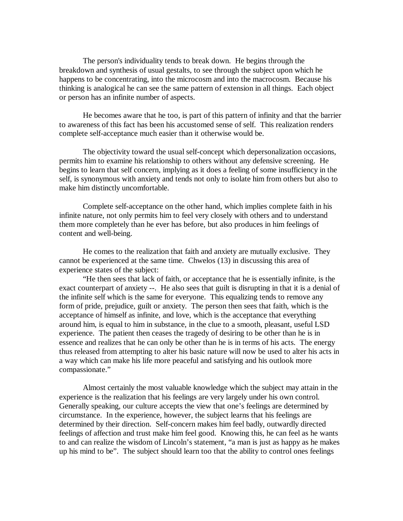The person's individuality tends to break down. He begins through the breakdown and synthesis of usual gestalts, to see through the subject upon which he happens to be concentrating, into the microcosm and into the macrocosm. Because his thinking is analogical he can see the same pattern of extension in all things. Each object or person has an infinite number of aspects.

 He becomes aware that he too, is part of this pattern of infinity and that the barrier to awareness of this fact has been his accustomed sense of self. This realization renders complete self-acceptance much easier than it otherwise would be.

 The objectivity toward the usual self-concept which depersonalization occasions, permits him to examine his relationship to others without any defensive screening. He begins to learn that self concern, implying as it does a feeling of some insufficiency in the self, is synonymous with anxiety and tends not only to isolate him from others but also to make him distinctly uncomfortable.

 Complete self-acceptance on the other hand, which implies complete faith in his infinite nature, not only permits him to feel very closely with others and to understand them more completely than he ever has before, but also produces in him feelings of content and well-being.

 He comes to the realization that faith and anxiety are mutually exclusive. They cannot be experienced at the same time. Chwelos (13) in discussing this area of experience states of the subject:

 "He then sees that lack of faith, or acceptance that he is essentially infinite, is the exact counterpart of anxiety --. He also sees that guilt is disrupting in that it is a denial of the infinite self which is the same for everyone. This equalizing tends to remove any form of pride, prejudice, guilt or anxiety. The person then sees that faith, which is the acceptance of himself as infinite, and love, which is the acceptance that everything around him, is equal to him in substance, in the clue to a smooth, pleasant, useful LSD experience. The patient then ceases the tragedy of desiring to be other than he is in essence and realizes that he can only be other than he is in terms of his acts. The energy thus released from attempting to alter his basic nature will now be used to alter his acts in a way which can make his life more peaceful and satisfying and his outlook more compassionate."

 Almost certainly the most valuable knowledge which the subject may attain in the experience is the realization that his feelings are very largely under his own control. Generally speaking, our culture accepts the view that one's feelings are determined by circumstance. In the experience, however, the subject learns that his feelings are determined by their direction. Self-concern makes him feel badly, outwardly directed feelings of affection and trust make him feel good. Knowing this, he can feel as he wants to and can realize the wisdom of Lincoln's statement, "a man is just as happy as he makes up his mind to be". The subject should learn too that the ability to control ones feelings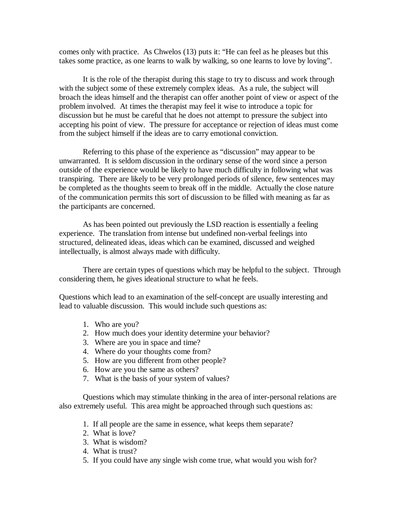comes only with practice. As Chwelos (13) puts it: "He can feel as he pleases but this takes some practice, as one learns to walk by walking, so one learns to love by loving".

 It is the role of the therapist during this stage to try to discuss and work through with the subject some of these extremely complex ideas. As a rule, the subject will broach the ideas himself and the therapist can offer another point of view or aspect of the problem involved. At times the therapist may feel it wise to introduce a topic for discussion but he must be careful that he does not attempt to pressure the subject into accepting his point of view. The pressure for acceptance or rejection of ideas must come from the subject himself if the ideas are to carry emotional conviction.

 Referring to this phase of the experience as "discussion" may appear to be unwarranted. It is seldom discussion in the ordinary sense of the word since a person outside of the experience would be likely to have much difficulty in following what was transpiring. There are likely to be very prolonged periods of silence, few sentences may be completed as the thoughts seem to break off in the middle. Actually the close nature of the communication permits this sort of discussion to be filled with meaning as far as the participants are concerned.

 As has been pointed out previously the LSD reaction is essentially a feeling experience. The translation from intense but undefined non-verbal feelings into structured, delineated ideas, ideas which can be examined, discussed and weighed intellectually, is almost always made with difficulty.

 There are certain types of questions which may be helpful to the subject. Through considering them, he gives ideational structure to what he feels.

Questions which lead to an examination of the self-concept are usually interesting and lead to valuable discussion. This would include such questions as:

- 1. Who are you?
- 2. How much does your identity determine your behavior?
- 3. Where are you in space and time?
- 4. Where do your thoughts come from?
- 5. How are you different from other people?
- 6. How are you the same as others?
- 7. What is the basis of your system of values?

Questions which may stimulate thinking in the area of inter-personal relations are also extremely useful. This area might be approached through such questions as:

- 1. If all people are the same in essence, what keeps them separate?
- 2. What is love?
- 3. What is wisdom?
- 4. What is trust?
- 5. If you could have any single wish come true, what would you wish for?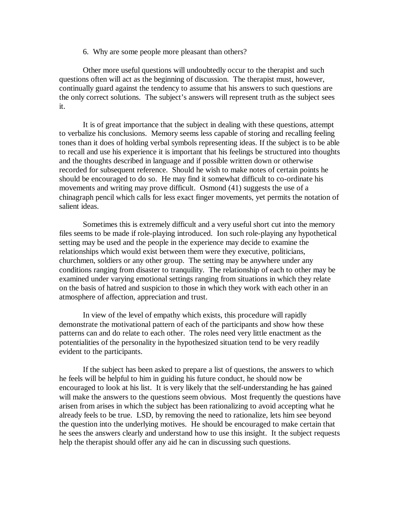6. Why are some people more pleasant than others?

Other more useful questions will undoubtedly occur to the therapist and such questions often will act as the beginning of discussion. The therapist must, however, continually guard against the tendency to assume that his answers to such questions are the only correct solutions. The subject's answers will represent truth as the subject sees it.

It is of great importance that the subject in dealing with these questions, attempt to verbalize his conclusions. Memory seems less capable of storing and recalling feeling tones than it does of holding verbal symbols representing ideas. If the subject is to be able to recall and use his experience it is important that his feelings be structured into thoughts and the thoughts described in language and if possible written down or otherwise recorded for subsequent reference. Should he wish to make notes of certain points he should be encouraged to do so. He may find it somewhat difficult to co-ordinate his movements and writing may prove difficult. Osmond (41) suggests the use of a chinagraph pencil which calls for less exact finger movements, yet permits the notation of salient ideas.

Sometimes this is extremely difficult and a very useful short cut into the memory files seems to be made if role-playing introduced. Ion such role-playing any hypothetical setting may be used and the people in the experience may decide to examine the relationships which would exist between them were they executive, politicians, churchmen, soldiers or any other group. The setting may be anywhere under any conditions ranging from disaster to tranquility. The relationship of each to other may be examined under varying emotional settings ranging from situations in which they relate on the basis of hatred and suspicion to those in which they work with each other in an atmosphere of affection, appreciation and trust.

In view of the level of empathy which exists, this procedure will rapidly demonstrate the motivational pattern of each of the participants and show how these patterns can and do relate to each other. The roles need very little enactment as the potentialities of the personality in the hypothesized situation tend to be very readily evident to the participants.

If the subject has been asked to prepare a list of questions, the answers to which he feels will be helpful to him in guiding his future conduct, he should now be encouraged to look at his list. It is very likely that the self-understanding he has gained will make the answers to the questions seem obvious. Most frequently the questions have arisen from arises in which the subject has been rationalizing to avoid accepting what he already feels to be true. LSD, by removing the need to rationalize, lets him see beyond the question into the underlying motives. He should be encouraged to make certain that he sees the answers clearly and understand how to use this insight. It the subject requests help the therapist should offer any aid he can in discussing such questions.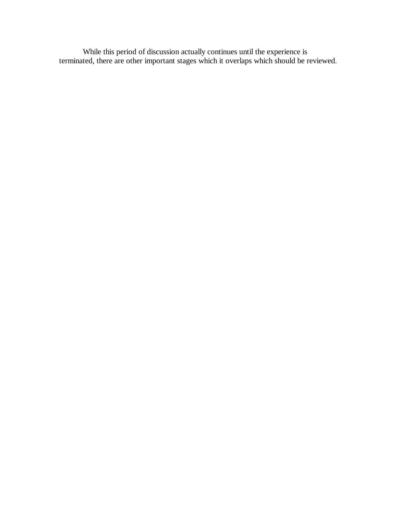While this period of discussion actually continues until the experience is terminated, there are other important stages which it overlaps which should be reviewed.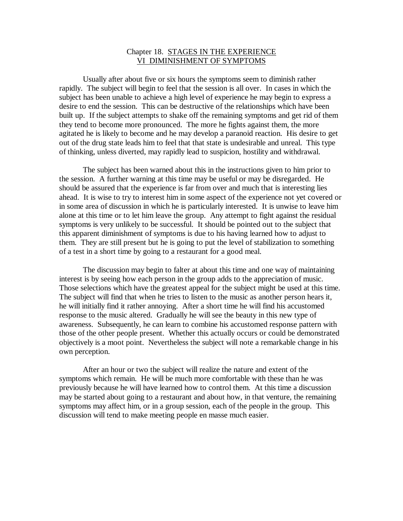# Chapter 18. STAGES IN THE EXPERIENCE VI DIMINISHMENT OF SYMPTOMS

 Usually after about five or six hours the symptoms seem to diminish rather rapidly. The subject will begin to feel that the session is all over. In cases in which the subject has been unable to achieve a high level of experience he may begin to express a desire to end the session. This can be destructive of the relationships which have been built up. If the subject attempts to shake off the remaining symptoms and get rid of them they tend to become more pronounced. The more he fights against them, the more agitated he is likely to become and he may develop a paranoid reaction. His desire to get out of the drug state leads him to feel that that state is undesirable and unreal. This type of thinking, unless diverted, may rapidly lead to suspicion, hostility and withdrawal.

 The subject has been warned about this in the instructions given to him prior to the session. A further warning at this time may be useful or may be disregarded. He should be assured that the experience is far from over and much that is interesting lies ahead. It is wise to try to interest him in some aspect of the experience not yet covered or in some area of discussion in which he is particularly interested. It is unwise to leave him alone at this time or to let him leave the group. Any attempt to fight against the residual symptoms is very unlikely to be successful. It should be pointed out to the subject that this apparent diminishment of symptoms is due to his having learned how to adjust to them. They are still present but he is going to put the level of stabilization to something of a test in a short time by going to a restaurant for a good meal.

 The discussion may begin to falter at about this time and one way of maintaining interest is by seeing how each person in the group adds to the appreciation of music. Those selections which have the greatest appeal for the subject might be used at this time. The subject will find that when he tries to listen to the music as another person hears it, he will initially find it rather annoying. After a short time he will find his accustomed response to the music altered. Gradually he will see the beauty in this new type of awareness. Subsequently, he can learn to combine his accustomed response pattern with those of the other people present. Whether this actually occurs or could be demonstrated objectively is a moot point. Nevertheless the subject will note a remarkable change in his own perception.

 After an hour or two the subject will realize the nature and extent of the symptoms which remain. He will be much more comfortable with these than he was previously because he will have learned how to control them. At this time a discussion may be started about going to a restaurant and about how, in that venture, the remaining symptoms may affect him, or in a group session, each of the people in the group. This discussion will tend to make meeting people en masse much easier.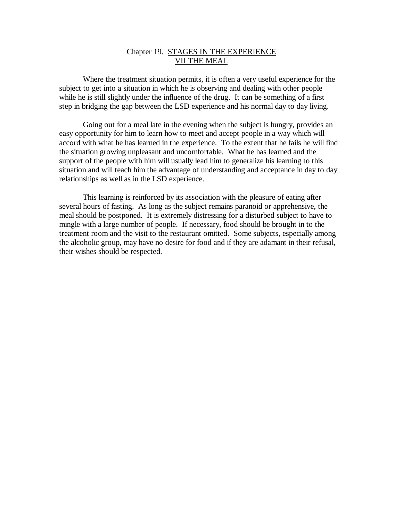# Chapter 19. STAGES IN THE EXPERIENCE VII THE MEAL

 Where the treatment situation permits, it is often a very useful experience for the subject to get into a situation in which he is observing and dealing with other people while he is still slightly under the influence of the drug. It can be something of a first step in bridging the gap between the LSD experience and his normal day to day living.

 Going out for a meal late in the evening when the subject is hungry, provides an easy opportunity for him to learn how to meet and accept people in a way which will accord with what he has learned in the experience. To the extent that he fails he will find the situation growing unpleasant and uncomfortable. What he has learned and the support of the people with him will usually lead him to generalize his learning to this situation and will teach him the advantage of understanding and acceptance in day to day relationships as well as in the LSD experience.

 This learning is reinforced by its association with the pleasure of eating after several hours of fasting. As long as the subject remains paranoid or apprehensive, the meal should be postponed. It is extremely distressing for a disturbed subject to have to mingle with a large number of people. If necessary, food should be brought in to the treatment room and the visit to the restaurant omitted. Some subjects, especially among the alcoholic group, may have no desire for food and if they are adamant in their refusal, their wishes should be respected.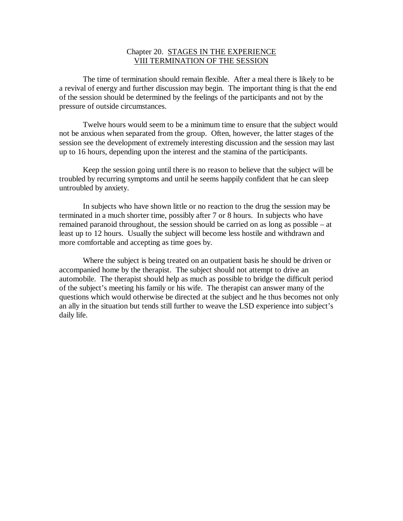# Chapter 20. STAGES IN THE EXPERIENCE VIII TERMINATION OF THE SESSION

 The time of termination should remain flexible. After a meal there is likely to be a revival of energy and further discussion may begin. The important thing is that the end of the session should be determined by the feelings of the participants and not by the pressure of outside circumstances.

 Twelve hours would seem to be a minimum time to ensure that the subject would not be anxious when separated from the group. Often, however, the latter stages of the session see the development of extremely interesting discussion and the session may last up to 16 hours, depending upon the interest and the stamina of the participants.

 Keep the session going until there is no reason to believe that the subject will be troubled by recurring symptoms and until he seems happily confident that he can sleep untroubled by anxiety.

 In subjects who have shown little or no reaction to the drug the session may be terminated in a much shorter time, possibly after 7 or 8 hours. In subjects who have remained paranoid throughout, the session should be carried on as long as possible – at least up to 12 hours. Usually the subject will become less hostile and withdrawn and more comfortable and accepting as time goes by.

 Where the subject is being treated on an outpatient basis he should be driven or accompanied home by the therapist. The subject should not attempt to drive an automobile. The therapist should help as much as possible to bridge the difficult period of the subject's meeting his family or his wife. The therapist can answer many of the questions which would otherwise be directed at the subject and he thus becomes not only an ally in the situation but tends still further to weave the LSD experience into subject's daily life.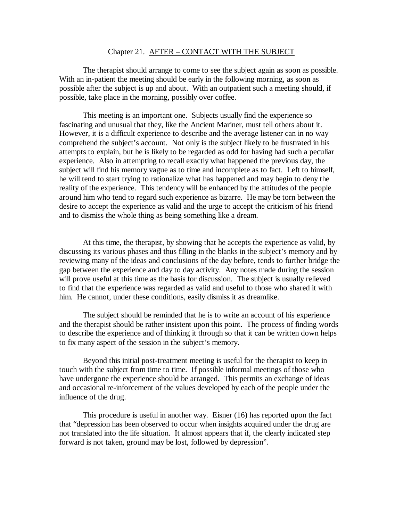### Chapter 21. AFTER – CONTACT WITH THE SUBJECT

 The therapist should arrange to come to see the subject again as soon as possible. With an in-patient the meeting should be early in the following morning, as soon as possible after the subject is up and about. With an outpatient such a meeting should, if possible, take place in the morning, possibly over coffee.

 This meeting is an important one. Subjects usually find the experience so fascinating and unusual that they, like the Ancient Mariner, must tell others about it. However, it is a difficult experience to describe and the average listener can in no way comprehend the subject's account. Not only is the subject likely to be frustrated in his attempts to explain, but he is likely to be regarded as odd for having had such a peculiar experience. Also in attempting to recall exactly what happened the previous day, the subject will find his memory vague as to time and incomplete as to fact. Left to himself, he will tend to start trying to rationalize what has happened and may begin to deny the reality of the experience. This tendency will be enhanced by the attitudes of the people around him who tend to regard such experience as bizarre. He may be torn between the desire to accept the experience as valid and the urge to accept the criticism of his friend and to dismiss the whole thing as being something like a dream.

 At this time, the therapist, by showing that he accepts the experience as valid, by discussing its various phases and thus filling in the blanks in the subject's memory and by reviewing many of the ideas and conclusions of the day before, tends to further bridge the gap between the experience and day to day activity. Any notes made during the session will prove useful at this time as the basis for discussion. The subject is usually relieved to find that the experience was regarded as valid and useful to those who shared it with him. He cannot, under these conditions, easily dismiss it as dreamlike.

 The subject should be reminded that he is to write an account of his experience and the therapist should be rather insistent upon this point. The process of finding words to describe the experience and of thinking it through so that it can be written down helps to fix many aspect of the session in the subject's memory.

 Beyond this initial post-treatment meeting is useful for the therapist to keep in touch with the subject from time to time. If possible informal meetings of those who have undergone the experience should be arranged. This permits an exchange of ideas and occasional re-inforcement of the values developed by each of the people under the influence of the drug.

 This procedure is useful in another way. Eisner (16) has reported upon the fact that "depression has been observed to occur when insights acquired under the drug are not translated into the life situation. It almost appears that if, the clearly indicated step forward is not taken, ground may be lost, followed by depression".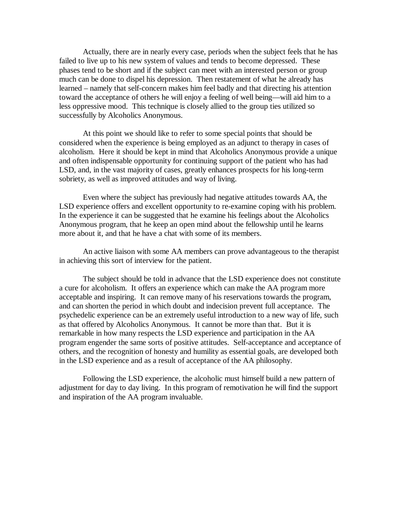Actually, there are in nearly every case, periods when the subject feels that he has failed to live up to his new system of values and tends to become depressed. These phases tend to be short and if the subject can meet with an interested person or group much can be done to dispel his depression. Then restatement of what he already has learned – namely that self-concern makes him feel badly and that directing his attention toward the acceptance of others he will enjoy a feeling of well being—will aid him to a less oppressive mood. This technique is closely allied to the group ties utilized so successfully by Alcoholics Anonymous.

 At this point we should like to refer to some special points that should be considered when the experience is being employed as an adjunct to therapy in cases of alcoholism. Here it should be kept in mind that Alcoholics Anonymous provide a unique and often indispensable opportunity for continuing support of the patient who has had LSD, and, in the vast majority of cases, greatly enhances prospects for his long-term sobriety, as well as improved attitudes and way of living.

 Even where the subject has previously had negative attitudes towards AA, the LSD experience offers and excellent opportunity to re-examine coping with his problem. In the experience it can be suggested that he examine his feelings about the Alcoholics Anonymous program, that he keep an open mind about the fellowship until he learns more about it, and that he have a chat with some of its members.

 An active liaison with some AA members can prove advantageous to the therapist in achieving this sort of interview for the patient.

 The subject should be told in advance that the LSD experience does not constitute a cure for alcoholism. It offers an experience which can make the AA program more acceptable and inspiring. It can remove many of his reservations towards the program, and can shorten the period in which doubt and indecision prevent full acceptance. The psychedelic experience can be an extremely useful introduction to a new way of life, such as that offered by Alcoholics Anonymous. It cannot be more than that. But it is remarkable in how many respects the LSD experience and participation in the AA program engender the same sorts of positive attitudes. Self-acceptance and acceptance of others, and the recognition of honesty and humility as essential goals, are developed both in the LSD experience and as a result of acceptance of the AA philosophy.

 Following the LSD experience, the alcoholic must himself build a new pattern of adjustment for day to day living. In this program of remotivation he will find the support and inspiration of the AA program invaluable.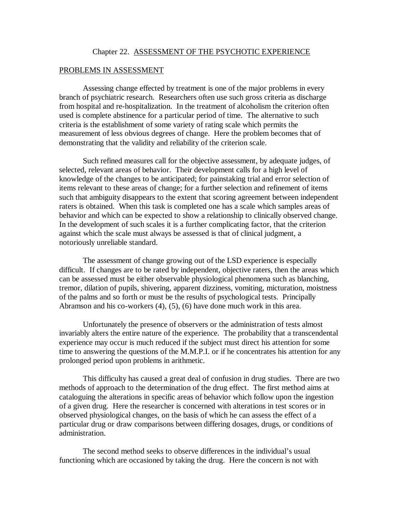#### Chapter 22. ASSESSMENT OF THE PSYCHOTIC EXPERIENCE

### PROBLEMS IN ASSESSMENT

 Assessing change effected by treatment is one of the major problems in every branch of psychiatric research. Researchers often use such gross criteria as discharge from hospital and re-hospitalization. In the treatment of alcoholism the criterion often used is complete abstinence for a particular period of time. The alternative to such criteria is the establishment of some variety of rating scale which permits the measurement of less obvious degrees of change. Here the problem becomes that of demonstrating that the validity and reliability of the criterion scale.

 Such refined measures call for the objective assessment, by adequate judges, of selected, relevant areas of behavior. Their development calls for a high level of knowledge of the changes to be anticipated; for painstaking trial and error selection of items relevant to these areas of change; for a further selection and refinement of items such that ambiguity disappears to the extent that scoring agreement between independent raters is obtained. When this task is completed one has a scale which samples areas of behavior and which can be expected to show a relationship to clinically observed change. In the development of such scales it is a further complicating factor, that the criterion against which the scale must always be assessed is that of clinical judgment, a notoriously unreliable standard.

 The assessment of change growing out of the LSD experience is especially difficult. If changes are to be rated by independent, objective raters, then the areas which can be assessed must be either observable physiological phenomena such as blanching, tremor, dilation of pupils, shivering, apparent dizziness, vomiting, micturation, moistness of the palms and so forth or must be the results of psychological tests. Principally Abramson and his co-workers (4), (5), (6) have done much work in this area.

 Unfortunately the presence of observers or the administration of tests almost invariably alters the entire nature of the experience. The probability that a transcendental experience may occur is much reduced if the subject must direct his attention for some time to answering the questions of the M.M.P.I. or if he concentrates his attention for any prolonged period upon problems in arithmetic.

 This difficulty has caused a great deal of confusion in drug studies. There are two methods of approach to the determination of the drug effect. The first method aims at cataloguing the alterations in specific areas of behavior which follow upon the ingestion of a given drug. Here the researcher is concerned with alterations in test scores or in observed physiological changes, on the basis of which he can assess the effect of a particular drug or draw comparisons between differing dosages, drugs, or conditions of administration.

 The second method seeks to observe differences in the individual's usual functioning which are occasioned by taking the drug. Here the concern is not with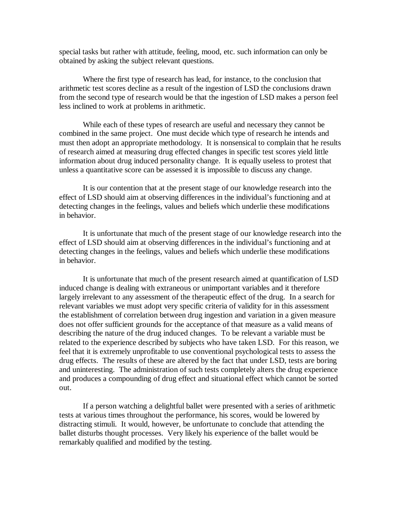special tasks but rather with attitude, feeling, mood, etc. such information can only be obtained by asking the subject relevant questions.

 Where the first type of research has lead, for instance, to the conclusion that arithmetic test scores decline as a result of the ingestion of LSD the conclusions drawn from the second type of research would be that the ingestion of LSD makes a person feel less inclined to work at problems in arithmetic.

 While each of these types of research are useful and necessary they cannot be combined in the same project. One must decide which type of research he intends and must then adopt an appropriate methodology. It is nonsensical to complain that he results of research aimed at measuring drug effected changes in specific test scores yield little information about drug induced personality change. It is equally useless to protest that unless a quantitative score can be assessed it is impossible to discuss any change.

 It is our contention that at the present stage of our knowledge research into the effect of LSD should aim at observing differences in the individual's functioning and at detecting changes in the feelings, values and beliefs which underlie these modifications in behavior.

 It is unfortunate that much of the present stage of our knowledge research into the effect of LSD should aim at observing differences in the individual's functioning and at detecting changes in the feelings, values and beliefs which underlie these modifications in behavior.

 It is unfortunate that much of the present research aimed at quantification of LSD induced change is dealing with extraneous or unimportant variables and it therefore largely irrelevant to any assessment of the therapeutic effect of the drug. In a search for relevant variables we must adopt very specific criteria of validity for in this assessment the establishment of correlation between drug ingestion and variation in a given measure does not offer sufficient grounds for the acceptance of that measure as a valid means of describing the nature of the drug induced changes. To be relevant a variable must be related to the experience described by subjects who have taken LSD. For this reason, we feel that it is extremely unprofitable to use conventional psychological tests to assess the drug effects. The results of these are altered by the fact that under LSD, tests are boring and uninteresting. The administration of such tests completely alters the drug experience and produces a compounding of drug effect and situational effect which cannot be sorted out.

 If a person watching a delightful ballet were presented with a series of arithmetic tests at various times throughout the performance, his scores, would be lowered by distracting stimuli. It would, however, be unfortunate to conclude that attending the ballet disturbs thought processes. Very likely his experience of the ballet would be remarkably qualified and modified by the testing.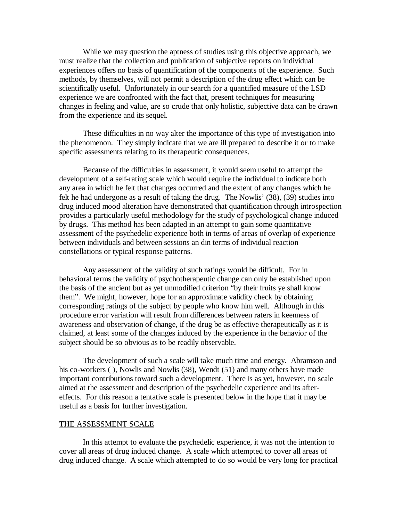While we may question the aptness of studies using this objective approach, we must realize that the collection and publication of subjective reports on individual experiences offers no basis of quantification of the components of the experience. Such methods, by themselves, will not permit a description of the drug effect which can be scientifically useful. Unfortunately in our search for a quantified measure of the LSD experience we are confronted with the fact that, present techniques for measuring changes in feeling and value, are so crude that only holistic, subjective data can be drawn from the experience and its sequel.

 These difficulties in no way alter the importance of this type of investigation into the phenomenon. They simply indicate that we are ill prepared to describe it or to make specific assessments relating to its therapeutic consequences.

 Because of the difficulties in assessment, it would seem useful to attempt the development of a self-rating scale which would require the individual to indicate both any area in which he felt that changes occurred and the extent of any changes which he felt he had undergone as a result of taking the drug. The Nowlis' (38), (39) studies into drug induced mood alteration have demonstrated that quantification through introspection provides a particularly useful methodology for the study of psychological change induced by drugs. This method has been adapted in an attempt to gain some quantitative assessment of the psychedelic experience both in terms of areas of overlap of experience between individuals and between sessions an din terms of individual reaction constellations or typical response patterns.

 Any assessment of the validity of such ratings would be difficult. For in behavioral terms the validity of psychotherapeutic change can only be established upon the basis of the ancient but as yet unmodified criterion "by their fruits ye shall know them". We might, however, hope for an approximate validity check by obtaining corresponding ratings of the subject by people who know him well. Although in this procedure error variation will result from differences between raters in keenness of awareness and observation of change, if the drug be as effective therapeutically as it is claimed, at least some of the changes induced by the experience in the behavior of the subject should be so obvious as to be readily observable.

 The development of such a scale will take much time and energy. Abramson and his co-workers ( ), Nowlis and Nowlis (38), Wendt (51) and many others have made important contributions toward such a development. There is as yet, however, no scale aimed at the assessment and description of the psychedelic experience and its aftereffects. For this reason a tentative scale is presented below in the hope that it may be useful as a basis for further investigation.

### THE ASSESSMENT SCALE

 In this attempt to evaluate the psychedelic experience, it was not the intention to cover all areas of drug induced change. A scale which attempted to cover all areas of drug induced change. A scale which attempted to do so would be very long for practical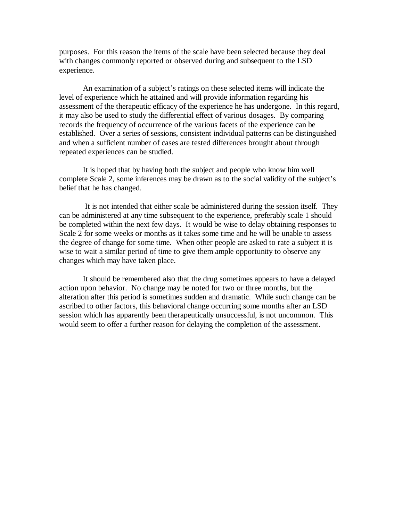purposes. For this reason the items of the scale have been selected because they deal with changes commonly reported or observed during and subsequent to the LSD experience.

 An examination of a subject's ratings on these selected items will indicate the level of experience which he attained and will provide information regarding his assessment of the therapeutic efficacy of the experience he has undergone. In this regard, it may also be used to study the differential effect of various dosages. By comparing records the frequency of occurrence of the various facets of the experience can be established. Over a series of sessions, consistent individual patterns can be distinguished and when a sufficient number of cases are tested differences brought about through repeated experiences can be studied.

 It is hoped that by having both the subject and people who know him well complete Scale 2, some inferences may be drawn as to the social validity of the subject's belief that he has changed.

 It is not intended that either scale be administered during the session itself. They can be administered at any time subsequent to the experience, preferably scale 1 should be completed within the next few days. It would be wise to delay obtaining responses to Scale 2 for some weeks or months as it takes some time and he will be unable to assess the degree of change for some time. When other people are asked to rate a subject it is wise to wait a similar period of time to give them ample opportunity to observe any changes which may have taken place.

 It should be remembered also that the drug sometimes appears to have a delayed action upon behavior. No change may be noted for two or three months, but the alteration after this period is sometimes sudden and dramatic. While such change can be ascribed to other factors, this behavioral change occurring some months after an LSD session which has apparently been therapeutically unsuccessful, is not uncommon. This would seem to offer a further reason for delaying the completion of the assessment.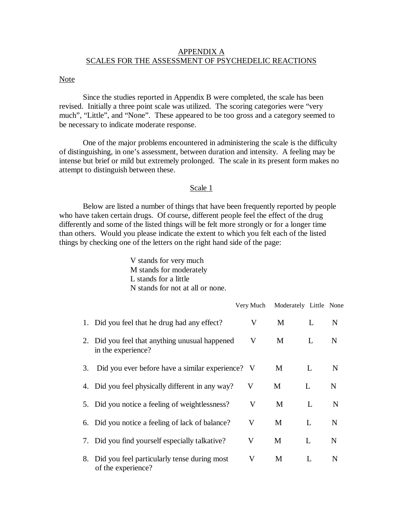### APPENDIX A SCALES FOR THE ASSESSMENT OF PSYCHEDELIC REACTIONS

# Note

 Since the studies reported in Appendix B were completed, the scale has been revised. Initially a three point scale was utilized. The scoring categories were "very much", "Little", and "None". These appeared to be too gross and a category seemed to be necessary to indicate moderate response.

 One of the major problems encountered in administering the scale is the difficulty of distinguishing, in one's assessment, between duration and intensity. A feeling may be intense but brief or mild but extremely prolonged. The scale in its present form makes no attempt to distinguish between these.

### Scale 1

 Below are listed a number of things that have been frequently reported by people who have taken certain drugs. Of course, different people feel the effect of the drug differently and some of the listed things will be felt more strongly or for a longer time than others. Would you please indicate the extent to which you felt each of the listed things by checking one of the letters on the right hand side of the page:

> V stands for very much M stands for moderately L stands for a little N stands for not at all or none.

|    |                                                                      | Very Much | Moderately Little None |   |             |
|----|----------------------------------------------------------------------|-----------|------------------------|---|-------------|
|    | 1. Did you feel that he drug had any effect?                         | V         | M                      | L | $\mathbf N$ |
|    | 2. Did you feel that anything unusual happened<br>in the experience? | V         | M                      | L | N           |
| 3. | Did you ever before have a similar experience? V                     |           | M                      | L | N           |
|    | 4. Did you feel physically different in any way?                     | V         | M                      | L | N           |
|    | 5. Did you notice a feeling of weightlessness?                       | V         | M                      | L | N           |
|    | 6. Did you notice a feeling of lack of balance?                      | V         | M                      | L | N           |
|    | 7. Did you find yourself especially talkative?                       | V         | M                      | L | N           |
|    | 8. Did you feel particularly tense during most<br>of the experience? | V         | M                      | L | N           |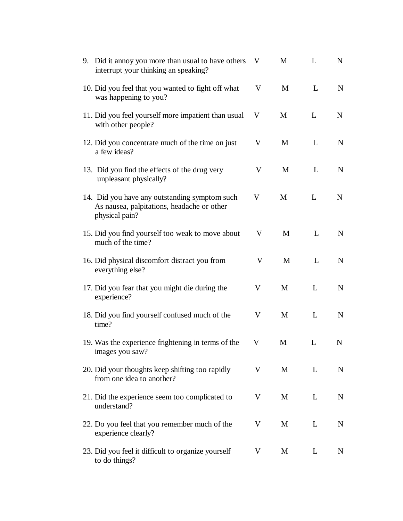| 9. Did it annoy you more than usual to have others<br>interrupt your thinking an speaking?                    | V | M | L            | N           |
|---------------------------------------------------------------------------------------------------------------|---|---|--------------|-------------|
| 10. Did you feel that you wanted to fight off what<br>was happening to you?                                   | V | M | L            | $\mathbf N$ |
| 11. Did you feel yourself more impatient than usual<br>with other people?                                     | V | M | L            | $\mathbf N$ |
| 12. Did you concentrate much of the time on just<br>a few ideas?                                              | V | M | L            | $\mathbf N$ |
| 13. Did you find the effects of the drug very<br>unpleasant physically?                                       | V | M | L            | N           |
| 14. Did you have any outstanding symptom such<br>As nausea, palpitations, headache or other<br>physical pain? | V | M | L            | $\mathbf N$ |
| 15. Did you find yourself too weak to move about<br>much of the time?                                         | V | M | L            | N           |
| 16. Did physical discomfort distract you from<br>everything else?                                             | V | M | L            | $\mathbf N$ |
| 17. Did you fear that you might die during the<br>experience?                                                 | V | M | L            | $\mathbf N$ |
| 18. Did you find yourself confused much of the<br>time?                                                       | V | M | L            | $\mathbf N$ |
| 19. Was the experience frightening in terms of the<br>images you saw?                                         | V | M | L            | N           |
| 20. Did your thoughts keep shifting too rapidly<br>from one idea to another?                                  | V | M | $\mathbf{L}$ | $\mathbf N$ |
| 21. Did the experience seem too complicated to<br>understand?                                                 | V | M | L            | N           |
| 22. Do you feel that you remember much of the<br>experience clearly?                                          | V | M | L            | $\mathbf N$ |
| 23. Did you feel it difficult to organize yourself<br>to do things?                                           | V | M | L            | N           |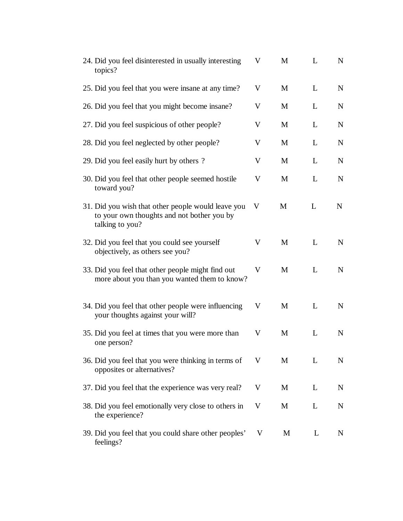| 24. Did you feel disinterested in usually interesting<br>topics?                                                    | V | M | L | $\mathbf N$ |
|---------------------------------------------------------------------------------------------------------------------|---|---|---|-------------|
| 25. Did you feel that you were insane at any time?                                                                  | V | M | L | $\mathbf N$ |
| 26. Did you feel that you might become insane?                                                                      | V | M | L | $\mathbf N$ |
| 27. Did you feel suspicious of other people?                                                                        | V | M | L | N           |
| 28. Did you feel neglected by other people?                                                                         | V | M | L | N           |
| 29. Did you feel easily hurt by others?                                                                             | V | M | L | N           |
| 30. Did you feel that other people seemed hostile<br>toward you?                                                    | V | M | L | N           |
| 31. Did you wish that other people would leave you<br>to your own thoughts and not bother you by<br>talking to you? | V | M | L | N           |
| 32. Did you feel that you could see yourself<br>objectively, as others see you?                                     | V | M | L | N           |
| 33. Did you feel that other people might find out<br>more about you than you wanted them to know?                   | V | M | L | $\mathbf N$ |
| 34. Did you feel that other people were influencing<br>your thoughts against your will?                             | V | M | L | $\mathbf N$ |
| 35. Did you feel at times that you were more than<br>one person?                                                    | V | M | L | N           |
| 36. Did you feel that you were thinking in terms of<br>opposites or alternatives?                                   | V | M | L | N           |
| 37. Did you feel that the experience was very real?                                                                 | V | M | L | N           |
| 38. Did you feel emotionally very close to others in<br>the experience?                                             | V | M | L | N           |
| 39. Did you feel that you could share other peoples'<br>feelings?                                                   | V | M | L | N           |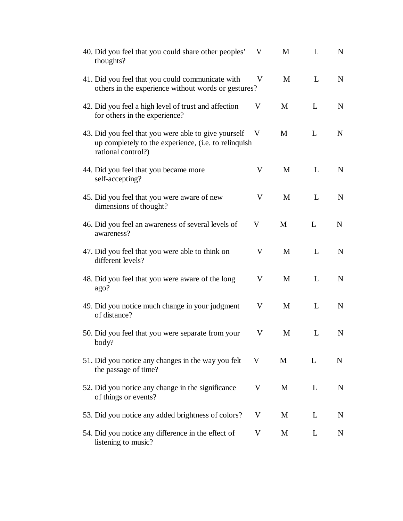| 40. Did you feel that you could share other peoples'<br>thoughts?                                                                  | V | M | L | N           |
|------------------------------------------------------------------------------------------------------------------------------------|---|---|---|-------------|
| 41. Did you feel that you could communicate with<br>others in the experience without words or gestures?                            | V | M | L | $\mathbf N$ |
| 42. Did you feel a high level of trust and affection<br>for others in the experience?                                              | V | M | L | N           |
| 43. Did you feel that you were able to give yourself<br>up completely to the experience, (i.e. to relinquish<br>rational control?) | V | M | L | $\mathbf N$ |
| 44. Did you feel that you became more<br>self-accepting?                                                                           | V | M | L | N           |
| 45. Did you feel that you were aware of new<br>dimensions of thought?                                                              | V | M | L | $\mathbf N$ |
| 46. Did you feel an awareness of several levels of<br>awareness?                                                                   | V | M | L | $\mathbf N$ |
| 47. Did you feel that you were able to think on<br>different levels?                                                               | V | M | L | $\mathbf N$ |
| 48. Did you feel that you were aware of the long<br>ago?                                                                           | V | M | L | $\mathbf N$ |
| 49. Did you notice much change in your judgment<br>of distance?                                                                    | V | M | L | $\mathbf N$ |
| 50. Did you feel that you were separate from your<br>body?                                                                         | V | M | L | N           |
| 51. Did you notice any changes in the way you felt<br>the passage of time?                                                         | V | M | L | $\mathbf N$ |
| 52. Did you notice any change in the significance<br>of things or events?                                                          | V | M | L | N           |
| 53. Did you notice any added brightness of colors?                                                                                 | V | M | L | N           |
| 54. Did you notice any difference in the effect of<br>listening to music?                                                          | V | M | L | N           |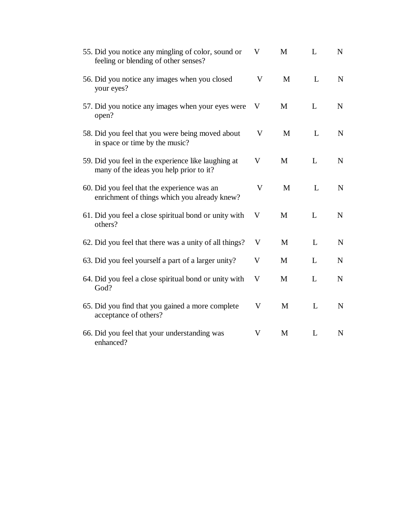| 55. Did you notice any mingling of color, sound or<br>feeling or blending of other senses?     | V            | М            | L | N           |
|------------------------------------------------------------------------------------------------|--------------|--------------|---|-------------|
| 56. Did you notice any images when you closed<br>your eyes?                                    | V            | M            | L | $\mathbf N$ |
| 57. Did you notice any images when your eyes were<br>open?                                     | V            | M            | L | $\mathbf N$ |
| 58. Did you feel that you were being moved about<br>in space or time by the music?             | $\mathbf V$  | M            | L | $\mathbf N$ |
| 59. Did you feel in the experience like laughing at<br>many of the ideas you help prior to it? | V            | M            | L | $\mathbf N$ |
| 60. Did you feel that the experience was an<br>enrichment of things which you already knew?    | $\mathbf V$  | M            | L | $\mathbf N$ |
| 61. Did you feel a close spiritual bond or unity with<br>others?                               | V            | M            | L | $\mathbf N$ |
| 62. Did you feel that there was a unity of all things?                                         | V            | M            | L | $\mathbf N$ |
| 63. Did you feel yourself a part of a larger unity?                                            | V            | M            | L | $\mathbf N$ |
| 64. Did you feel a close spiritual bond or unity with<br>God?                                  | $\mathbf{V}$ | M            | L | $\mathbf N$ |
| 65. Did you find that you gained a more complete<br>acceptance of others?                      | V            | $\mathbf{M}$ | L | N           |
| 66. Did you feel that your understanding was<br>enhanced?                                      | V            | M            | L | N           |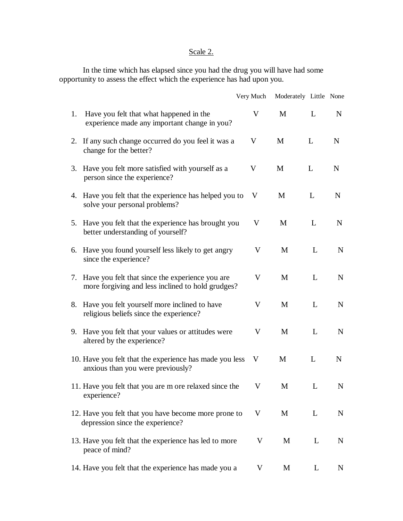# Scale 2.

 In the time which has elapsed since you had the drug you will have had some opportunity to assess the effect which the experience has had upon you.

|    |                                                                                                         | Very Much | Moderately Little None |   |             |
|----|---------------------------------------------------------------------------------------------------------|-----------|------------------------|---|-------------|
| 1. | Have you felt that what happened in the<br>experience made any important change in you?                 | V         | M                      | L | N           |
|    | 2. If any such change occurred do you feel it was a<br>change for the better?                           | V         | M                      | L | N           |
|    | 3. Have you felt more satisfied with yourself as a<br>person since the experience?                      | V         | M                      | L | N           |
|    | 4. Have you felt that the experience has helped you to<br>solve your personal problems?                 | V         | M                      | L | $\mathbf N$ |
|    | 5. Have you felt that the experience has brought you<br>better understanding of yourself?               | V         | M                      | L | $\mathbf N$ |
|    | 6. Have you found yourself less likely to get angry<br>since the experience?                            | V         | M                      | L | $\mathbf N$ |
|    | 7. Have you felt that since the experience you are<br>more forgiving and less inclined to hold grudges? | V         | M                      | L | $\mathbf N$ |
|    | 8. Have you felt yourself more inclined to have<br>religious beliefs since the experience?              | V         | M                      | L | $\mathbf N$ |
|    | 9. Have you felt that your values or attitudes were<br>altered by the experience?                       | V         | M                      | L | $\mathbf N$ |
|    | 10. Have you felt that the experience has made you less<br>anxious than you were previously?            | V         | M                      | L | N           |
|    | 11. Have you felt that you are m ore relaxed since the<br>experience?                                   | V         | M                      | L | N           |
|    | 12. Have you felt that you have become more prone to<br>depression since the experience?                | V         | M                      | L | $\mathbf N$ |
|    | 13. Have you felt that the experience has led to more<br>peace of mind?                                 | V         | M                      | L | N           |
|    | 14. Have you felt that the experience has made you a                                                    | V         | M                      | L | N           |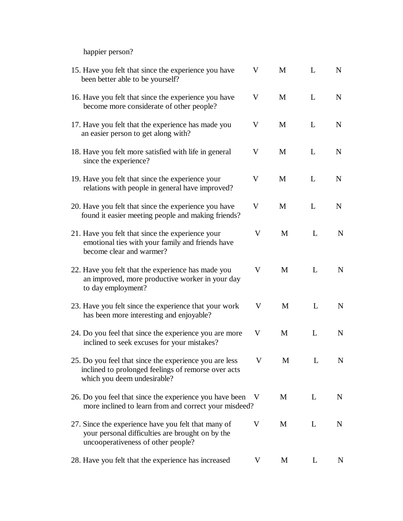happier person?

| 15. Have you felt that since the experience you have<br>been better able to be yourself?                                                      | V            | M | L | $\mathbf N$ |
|-----------------------------------------------------------------------------------------------------------------------------------------------|--------------|---|---|-------------|
| 16. Have you felt that since the experience you have<br>become more considerate of other people?                                              | V            | M | L | N           |
| 17. Have you felt that the experience has made you<br>an easier person to get along with?                                                     | V            | M | L | N           |
| 18. Have you felt more satisfied with life in general<br>since the experience?                                                                | V            | M | L | N           |
| 19. Have you felt that since the experience your<br>relations with people in general have improved?                                           | V            | M | L | N           |
| 20. Have you felt that since the experience you have<br>found it easier meeting people and making friends?                                    | V            | M | L | $\mathbf N$ |
| 21. Have you felt that since the experience your<br>emotional ties with your family and friends have<br>become clear and warmer?              | V            | M | L | N           |
| 22. Have you felt that the experience has made you<br>an improved, more productive worker in your day<br>to day employment?                   | V            | M | L | $\mathbf N$ |
| 23. Have you felt since the experience that your work<br>has been more interesting and enjoyable?                                             | V            | M | L | N           |
| 24. Do you feel that since the experience you are more<br>inclined to seek excuses for your mistakes?                                         | V            | M | L | N           |
| 25. Do you feel that since the experience you are less<br>inclined to prolonged feelings of remorse over acts<br>which you deem undesirable?  |              | M | L | N           |
| 26. Do you feel that since the experience you have been<br>more inclined to learn from and correct your misdeed?                              | $\mathbf{V}$ | M | L | N           |
| 27. Since the experience have you felt that many of<br>your personal difficulties are brought on by the<br>uncooperativeness of other people? | V            | M | L | N           |
| 28. Have you felt that the experience has increased                                                                                           | V            | M | L | N           |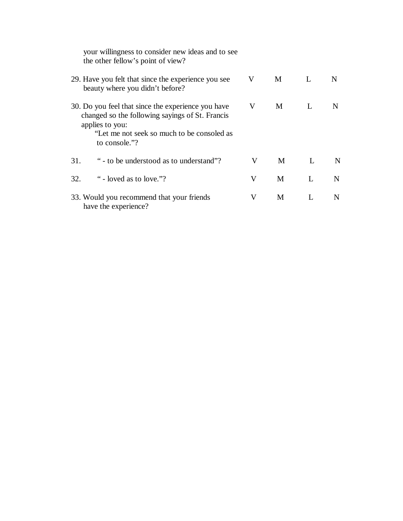|     | your willingness to consider new ideas and to see<br>the other fellow's point of view?                                                                                                  |   |   |          |   |
|-----|-----------------------------------------------------------------------------------------------------------------------------------------------------------------------------------------|---|---|----------|---|
|     | 29. Have you felt that since the experience you see<br>beauty where you didn't before?                                                                                                  | V | M | $\bf{L}$ | N |
|     | 30. Do you feel that since the experience you have<br>changed so the following sayings of St. Francis<br>applies to you:<br>"Let me not seek so much to be consoled as<br>to console."? | V | M | $\bf{L}$ | N |
| 31. | " - to be understood as to understand"?                                                                                                                                                 | V | M | L        | N |
| 32. | " - loved as to love."?                                                                                                                                                                 | V | M | L        | N |
|     | 33. Would you recommend that your friends<br>have the experience?                                                                                                                       | V | M | L        | N |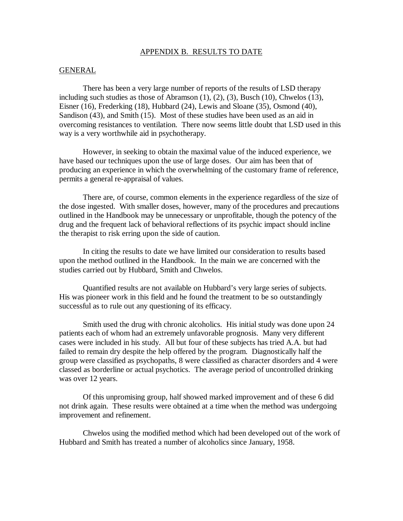#### APPENDIX B. RESULTS TO DATE

#### GENERAL

 There has been a very large number of reports of the results of LSD therapy including such studies as those of Abramson (1), (2), (3), Busch (10), Chwelos (13), Eisner (16), Frederking (18), Hubbard (24), Lewis and Sloane (35), Osmond (40), Sandison (43), and Smith (15). Most of these studies have been used as an aid in overcoming resistances to ventilation. There now seems little doubt that LSD used in this way is a very worthwhile aid in psychotherapy.

 However, in seeking to obtain the maximal value of the induced experience, we have based our techniques upon the use of large doses. Our aim has been that of producing an experience in which the overwhelming of the customary frame of reference, permits a general re-appraisal of values.

 There are, of course, common elements in the experience regardless of the size of the dose ingested. With smaller doses, however, many of the procedures and precautions outlined in the Handbook may be unnecessary or unprofitable, though the potency of the drug and the frequent lack of behavioral reflections of its psychic impact should incline the therapist to risk erring upon the side of caution.

 In citing the results to date we have limited our consideration to results based upon the method outlined in the Handbook. In the main we are concerned with the studies carried out by Hubbard, Smith and Chwelos.

 Quantified results are not available on Hubbard's very large series of subjects. His was pioneer work in this field and he found the treatment to be so outstandingly successful as to rule out any questioning of its efficacy.

 Smith used the drug with chronic alcoholics. His initial study was done upon 24 patients each of whom had an extremely unfavorable prognosis. Many very different cases were included in his study. All but four of these subjects has tried A.A. but had failed to remain dry despite the help offered by the program. Diagnostically half the group were classified as psychopaths, 8 were classified as character disorders and 4 were classed as borderline or actual psychotics. The average period of uncontrolled drinking was over 12 years.

 Of this unpromising group, half showed marked improvement and of these 6 did not drink again. These results were obtained at a time when the method was undergoing improvement and refinement.

 Chwelos using the modified method which had been developed out of the work of Hubbard and Smith has treated a number of alcoholics since January, 1958.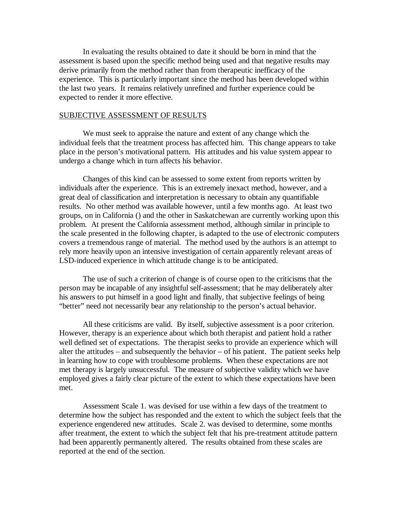In evaluating the results obtained to date it should be born in mind that the assessment is based upon the specific method being used and that negative results may derive primarily from the method rather than from therapeutic inefficacy of the experience. This is particularly important since the method has been developed within the last two years. It remains relatively unrefined and further experience could be expected to render it more effective.

#### SUBJECTIVE ASSESSMENT OF RESULTS

 We must seek to appraise the nature and extent of any change which the individual feels that the treatment process has affected him. This change appears to take place in the person's motivational pattern. His attitudes and his value system appear to undergo a change which in turn affects his behavior.

 Changes of this kind can be assessed to some extent from reports written by individuals after the experience. This is an extremely inexact method, however, and a great deal of classification and interpretation is necessary to obtain any quantifiable results. No other method was available however, until a few months ago. At least two groups, on in California () and the other in Saskatchewan are currently working upon this problem. At present the California assessment method, although similar in principle to the scale presented in the following chapter, is adapted to the use of electronic computers covers a tremendous range of material. The method used by the authors is an attempt to rely more heavily upon an intensive investigation of certain apparently relevant areas of LSD-induced experience in which attitude change is to be anticipated.

 The use of such a criterion of change is of course open to the criticisms that the person may be incapable of any insightful self-assessment; that he may deliberately alter his answers to put himself in a good light and finally, that subjective feelings of being "better" need not necessarily bear any relationship to the person's actual behavior.

 All these criticisms are valid. By itself, subjective assessment is a poor criterion. However, therapy is an experience about which both therapist and patient hold a rather well defined set of expectations. The therapist seeks to provide an experience which will alter the attitudes – and subsequently the behavior – of his patient. The patient seeks help in learning how to cope with troublesome problems. When these expectations are not met therapy is largely unsuccessful. The measure of subjective validity which we have employed gives a fairly clear picture of the extent to which these expectations have been met.

 Assessment Scale 1. was devised for use within a few days of the treatment to determine how the subject has responded and the extent to which the subject feels that the experience engendered new attitudes. Scale 2. was devised to determine, some months after treatment, the extent to which the subject felt that his pre-treatment attitude pattern had been apparently permanently altered. The results obtained from these scales are reported at the end of the section.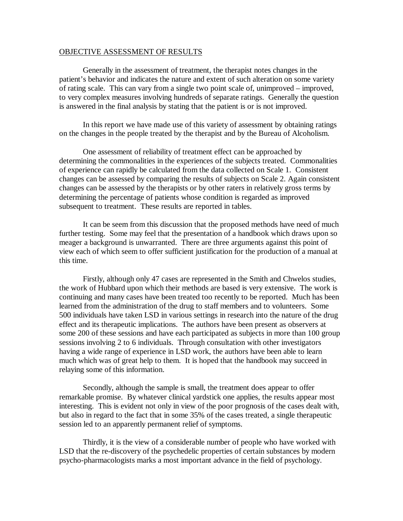#### OBJECTIVE ASSESSMENT OF RESULTS

 Generally in the assessment of treatment, the therapist notes changes in the patient's behavior and indicates the nature and extent of such alteration on some variety of rating scale. This can vary from a single two point scale of, unimproved – improved, to very complex measures involving hundreds of separate ratings. Generally the question is answered in the final analysis by stating that the patient is or is not improved.

 In this report we have made use of this variety of assessment by obtaining ratings on the changes in the people treated by the therapist and by the Bureau of Alcoholism.

 One assessment of reliability of treatment effect can be approached by determining the commonalities in the experiences of the subjects treated. Commonalities of experience can rapidly be calculated from the data collected on Scale 1. Consistent changes can be assessed by comparing the results of subjects on Scale 2. Again consistent changes can be assessed by the therapists or by other raters in relatively gross terms by determining the percentage of patients whose condition is regarded as improved subsequent to treatment. These results are reported in tables.

 It can be seem from this discussion that the proposed methods have need of much further testing. Some may feel that the presentation of a handbook which draws upon so meager a background is unwarranted. There are three arguments against this point of view each of which seem to offer sufficient justification for the production of a manual at this time.

 Firstly, although only 47 cases are represented in the Smith and Chwelos studies, the work of Hubbard upon which their methods are based is very extensive. The work is continuing and many cases have been treated too recently to be reported. Much has been learned from the administration of the drug to staff members and to volunteers. Some 500 individuals have taken LSD in various settings in research into the nature of the drug effect and its therapeutic implications. The authors have been present as observers at some 200 of these sessions and have each participated as subjects in more than 100 group sessions involving 2 to 6 individuals. Through consultation with other investigators having a wide range of experience in LSD work, the authors have been able to learn much which was of great help to them. It is hoped that the handbook may succeed in relaying some of this information.

 Secondly, although the sample is small, the treatment does appear to offer remarkable promise. By whatever clinical yardstick one applies, the results appear most interesting. This is evident not only in view of the poor prognosis of the cases dealt with, but also in regard to the fact that in some 35% of the cases treated, a single therapeutic session led to an apparently permanent relief of symptoms.

 Thirdly, it is the view of a considerable number of people who have worked with LSD that the re-discovery of the psychedelic properties of certain substances by modern psycho-pharmacologists marks a most important advance in the field of psychology.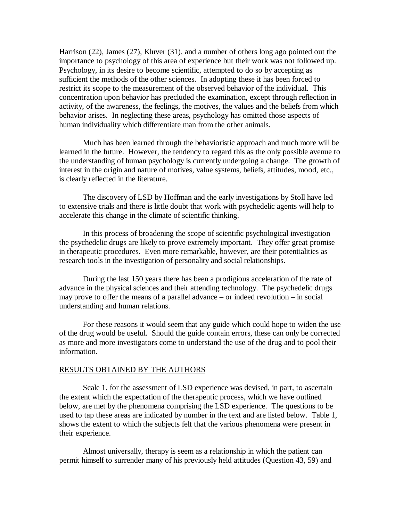Harrison (22), James (27), Kluver (31), and a number of others long ago pointed out the importance to psychology of this area of experience but their work was not followed up. Psychology, in its desire to become scientific, attempted to do so by accepting as sufficient the methods of the other sciences. In adopting these it has been forced to restrict its scope to the measurement of the observed behavior of the individual. This concentration upon behavior has precluded the examination, except through reflection in activity, of the awareness, the feelings, the motives, the values and the beliefs from which behavior arises. In neglecting these areas, psychology has omitted those aspects of human individuality which differentiate man from the other animals.

 Much has been learned through the behavioristic approach and much more will be learned in the future. However, the tendency to regard this as the only possible avenue to the understanding of human psychology is currently undergoing a change. The growth of interest in the origin and nature of motives, value systems, beliefs, attitudes, mood, etc., is clearly reflected in the literature.

 The discovery of LSD by Hoffman and the early investigations by Stoll have led to extensive trials and there is little doubt that work with psychedelic agents will help to accelerate this change in the climate of scientific thinking.

 In this process of broadening the scope of scientific psychological investigation the psychedelic drugs are likely to prove extremely important. They offer great promise in therapeutic procedures. Even more remarkable, however, are their potentialities as research tools in the investigation of personality and social relationships.

 During the last 150 years there has been a prodigious acceleration of the rate of advance in the physical sciences and their attending technology. The psychedelic drugs may prove to offer the means of a parallel advance – or indeed revolution – in social understanding and human relations.

 For these reasons it would seem that any guide which could hope to widen the use of the drug would be useful. Should the guide contain errors, these can only be corrected as more and more investigators come to understand the use of the drug and to pool their information.

### RESULTS OBTAINED BY THE AUTHORS

 Scale 1. for the assessment of LSD experience was devised, in part, to ascertain the extent which the expectation of the therapeutic process, which we have outlined below, are met by the phenomena comprising the LSD experience. The questions to be used to tap these areas are indicated by number in the text and are listed below. Table 1, shows the extent to which the subjects felt that the various phenomena were present in their experience.

 Almost universally, therapy is seem as a relationship in which the patient can permit himself to surrender many of his previously held attitudes (Question 43, 59) and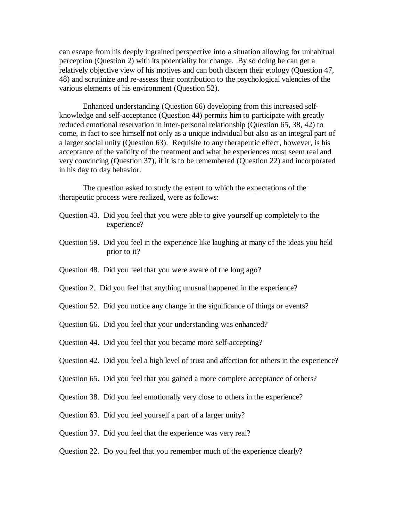can escape from his deeply ingrained perspective into a situation allowing for unhabitual perception (Question 2) with its potentiality for change. By so doing he can get a relatively objective view of his motives and can both discern their etology (Question 47, 48) and scrutinize and re-assess their contribution to the psychological valencies of the various elements of his environment (Question 52).

 Enhanced understanding (Question 66) developing from this increased selfknowledge and self-acceptance (Question 44) permits him to participate with greatly reduced emotional reservation in inter-personal relationship (Question 65, 38, 42) to come, in fact to see himself not only as a unique individual but also as an integral part of a larger social unity (Question 63). Requisite to any therapeutic effect, however, is his acceptance of the validity of the treatment and what he experiences must seem real and very convincing (Question 37), if it is to be remembered (Question 22) and incorporated in his day to day behavior.

 The question asked to study the extent to which the expectations of the therapeutic process were realized, were as follows:

- Question 43. Did you feel that you were able to give yourself up completely to the experience?
- Question 59. Did you feel in the experience like laughing at many of the ideas you held prior to it?
- Question 48. Did you feel that you were aware of the long ago?
- Question 2. Did you feel that anything unusual happened in the experience?
- Question 52. Did you notice any change in the significance of things or events?
- Question 66. Did you feel that your understanding was enhanced?
- Question 44. Did you feel that you became more self-accepting?
- Question 42. Did you feel a high level of trust and affection for others in the experience?
- Question 65. Did you feel that you gained a more complete acceptance of others?
- Question 38. Did you feel emotionally very close to others in the experience?
- Question 63. Did you feel yourself a part of a larger unity?
- Question 37. Did you feel that the experience was very real?
- Question 22. Do you feel that you remember much of the experience clearly?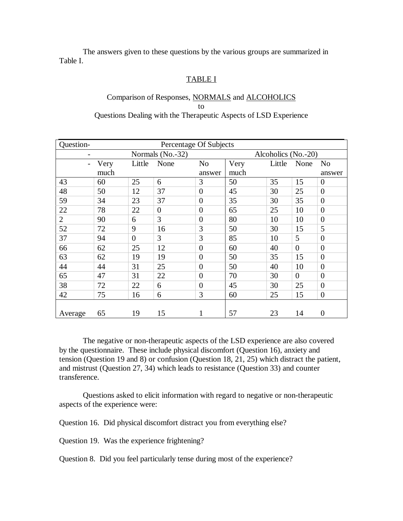The answers given to these questions by the various groups are summarized in Table I.

## TABLE I

# Comparison of Responses, NORMALS and ALCOHOLICS to Questions Dealing with the Therapeutic Aspects of LSD Experience

| Question-      | Percentage Of Subjects |                |                  |                |                     |        |                |                |  |
|----------------|------------------------|----------------|------------------|----------------|---------------------|--------|----------------|----------------|--|
|                |                        |                | Normals (No.-32) |                | Alcoholics (No.-20) |        |                |                |  |
|                | Very                   | Little         | None             | N <sub>o</sub> | Very                | Little | None           | N <sub>0</sub> |  |
|                | much                   |                |                  | answer         | much                |        |                | answer         |  |
| 43             | 60                     | 25             | 6                | 3              | 50                  | 35     | 15             | $\overline{0}$ |  |
| 48             | 50                     | 12             | 37               | $\overline{0}$ | 45                  | 30     | 25             | $\overline{0}$ |  |
| 59             | 34                     | 23             | 37               | $\overline{0}$ | 35                  | 30     | 35             | $\overline{0}$ |  |
| 22             | 78                     | 22             | $\overline{0}$   | $\overline{0}$ | 65                  | 25     | 10             | $\overline{0}$ |  |
| $\overline{2}$ | 90                     | 6              | 3                | $\overline{0}$ | 80                  | 10     | 10             | $\overline{0}$ |  |
| 52             | 72                     | 9              | 16               | 3              | 50                  | 30     | 15             | 5              |  |
| 37             | 94                     | $\overline{0}$ | 3                | 3              | 85                  | 10     | 5              | $\overline{0}$ |  |
| 66             | 62                     | 25             | 12               | $\overline{0}$ | 60                  | 40     | $\overline{0}$ | $\overline{0}$ |  |
| 63             | 62                     | 19             | 19               | $\overline{0}$ | 50                  | 35     | 15             | $\overline{0}$ |  |
| 44             | 44                     | 31             | 25               | $\overline{0}$ | 50                  | 40     | 10             | $\overline{0}$ |  |
| 65             | 47                     | 31             | 22               | $\overline{0}$ | 70                  | 30     | $\theta$       | $\overline{0}$ |  |
| 38             | 72                     | 22             | 6                | $\overline{0}$ | 45                  | 30     | 25             | $\overline{0}$ |  |
| 42             | 75                     | 16             | 6                | 3              | 60                  | 25     | 15             | $\overline{0}$ |  |
|                |                        |                |                  |                |                     |        |                |                |  |
| Average        | 65                     | 19             | 15               | 1              | 57                  | 23     | 14             | $\overline{0}$ |  |

 The negative or non-therapeutic aspects of the LSD experience are also covered by the questionnaire. These include physical discomfort (Question 16), anxiety and tension (Question 19 and 8) or confusion (Question 18, 21, 25) which distract the patient, and mistrust (Question 27, 34) which leads to resistance (Question 33) and counter transference.

 Questions asked to elicit information with regard to negative or non-therapeutic aspects of the experience were:

Question 16. Did physical discomfort distract you from everything else?

Question 19. Was the experience frightening?

Question 8. Did you feel particularly tense during most of the experience?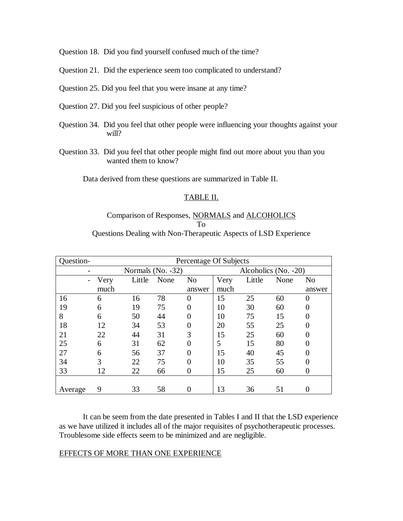Question 18. Did you find yourself confused much of the time?

Question 21. Did the experience seem too complicated to understand?

Question 25. Did you feel that you were insane at any time?

- Question 27. Did you feel suspicious of other people?
- Question 34. Did you feel that other people were influencing your thoughts against your will?
- Question 33. Did you feel that other people might find out more about you than you wanted them to know?

Data derived from these questions are summarized in Table II.

### TABLE II.

## Comparison of Responses, NORMALS and ALCOHOLICS To Questions Dealing with Non-Therapeutic Aspects of LSD Experience

| <b>Question-</b> |      | Percentage Of Subjects |      |                |                      |        |      |                |  |
|------------------|------|------------------------|------|----------------|----------------------|--------|------|----------------|--|
|                  |      | Normals (No. -32)      |      |                | Alcoholics (No. -20) |        |      |                |  |
|                  | Very | Little                 | None | N <sub>o</sub> | Very                 | Little | None | N <sub>o</sub> |  |
|                  | much |                        |      | answer         | much                 |        |      | answer         |  |
| 16               | 6    | 16                     | 78   | 0              | 15                   | 25     | 60   |                |  |
| 19               | 6    | 19                     | 75   | 0              | 10                   | 30     | 60   | 0              |  |
| 8                | 6    | 50                     | 44   |                | 10                   | 75     | 15   |                |  |
| 18               | 12   | 34                     | 53   | 0              | 20                   | 55     | 25   | 0              |  |
| 21               | 22   | 44                     | 31   | 3              | 15                   | 25     | 60   | 0              |  |
| 25               | 6    | 31                     | 62   | 0              | 5                    | 15     | 80   | 0              |  |
| 27               | 6    | 56                     | 37   | 0              | 15                   | 40     | 45   | 0              |  |
| 34               | 3    | 22                     | 75   |                | 10                   | 35     | 55   |                |  |
| 33               | 12   | 22                     | 66   | 0              | 15                   | 25     | 60   | 0              |  |
|                  |      |                        |      |                |                      |        |      |                |  |
| Average          | 9    | 33                     | 58   |                | 13                   | 36     | 51   | 0              |  |

 It can be seem from the date presented in Tables I and II that the LSD experience as we have utilized it includes all of the major requisites of psychotherapeutic processes. Troublesome side effects seem to be minimized and are negligible.

### EFFECTS OF MORE THAN ONE EXPERIENCE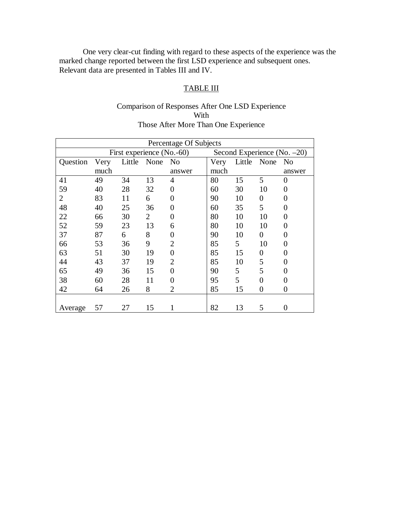One very clear-cut finding with regard to these aspects of the experience was the marked change reported between the first LSD experience and subsequent ones. Relevant data are presented in Tables III and IV.

# TABLE III

# Comparison of Responses After One LSD Experience With Those After More Than One Experience

| Percentage Of Subjects |                           |        |      |                |      |        |                |                                |
|------------------------|---------------------------|--------|------|----------------|------|--------|----------------|--------------------------------|
|                        | First experience (No.-60) |        |      |                |      |        |                | Second Experience (No. $-20$ ) |
| Question               | Very                      | Little | None | N <sub>0</sub> | Very | Little | None           | N <sub>0</sub>                 |
|                        | much                      |        |      | answer         | much |        |                | answer                         |
| 41                     | 49                        | 34     | 13   | 4              | 80   | 15     | 5              | $\overline{0}$                 |
| 59                     | 40                        | 28     | 32   | 0              | 60   | 30     | 10             | 0                              |
| 2                      | 83                        | 11     | 6    | 0              | 90   | 10     | $\overline{0}$ | 0                              |
| 48                     | 40                        | 25     | 36   | 0              | 60   | 35     | 5              | 0                              |
| 22                     | 66                        | 30     | 2    | 0              | 80   | 10     | 10             | 0                              |
| 52                     | 59                        | 23     | 13   | 6              | 80   | 10     | 10             | 0                              |
| 37                     | 87                        | 6      | 8    | 0              | 90   | 10     | 0              | 0                              |
| 66                     | 53                        | 36     | 9    | $\overline{2}$ | 85   | 5      | 10             | 0                              |
| 63                     | 51                        | 30     | 19   | 0              | 85   | 15     | 0              | 0                              |
| 44                     | 43                        | 37     | 19   | $\overline{2}$ | 85   | 10     | 5              | 0                              |
| 65                     | 49                        | 36     | 15   | 0              | 90   | 5      | 5              | 0                              |
| 38                     | 60                        | 28     | 11   | 0              | 95   | 5      | 0              | 0                              |
| 42                     | 64                        | 26     | 8    | $\overline{2}$ | 85   | 15     | $\overline{0}$ | $\boldsymbol{0}$               |
|                        |                           |        |      |                |      |        |                |                                |
| Average                | 57                        | 27     | 15   |                | 82   | 13     | 5              | 0                              |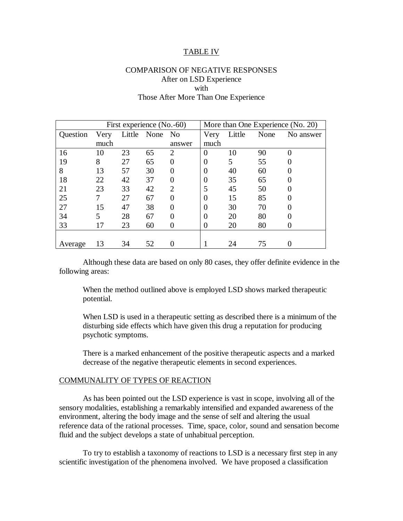#### TABLE IV

# COMPARISON OF NEGATIVE RESPONSES After on LSD Experience with Those After More Than One Experience

|          |      | First experience (No.-60) |             |                |                |        |      | More than One Experience (No. 20) |
|----------|------|---------------------------|-------------|----------------|----------------|--------|------|-----------------------------------|
| Question | Very |                           | Little None | No             | Very           | Little | None | No answer                         |
|          | much |                           |             | answer         | much           |        |      |                                   |
| 16       | 10   | 23                        | 65          | $\overline{2}$ | $\overline{0}$ | 10     | 90   |                                   |
| 19       | 8    | 27                        | 65          | 0              | 0              | 5      | 55   |                                   |
| 8        | 13   | 57                        | 30          | 0              | 0              | 40     | 60   |                                   |
| 18       | 22   | 42                        | 37          | 0              | 0              | 35     | 65   |                                   |
| 21       | 23   | 33                        | 42          | $\overline{2}$ | 5              | 45     | 50   |                                   |
| 25       | 7    | 27                        | 67          | $\overline{0}$ |                | 15     | 85   |                                   |
| 27       | 15   | 47                        | 38          | 0              | 0              | 30     | 70   |                                   |
| 34       | 5    | 28                        | 67          | 0              | 0              | 20     | 80   |                                   |
| 33       | 17   | 23                        | 60          | 0              | 0              | 20     | 80   |                                   |
|          |      |                           |             |                |                |        |      |                                   |
| Average  | 13   | 34                        | 52          |                |                | 24     | 75   |                                   |

 Although these data are based on only 80 cases, they offer definite evidence in the following areas:

When the method outlined above is employed LSD shows marked therapeutic potential.

When LSD is used in a therapeutic setting as described there is a minimum of the disturbing side effects which have given this drug a reputation for producing psychotic symptoms.

There is a marked enhancement of the positive therapeutic aspects and a marked decrease of the negative therapeutic elements in second experiences.

### COMMUNALITY OF TYPES OF REACTION

 As has been pointed out the LSD experience is vast in scope, involving all of the sensory modalities, establishing a remarkably intensified and expanded awareness of the environment, altering the body image and the sense of self and altering the usual reference data of the rational processes. Time, space, color, sound and sensation become fluid and the subject develops a state of unhabitual perception.

 To try to establish a taxonomy of reactions to LSD is a necessary first step in any scientific investigation of the phenomena involved. We have proposed a classification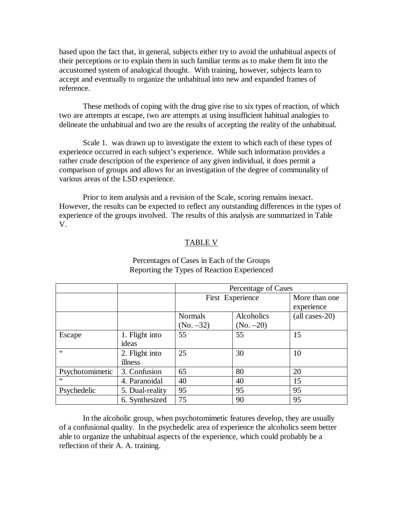based upon the fact that, in general, subjects either try to avoid the unhabitual aspects of their perceptions or to explain them in such familiar terms as to make them fit into the accustomed system of analogical thought. With training, however, subjects learn to accept and eventually to organize the unhabitual into new and expanded frames of reference.

 These methods of coping with the drug give rise to six types of reaction, of which two are attempts at escape, two are attempts at using insufficient habitual analogies to delineate the unhabitual and two are the results of accepting the reality of the unhabitual.

 Scale 1. was drawn up to investigate the extent to which each of these types of experience occurred in each subject's experience. While such information provides a rather crude description of the experience of any given individual, it does permit a comparison of groups and allows for an investigation of the degree of communality of various areas of the LSD experience.

 Prior to item analysis and a revision of the Scale, scoring remains inexact. However, the results can be expected to reflect any outstanding differences in the types of experience of the groups involved. The results of this analysis are summarized in Table V.

### TABLE V

|                 |                 | Percentage of Cases |                   |                         |  |  |
|-----------------|-----------------|---------------------|-------------------|-------------------------|--|--|
|                 |                 |                     | First Experience  | More than one           |  |  |
|                 |                 |                     |                   | experience              |  |  |
|                 |                 | <b>Normals</b>      | <b>Alcoholics</b> | $\text{(all cases-20)}$ |  |  |
|                 |                 | $(No. -32)$         | $(No. -20)$       |                         |  |  |
| Escape          | 1. Flight into  | 55                  | 55                | 15                      |  |  |
|                 | ideas           |                     |                   |                         |  |  |
| 66              | 2. Flight into  | 25                  | 30                | 10                      |  |  |
|                 | illness         |                     |                   |                         |  |  |
| Psychotomimetic | 3. Confusion    | 65                  | 80                | 20                      |  |  |
| $\zeta \zeta$   | 4. Paranoidal   | 40                  | 40                | 15                      |  |  |
| Psychedelic     | 5. Dual-reality | 95                  | 95                | 95                      |  |  |
|                 | 6. Synthesized  | 75                  | 90                | 95                      |  |  |

## Percentages of Cases in Each of the Groups Reporting the Types of Reaction Experienced

 In the alcoholic group, when psychotomimetic features develop, they are usually of a confusional quality. In the psychedelic area of experience the alcoholics seem better able to organize the unhabitual aspects of the experience, which could probably be a reflection of their A. A. training.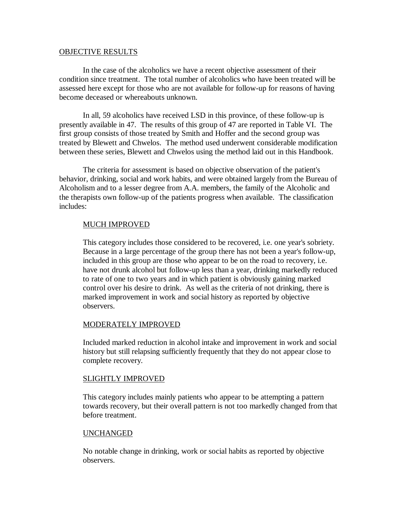### OBJECTIVE RESULTS

 In the case of the alcoholics we have a recent objective assessment of their condition since treatment. The total number of alcoholics who have been treated will be assessed here except for those who are not available for follow-up for reasons of having become deceased or whereabouts unknown.

In all, 59 alcoholics have received LSD in this province, of these follow-up is presently available in 47. The results of this group of 47 are reported in Table VI. The first group consists of those treated by Smith and Hoffer and the second group was treated by Blewett and Chwelos. The method used underwent considerable modification between these series, Blewett and Chwelos using the method laid out in this Handbook.

 The criteria for assessment is based on objective observation of the patient's behavior, drinking, social and work habits, and were obtained largely from the Bureau of Alcoholism and to a lesser degree from A.A. members, the family of the Alcoholic and the therapists own follow-up of the patients progress when available. The classification includes:

### MUCH IMPROVED

This category includes those considered to be recovered, i.e. one year's sobriety. Because in a large percentage of the group there has not been a year's follow-up, included in this group are those who appear to be on the road to recovery, i.e. have not drunk alcohol but follow-up less than a year, drinking markedly reduced to rate of one to two years and in which patient is obviously gaining marked control over his desire to drink. As well as the criteria of not drinking, there is marked improvement in work and social history as reported by objective observers.

### MODERATELY IMPROVED

Included marked reduction in alcohol intake and improvement in work and social history but still relapsing sufficiently frequently that they do not appear close to complete recovery.

#### SLIGHTLY IMPROVED

This category includes mainly patients who appear to be attempting a pattern towards recovery, but their overall pattern is not too markedly changed from that before treatment.

#### UNCHANGED

No notable change in drinking, work or social habits as reported by objective observers.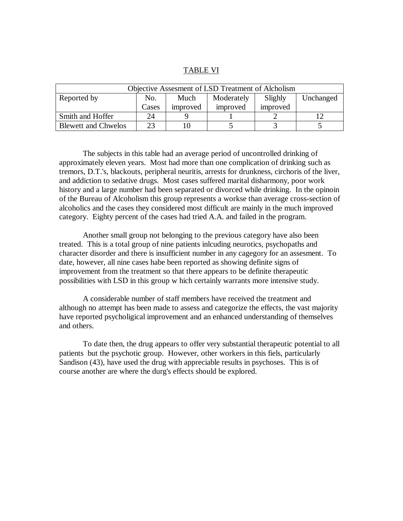### TABLE VI

| Objective Assesment of LSD Treatment of Alcholism   |       |          |          |          |           |  |  |
|-----------------------------------------------------|-------|----------|----------|----------|-----------|--|--|
| Moderately<br>Slighly<br>Reported by<br>Much<br>No. |       |          |          |          | Unchanged |  |  |
|                                                     | Cases | improved | improved | improved |           |  |  |
| Smith and Hoffer                                    | 24    |          |          |          |           |  |  |
| <b>Blewett and Chwelos</b>                          | 23    |          |          |          |           |  |  |

The subjects in this table had an average period of uncontrolled drinking of approximately eleven years. Most had more than one complication of drinking such as tremors, D.T.'s, blackouts, peripheral neuritis, arrests for drunkness, circhoris of the liver, and addiction to sedative drugs. Most cases suffered marital disharmony, poor work history and a large number had been separated or divorced while drinking. In the opinoin of the Bureau of Alcoholism this group represents a workse than average cross-section of alcoholics and the cases they considered most difficult are mainly in the much improved category. Eighty percent of the cases had tried A.A. and failed in the program.

Another small group not belonging to the previous category have also been treated. This is a total group of nine patients inlcuding neurotics, psychopaths and character disorder and there is insufficient number in any cagegory for an assesment. To date, however, all nine cases habe been reported as showing definite signs of improvement from the treatment so that there appears to be definite therapeutic possibilities with LSD in this group w hich certainly warrants more intensive study.

A considerable number of staff members have received the treatment and although no attempt has been made to assess and categorize the effects, the vast majority have reported psycholigical improvement and an enhanced understanding of themselves and others.

To date then, the drug appears to offer very substantial therapeutic potential to all patients but the psychotic group. However, other workers in this fiels, particularly Sandison (43), have used the drug with appreciable results in psychoses. This is of course another are where the durg's effects should be explored.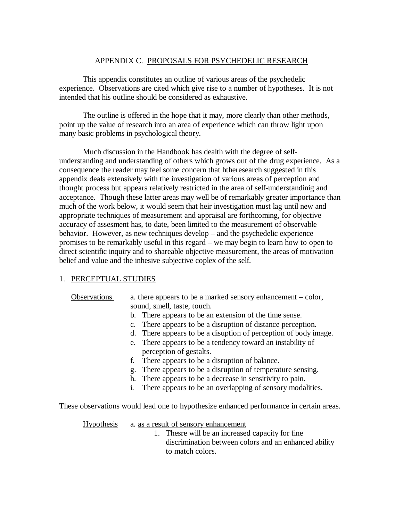# APPENDIX C. PROPOSALS FOR PSYCHEDELIC RESEARCH

 This appendix constitutes an outline of various areas of the psychedelic experience. Observations are cited which give rise to a number of hypotheses. It is not intended that his outline should be considered as exhaustive.

 The outline is offered in the hope that it may, more clearly than other methods, point up the value of research into an area of experience which can throw light upon many basic problems in psychological theory.

 Much discussion in the Handbook has dealth with the degree of selfunderstanding and understanding of others which grows out of the drug experience. As a consequence the reader may feel some concern that htheresearch suggested in this appendix deals extensively with the investigation of various areas of perception and thought process but appears relatively restricted in the area of self-understandinig and acceptance. Though these latter areas may well be of remarkably greater importance than much of the work below, it would seem that heir investigation must lag until new and appropriate techniques of measurement and appraisal are forthcoming, for objective accuracy of assesment has, to date, been limited to the measurement of observable behavior. However, as new techniques develop – and the psychedelic experience promises to be remarkably useful in this regard – we may begin to learn how to open to direct scientific inquiry and to shareable objective measurement, the areas of motivation belief and value and the inhesive subjective coplex of the self.

# 1. PERCEPTUAL STUDIES

# Observations a. there appears to be a marked sensory enhancement – color, sound, smell, taste, touch.

- b. There appears to be an extension of the time sense.
- c. There appears to be a disruption of distance perception.
- d. There appears to be a disuption of perception of body image.
- e. There appears to be a tendency toward an instability of perception of gestalts.
- f. There appears to be a disruption of balance.
- g. There appears to be a disruption of temperature sensing.
- h. There appears to be a decrease in sensitivity to pain.
- i. There appears to be an overlapping of sensory modalities.

These observations would lead one to hypothesize enhanced performance in certain areas.

Hypothesis a. as a result of sensory enhancement

1. Thesre will be an increased capacity for fine discrimination between colors and an enhanced ability to match colors.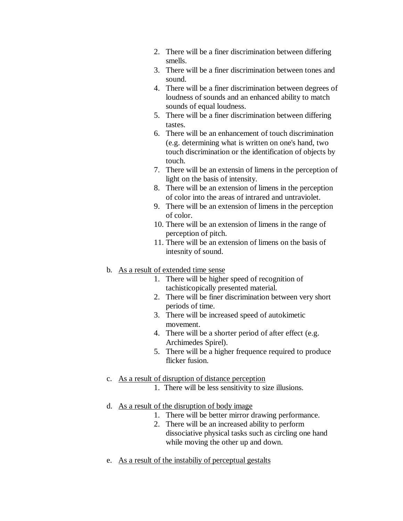- 2. There will be a finer discrimination between differing smells.
- 3. There will be a finer discrimination between tones and sound.
- 4. There will be a finer discrimination between degrees of loudness of sounds and an enhanced ability to match sounds of equal loudness.
- 5. There will be a finer discrimination between differing tastes.
- 6. There will be an enhancement of touch discrimination (e.g. determining what is written on one's hand, two touch discrimination or the identification of objects by touch.
- 7. There will be an extensin of limens in the perception of light on the basis of intensity.
- 8. There will be an extension of limens in the perception of color into the areas of intrared and untraviolet.
- 9. There will be an extension of limens in the perception of color.
- 10. There will be an extension of limens in the range of perception of pitch.
- 11. There will be an extension of limens on the basis of intesnity of sound.
- b. As a result of extended time sense
	- 1. There will be higher speed of recognition of tachisticopically presented material.
	- 2. There will be finer discrimination between very short periods of time.
	- 3. There will be increased speed of autokimetic movement.
	- 4. There will be a shorter period of after effect (e.g. Archimedes Spirel).
	- 5. There will be a higher frequence required to produce flicker fusion.
- c. As a result of disruption of distance perception
	- 1. There will be less sensitivity to size illusions.
- d. As a result of the disruption of body image
	- 1. There will be better mirror drawing performance.
	- 2. There will be an increased ability to perform dissociative physical tasks such as circling one hand while moving the other up and down.
- e. As a result of the instabiliy of perceptual gestalts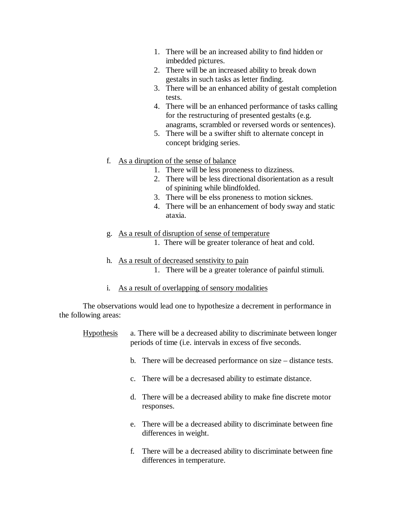- 1. There will be an increased ability to find hidden or imbedded pictures.
- 2. There will be an increased ability to break down gestalts in such tasks as letter finding.
- 3. There will be an enhanced ability of gestalt completion tests.
- 4. There will be an enhanced performance of tasks calling for the restructuring of presented gestalts (e.g. anagrams, scrambled or reversed words or sentences).
- 5. There will be a swifter shift to alternate concept in concept bridging series.

# f. As a diruption of the sense of balance

- 1. There will be less proneness to dizziness.
- 2. There will be less directional disorientation as a result of spinining while blindfolded.
- 3. There will be elss proneness to motion sicknes.
- 4. There will be an enhancement of body sway and static ataxia.
- g. As a result of disruption of sense of temperature
	- 1. There will be greater tolerance of heat and cold.
- h. As a result of decreased senstivity to pain
	- 1. There will be a greater tolerance of painful stimuli.
- i. As a result of overlapping of sensory modalities

The observations would lead one to hypothesize a decrement in performance in the following areas:

- Hypothesis a. There will be a decreased ability to discriminate between longer periods of time (i.e. intervals in excess of five seconds.
	- b. There will be decreased performance on size distance tests.
	- c. There will be a decresased ability to estimate distance.
	- d. There will be a decreased ability to make fine discrete motor responses.
	- e. There will be a decreased ability to discriminate between fine differences in weight.
	- f. There will be a decreased ability to discriminate between fine differences in temperature.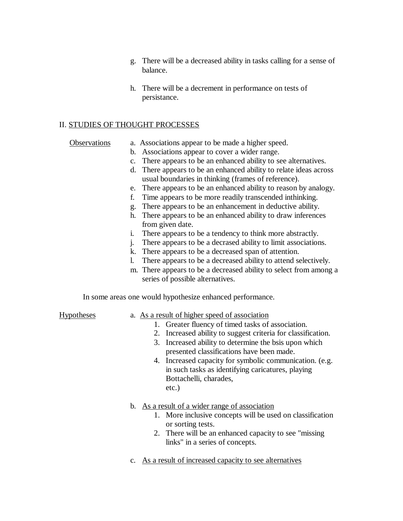- g. There will be a decreased ability in tasks calling for a sense of balance.
- h. There will be a decrement in performance on tests of persistance.

# II. STUDIES OF THOUGHT PROCESSES

| <b>Observations</b> |  |  | a. Associations appear to be made a higher speed. |
|---------------------|--|--|---------------------------------------------------|
|---------------------|--|--|---------------------------------------------------|

- b. Associations appear to cover a wider range.
- c. There appears to be an enhanced ability to see alternatives.
- d. There appears to be an enhanced ability to relate ideas across usual boundaries in thinking (frames of reference).
- e. There appears to be an enhanced ability to reason by analogy.
- f. Time appears to be more readily transcended inthinking.
- g. There appears to be an enhancement in deductive ability.
- h. There appears to be an enhanced ability to draw inferences from given date.
- i. There appears to be a tendency to think more abstractly.
- j. There appears to be a decrased ability to limit associations.
- k. There appears to be a decreased span of attention.
- l. There appears to be a decreased ability to attend selectively.
- m. There appears to be a decreased ability to select from among a series of possible alternatives.

In some areas one would hypothesize enhanced performance.

- Hypotheses a. As a result of higher speed of association
	- 1. Greater fluency of timed tasks of association.
	- 2. Increased ability to suggest criteria for classification.
	- 3. Increased ability to determine the bsis upon which
	- presented classifications have been made. 4. Increased capacity for symbolic communication. (e.g.
	- in such tasks as identifying caricatures, playing Bottachelli, charades, etc.)
	- b. As a result of a wider range of association
		- 1. More inclusive concepts will be used on classification or sorting tests.
		- 2. There will be an enhanced capacity to see "missing links" in a series of concepts.
	- c. As a result of increased capacity to see alternatives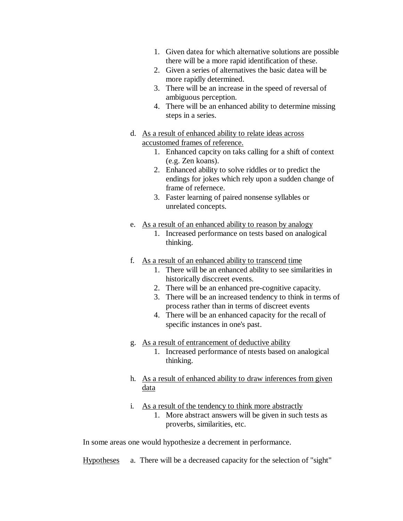- 1. Given datea for which alternative solutions are possible there will be a more rapid identification of these.
- 2. Given a series of alternatives the basic datea will be more rapidly determined.
- 3. There will be an increase in the speed of reversal of ambiguous perception.
- 4. There will be an enhanced ability to determine missing steps in a series.
- d. As a result of enhanced ability to relate ideas across accustomed frames of reference.
	- 1. Enhanced capcity on taks calling for a shift of context (e.g. Zen koans).
	- 2. Enhanced ability to solve riddles or to predict the endings for jokes which rely upon a sudden change of frame of refernece.
	- 3. Faster learning of paired nonsense syllables or unrelated concepts.
- e. As a result of an enhanced ability to reason by analogy
	- 1. Increased performance on tests based on analogical thinking.
- f. As a result of an enhanced ability to transcend time
	- 1. There will be an enhanced ability to see similarities in historically disccreet events.
	- 2. There will be an enhanced pre-cognitive capacity.
	- 3. There will be an increased tendency to think in terms of process rather than in terms of discreet events
	- 4. There will be an enhanced capacity for the recall of specific instances in one's past.
- g. As a result of entrancement of deductive ability
	- 1. Increased performance of ntests based on analogical thinking.
- h. As a result of enhanced ability to draw inferences from given data
- i. As a result of the tendency to think more abstractly
	- 1. More abstract answers will be given in such tests as proverbs, similarities, etc.

In some areas one would hypothesize a decrement in performance.

Hypotheses a. There will be a decreased capacity for the selection of "sight"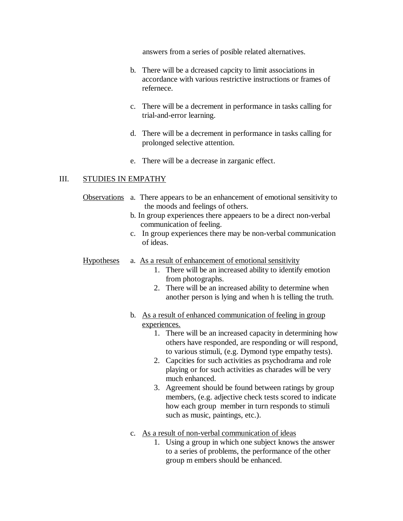answers from a series of posible related alternatives.

- b. There will be a dcreased capcity to limit associations in accordance with various restrictive instructions or frames of refernece.
- c. There will be a decrement in performance in tasks calling for trial-and-error learning.
- d. There will be a decrement in performance in tasks calling for prolonged selective attention.
- e. There will be a decrease in zarganic effect.

## III. STUDIES IN EMPATHY

- Observations a. There appears to be an enhancement of emotional sensitivity to the moods and feelings of others.
	- b. In group experiences there appeaers to be a direct non-verbal communication of feeling.
	- c. In group experiences there may be non-verbal communication of ideas.

- Hypotheses a. As a result of enhancement of emotional sensitivity
	- 1. There will be an increased ability to identify emotion from photographs.
	- 2. There will be an increased ability to determine when another person is lying and when h is telling the truth.
	- b. As a result of enhanced communication of feeling in group experiences.
		- 1. There will be an increased capacity in determining how others have responded, are responding or will respond, to various stimuli, (e.g. Dymond type empathy tests).
		- 2. Capcities for such activities as psychodrama and role playing or for such activities as charades will be very much enhanced.
		- 3. Agreement should be found between ratings by group members, (e.g. adjective check tests scored to indicate how each group member in turn responds to stimuli such as music, paintings, etc.).
	- c. As a result of non-verbal communication of ideas
		- 1. Using a group in which one subject knows the answer to a series of problems, the performance of the other group m embers should be enhanced.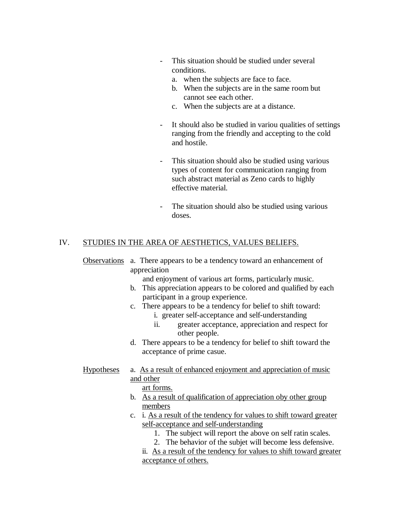- This situation should be studied under several conditions.
	- a. when the subjects are face to face.
	- b. When the subjects are in the same room but cannot see each other.
	- c. When the subjects are at a distance.
- It should also be studied in variou qualities of settings ranging from the friendly and accepting to the cold and hostile.
- This situation should also be studied using various types of content for communication ranging from such abstract material as Zeno cards to highly effective material.
- The situation should also be studied using various doses.

# IV. STUDIES IN THE AREA OF AESTHETICS, VALUES BELIEFS.

Observations a. There appears to be a tendency toward an enhancement of appreciation

and enjoyment of various art forms, particularly music.

- b. This appreciation appears to be colored and qualified by each participant in a group experience.
- c. There appears to be a tendency for belief to shift toward:
	- i. greater self-acceptance and self-understanding
	- ii. greater acceptance, appreciation and respect for other people.
- d. There appears to be a tendency for belief to shift toward the acceptance of prime casue.

# Hypotheses a. As a result of enhanced enjoyment and appreciation of music and other

art forms.

- b. As a result of qualification of appreciation oby other group members
- c. i. As a result of the tendency for values to shift toward greater self-acceptance and self-understanding
	- 1. The subject will report the above on self ratin scales.
	- 2. The behavior of the subjet will become less defensive.

ii. As a result of the tendency for values to shift toward greater acceptance of others.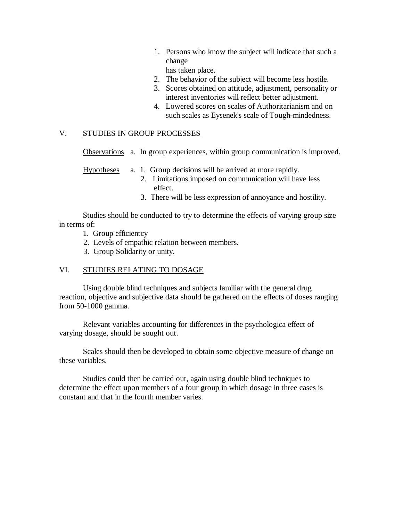- 1. Persons who know the subject will indicate that such a change has taken place.
- 2. The behavior of the subject will become less hostile.
- 3. Scores obtained on attitude, adjustment, personality or interest inventories will reflect better adjustment.
- 4. Lowered scores on scales of Authoritarianism and on such scales as Eysenek's scale of Tough-mindedness.

# V. STUDIES IN GROUP PROCESSES

Observations a. In group experiences, within group communication is improved.

- Hypotheses a. 1. Group decisions will be arrived at more rapidly.
	- 2. Limitations imposed on communication will have less effect.
	- 3. There will be less expression of annoyance and hostility.

 Studies should be conducted to try to determine the effects of varying group size in terms of:

- 1. Group efficientcy
- 2. Levels of empathic relation between members.
- 3. Group Solidarity or unity.

### VI. STUDIES RELATING TO DOSAGE

Using double blind techniques and subjects familiar with the general drug reaction, objective and subjective data should be gathered on the effects of doses ranging from 50-1000 gamma.

 Relevant variables accounting for differences in the psychologica effect of varying dosage, should be sought out.

 Scales should then be developed to obtain some objective measure of change on these variables.

 Studies could then be carried out, again using double blind techniques to determine the effect upon members of a four group in which dosage in three cases is constant and that in the fourth member varies.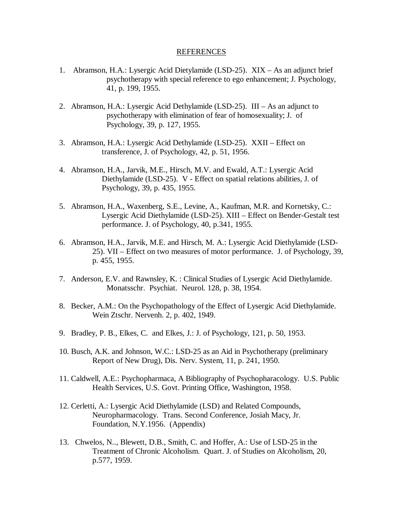#### **REFERENCES**

- 1. Abramson, H.A.: Lysergic Acid Dietylamide (LSD-25). XIX As an adjunct brief psychotherapy with special reference to ego enhancement; J. Psychology, 41, p. 199, 1955.
- 2. Abramson, H.A.: Lysergic Acid Dethylamide (LSD-25). III As an adjunct to psychotherapy with elimination of fear of homosexuality; J. of Psychology, 39, p. 127, 1955.
- 3. Abramson, H.A.: Lysergic Acid Dethylamide (LSD-25). XXII Effect on transference, J. of Psychology, 42, p. 51, 1956.
- 4. Abramson, H.A., Jarvik, M.E., Hirsch, M.V. and Ewald, A.T.: Lysergic Acid Diethylamide (LSD-25). V - Effect on spatial relations abilities, J. of Psychology, 39, p. 435, 1955.
- 5. Abramson, H.A., Waxenberg, S.E., Levine, A., Kaufman, M.R. and Kornetsky, C.: Lysergic Acid Diethylamide (LSD-25). XIII – Effect on Bender-Gestalt test performance. J. of Psychology, 40, p.341, 1955.
- 6. Abramson, H.A., Jarvik, M.E. and Hirsch, M. A.: Lysergic Acid Diethylamide (LSD-25). VII – Effect on two measures of motor performance. J. of Psychology, 39, p. 455, 1955.
- 7. Anderson, E.V. and Rawnsley, K. : Clinical Studies of Lysergic Acid Diethylamide. Monatsschr. Psychiat. Neurol. 128, p. 38, 1954.
- 8. Becker, A.M.: On the Psychopathology of the Effect of Lysergic Acid Diethylamide. Wein Ztschr. Nervenh. 2, p. 402, 1949.
- 9. Bradley, P. B., Elkes, C. and Elkes, J.: J. of Psychology, 121, p. 50, 1953.
- 10. Busch, A.K. and Johnson, W.C.: LSD-25 as an Aid in Psychotherapy (preliminary Report of New Drug), Dis. Nerv. System, 11, p. 241, 1950.
- 11. Caldwell, A.E.: Psychopharmaca, A Bibliography of Psychopharacology. U.S. Public Health Services, U.S. Govt. Printing Office, Washington, 1958.
- 12. Cerletti, A.: Lysergic Acid Diethylamide (LSD) and Related Compounds, Neuropharmacology. Trans. Second Conference, Josiah Macy, Jr. Foundation, N.Y.1956. (Appendix)
- 13. Chwelos, N.., Blewett, D.B., Smith, C. and Hoffer, A.: Use of LSD-25 in the Treatment of Chronic Alcoholism. Quart. J. of Studies on Alcoholism, 20, p.577, 1959.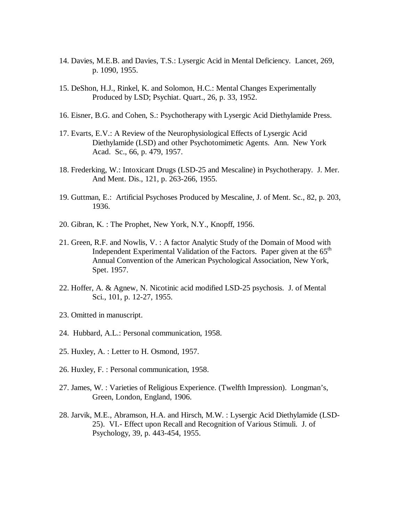- 14. Davies, M.E.B. and Davies, T.S.: Lysergic Acid in Mental Deficiency. Lancet, 269, p. 1090, 1955.
- 15. DeShon, H.J., Rinkel, K. and Solomon, H.C.: Mental Changes Experimentally Produced by LSD; Psychiat. Quart., 26, p. 33, 1952.
- 16. Eisner, B.G. and Cohen, S.: Psychotherapy with Lysergic Acid Diethylamide Press.
- 17. Evarts, E.V.: A Review of the Neurophysiological Effects of Lysergic Acid Diethylamide (LSD) and other Psychotomimetic Agents. Ann. New York Acad. Sc., 66, p. 479, 1957.
- 18. Frederking, W.: Intoxicant Drugs (LSD-25 and Mescaline) in Psychotherapy. J. Mer. And Ment. Dis., 121, p. 263-266, 1955.
- 19. Guttman, E.: Artificial Psychoses Produced by Mescaline, J. of Ment. Sc., 82, p. 203, 1936.
- 20. Gibran, K. : The Prophet, New York, N.Y., Knopff, 1956.
- 21. Green, R.F. and Nowlis, V. : A factor Analytic Study of the Domain of Mood with Independent Experimental Validation of the Factors. Paper given at the  $65<sup>th</sup>$ Annual Convention of the American Psychological Association, New York, Spet. 1957.
- 22. Hoffer, A. & Agnew, N. Nicotinic acid modified LSD-25 psychosis. J. of Mental Sci., 101, p. 12-27, 1955.
- 23. Omitted in manuscript.
- 24. Hubbard, A.L.: Personal communication, 1958.
- 25. Huxley, A. : Letter to H. Osmond, 1957.
- 26. Huxley, F. : Personal communication, 1958.
- 27. James, W. : Varieties of Religious Experience. (Twelfth Impression). Longman's, Green, London, England, 1906.
- 28. Jarvik, M.E., Abramson, H.A. and Hirsch, M.W. : Lysergic Acid Diethylamide (LSD-25). VI.- Effect upon Recall and Recognition of Various Stimuli. J. of Psychology, 39, p. 443-454, 1955.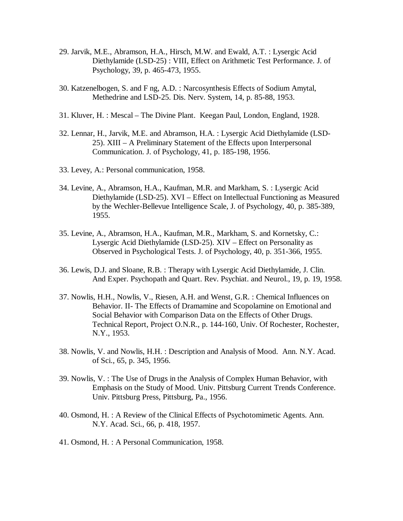- 29. Jarvik, M.E., Abramson, H.A., Hirsch, M.W. and Ewald, A.T. : Lysergic Acid Diethylamide (LSD-25) : VIII, Effect on Arithmetic Test Performance. J. of Psychology, 39, p. 465-473, 1955.
- 30. Katzenelbogen, S. and F ng, A.D. : Narcosynthesis Effects of Sodium Amytal, Methedrine and LSD-25. Dis. Nerv. System, 14, p. 85-88, 1953.
- 31. Kluver, H. : Mescal The Divine Plant. Keegan Paul, London, England, 1928.
- 32. Lennar, H., Jarvik, M.E. and Abramson, H.A. : Lysergic Acid Diethylamide (LSD-25). XIII – A Preliminary Statement of the Effects upon Interpersonal Communication. J. of Psychology, 41, p. 185-198, 1956.
- 33. Levey, A.: Personal communication, 1958.
- 34. Levine, A., Abramson, H.A., Kaufman, M.R. and Markham, S. : Lysergic Acid Diethylamide (LSD-25). XVI – Effect on Intellectual Functioning as Measured by the Wechler-Bellevue Intelligence Scale, J. of Psychology, 40, p. 385-389, 1955.
- 35. Levine, A., Abramson, H.A., Kaufman, M.R., Markham, S. and Kornetsky, C.: Lysergic Acid Diethylamide (LSD-25). XIV – Effect on Personality as Observed in Psychological Tests. J. of Psychology, 40, p. 351-366, 1955.
- 36. Lewis, D.J. and Sloane, R.B. : Therapy with Lysergic Acid Diethylamide, J. Clin. And Exper. Psychopath and Quart. Rev. Psychiat. and Neurol., 19, p. 19, 1958.
- 37. Nowlis, H.H., Nowlis, V., Riesen, A.H. and Wenst, G.R. : Chemical Influences on Behavior. II- The Effects of Dramamine and Scopolamine on Emotional and Social Behavior with Comparison Data on the Effects of Other Drugs. Technical Report, Project O.N.R., p. 144-160, Univ. Of Rochester, Rochester, N.Y., 1953.
- 38. Nowlis, V. and Nowlis, H.H. : Description and Analysis of Mood. Ann. N.Y. Acad. of Sci., 65, p. 345, 1956.
- 39. Nowlis, V. : The Use of Drugs in the Analysis of Complex Human Behavior, with Emphasis on the Study of Mood. Univ. Pittsburg Current Trends Conference. Univ. Pittsburg Press, Pittsburg, Pa., 1956.
- 40. Osmond, H. : A Review of the Clinical Effects of Psychotomimetic Agents. Ann. N.Y. Acad. Sci., 66, p. 418, 1957.
- 41. Osmond, H. : A Personal Communication, 1958.